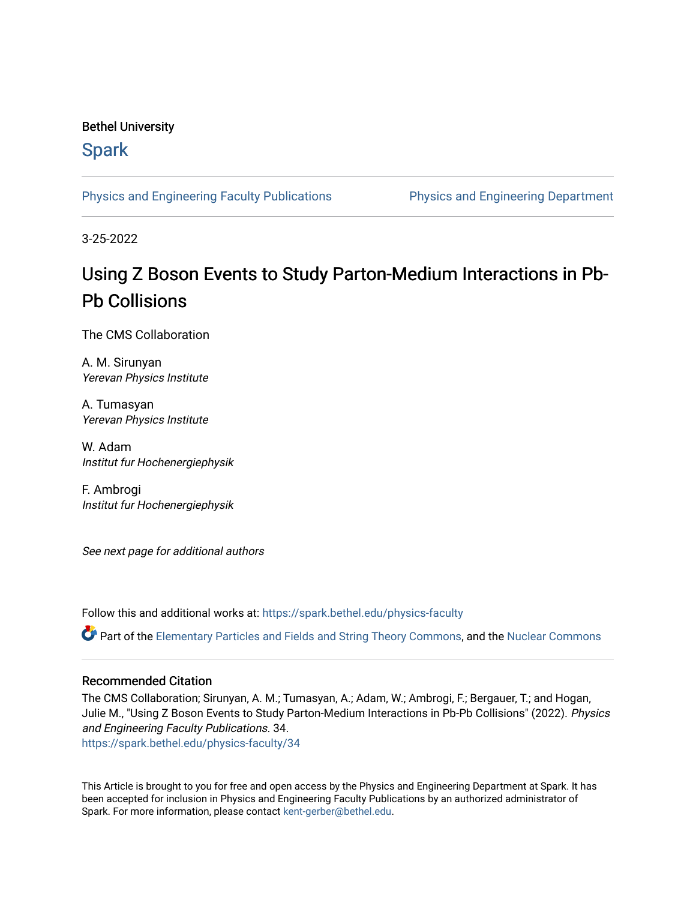## Bethel University

# **Spark**

[Physics and Engineering Faculty Publications](https://spark.bethel.edu/physics-faculty) [Physics and Engineering Department](https://spark.bethel.edu/physics) 

3-25-2022

# Using Z Boson Events to Study Parton-Medium Interactions in Pb-Pb Collisions

The CMS Collaboration

A. M. Sirunyan Yerevan Physics Institute

A. Tumasyan Yerevan Physics Institute

W. Adam Institut fur Hochenergiephysik

F. Ambrogi Institut fur Hochenergiephysik

See next page for additional authors

Follow this and additional works at: [https://spark.bethel.edu/physics-faculty](https://spark.bethel.edu/physics-faculty?utm_source=spark.bethel.edu%2Fphysics-faculty%2F34&utm_medium=PDF&utm_campaign=PDFCoverPages) 

Part of the [Elementary Particles and Fields and String Theory Commons](http://network.bepress.com/hgg/discipline/199?utm_source=spark.bethel.edu%2Fphysics-faculty%2F34&utm_medium=PDF&utm_campaign=PDFCoverPages), and the [Nuclear Commons](http://network.bepress.com/hgg/discipline/203?utm_source=spark.bethel.edu%2Fphysics-faculty%2F34&utm_medium=PDF&utm_campaign=PDFCoverPages)

## Recommended Citation

The CMS Collaboration; Sirunyan, A. M.; Tumasyan, A.; Adam, W.; Ambrogi, F.; Bergauer, T.; and Hogan, Julie M., "Using Z Boson Events to Study Parton-Medium Interactions in Pb-Pb Collisions" (2022). Physics and Engineering Faculty Publications. 34. [https://spark.bethel.edu/physics-faculty/34](https://spark.bethel.edu/physics-faculty/34?utm_source=spark.bethel.edu%2Fphysics-faculty%2F34&utm_medium=PDF&utm_campaign=PDFCoverPages)

This Article is brought to you for free and open access by the Physics and Engineering Department at Spark. It has been accepted for inclusion in Physics and Engineering Faculty Publications by an authorized administrator of Spark. For more information, please contact [kent-gerber@bethel.edu.](mailto:kent-gerber@bethel.edu)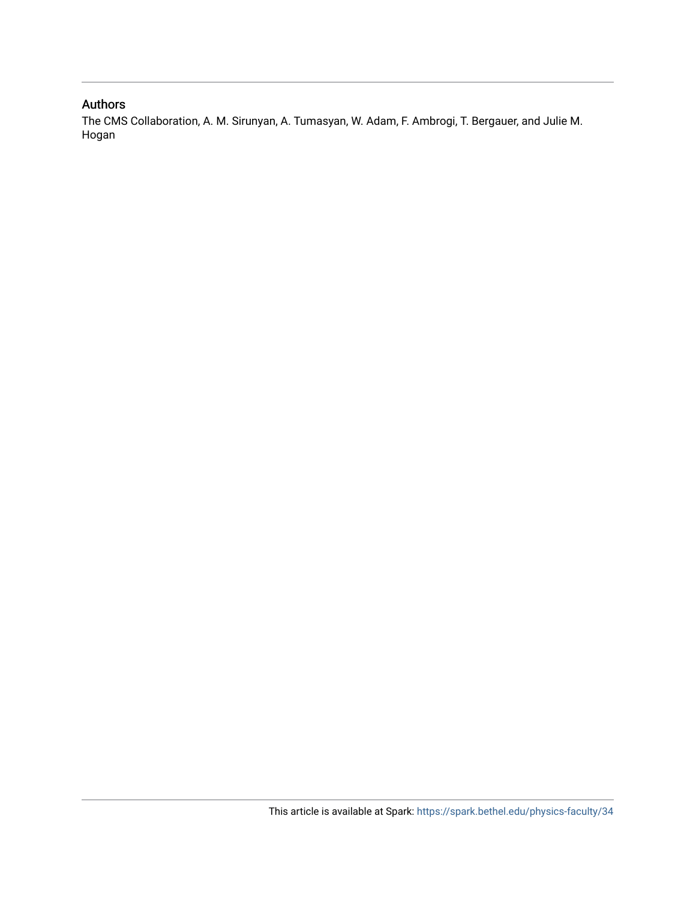# Authors

The CMS Collaboration, A. M. Sirunyan, A. Tumasyan, W. Adam, F. Ambrogi, T. Bergauer, and Julie M. Hogan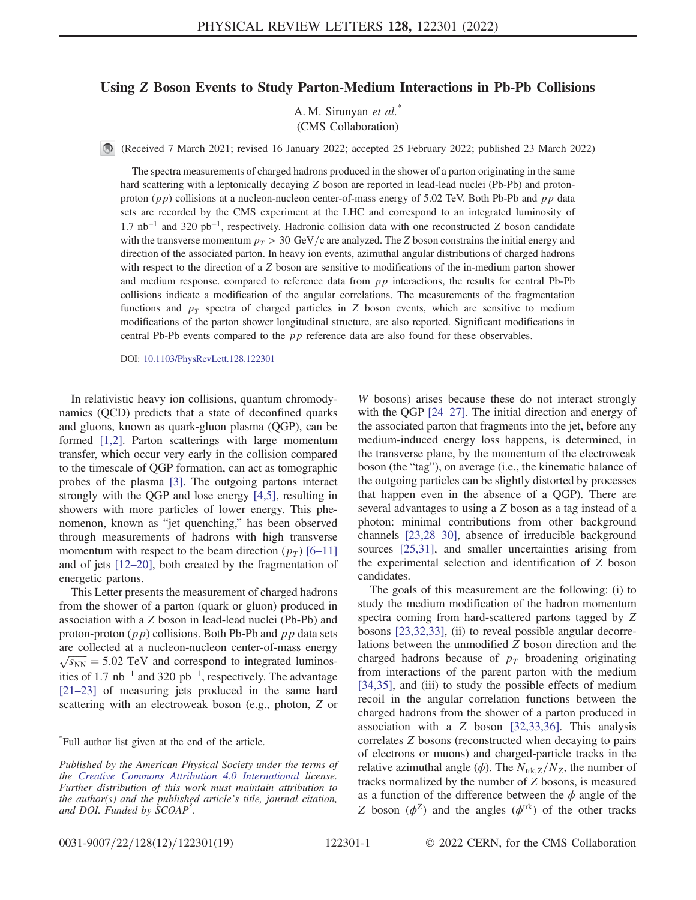## Using Z Boson Events to Study Parton-Medium Interactions in Pb-Pb Collisions

A. M. Sirunyan et al.\* (CMS Collaboration)

(Received 7 March 2021; revised 16 January 2022; accepted 25 February 2022; published 23 March 2022)

The spectra measurements of charged hadrons produced in the shower of a parton originating in the same hard scattering with a leptonically decaying Z boson are reported in lead-lead nuclei (Pb-Pb) and protonproton  $(pp)$  collisions at a nucleon-nucleon center-of-mass energy of 5.02 TeV. Both Pb-Pb and pp data sets are recorded by the CMS experiment at the LHC and correspond to an integrated luminosity of 1.7 nb<sup>-1</sup> and 320 pb<sup>-1</sup>, respectively. Hadronic collision data with one reconstructed Z boson candidate with the transverse momentum  $p_T > 30 \text{ GeV/c}$  are analyzed. The Z boson constrains the initial energy and direction of the associated parton. In heavy ion events, azimuthal angular distributions of charged hadrons with respect to the direction of a Z boson are sensitive to modifications of the in-medium parton shower and medium response. compared to reference data from  $pp$  interactions, the results for central Pb-Pb collisions indicate a modification of the angular correlations. The measurements of the fragmentation functions and  $p<sub>T</sub>$  spectra of charged particles in Z boson events, which are sensitive to medium modifications of the parton shower longitudinal structure, are also reported. Significant modifications in central Pb-Pb events compared to the  $pp$  reference data are also found for these observables.

DOI: [10.1103/PhysRevLett.128.122301](https://doi.org/10.1103/PhysRevLett.128.122301)

In relativistic heavy ion collisions, quantum chromodynamics (QCD) predicts that a state of deconfined quarks and gluons, known as quark-gluon plasma (QGP), can be formed [\[1](#page-7-0)[,2](#page-7-1)]. Parton scatterings with large momentum transfer, which occur very early in the collision compared to the timescale of QGP formation, can act as tomographic probes of the plasma [\[3\]](#page-7-2). The outgoing partons interact strongly with the QGP and lose energy [\[4,](#page-7-3)[5\]](#page-7-4), resulting in showers with more particles of lower energy. This phenomenon, known as "jet quenching," has been observed through measurements of hadrons with high transverse momentum with respect to the beam direction  $(p_T)$  [[6](#page-7-5)–[11\]](#page-7-6) and of jets [\[12](#page-7-7)–[20\]](#page-7-8), both created by the fragmentation of energetic partons.

This Letter presents the measurement of charged hadrons from the shower of a parton (quark or gluon) produced in association with a Z boson in lead-lead nuclei (Pb-Pb) and proton-proton  $(pp)$  collisions. Both Pb-Pb and  $pp$  data sets are collected at a nucleon-nucleon center-of-mass energy  $\sqrt{s_{NN}}$  = 5.02 TeV and correspond to integrated luminosities of 1.7 nb<sup>-1</sup> and 320 pb<sup>-1</sup>, respectively. The advantage [\[21](#page-7-9)–[23\]](#page-7-10) of measuring jets produced in the same hard scattering with an electroweak boson (e.g., photon, Z or

W bosons) arises because these do not interact strongly with the QGP [[24](#page-7-11)–[27](#page-7-12)]. The initial direction and energy of the associated parton that fragments into the jet, before any medium-induced energy loss happens, is determined, in the transverse plane, by the momentum of the electroweak boson (the "tag"), on average (i.e., the kinematic balance of the outgoing particles can be slightly distorted by processes that happen even in the absence of a QGP). There are several advantages to using a Z boson as a tag instead of a photon: minimal contributions from other background channels [[23](#page-7-10),[28](#page-7-13)–[30](#page-7-14)], absence of irreducible background sources [\[25](#page-7-15)[,31\]](#page-7-16), and smaller uncertainties arising from the experimental selection and identification of Z boson candidates.

The goals of this measurement are the following: (i) to study the medium modification of the hadron momentum spectra coming from hard-scattered partons tagged by Z bosons [\[23](#page-7-10)[,32,](#page-8-0)[33\]](#page-8-1), (ii) to reveal possible angular decorrelations between the unmodified Z boson direction and the charged hadrons because of  $p_T$  broadening originating from interactions of the parent parton with the medium [\[34](#page-8-2)[,35\]](#page-8-3), and (iii) to study the possible effects of medium recoil in the angular correlation functions between the charged hadrons from the shower of a parton produced in association with a Z boson [\[32](#page-8-0)[,33](#page-8-1)[,36\]](#page-8-4). This analysis correlates Z bosons (reconstructed when decaying to pairs of electrons or muons) and charged-particle tracks in the relative azimuthal angle ( $\phi$ ). The  $N_{\text{trk},Z}/N_Z$ , the number of tracks normalized by the number of Z bosons, is measured as a function of the difference between the  $\phi$  angle of the Z boson  $(\phi^Z)$  and the angles  $(\phi^{\text{trk}})$  of the other tracks

<sup>\*</sup> Full author list given at the end of the article.

Published by the American Physical Society under the terms of the [Creative Commons Attribution 4.0 International](https://creativecommons.org/licenses/by/4.0/) license. Further distribution of this work must maintain attribution to the author(s) and the published article's title, journal citation, and DOI. Funded by SCOAP<sup>3</sup>.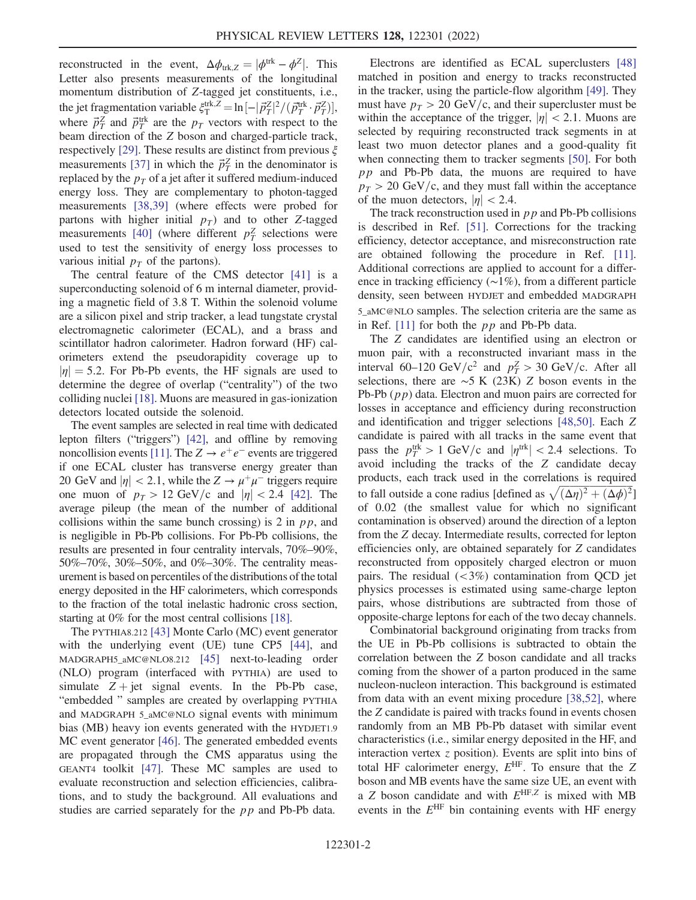reconstructed in the event,  $\Delta \phi_{\text{trk},Z} = |\phi^{\text{trk}} - \phi^Z|$ . This Letter also presents measurements of the longitudinal momentum distribution of Z-tagged jet constituents, i.e., the jet fragmentation variable  $\xi_T^{\text{trk},Z} = \ln \left[-\left|\vec{p}_T^Z\right|^2 / \left(\vec{p}_T^{\text{trk}} \cdot \vec{p}_T^Z\right)\right],$ where  $\vec{p}_T^{\text{Z}}$  and  $\vec{p}_T^{\text{trk}}$  are the  $p_T$  vectors with respect to the beam direction of the Z boson and charged-particle track, respectively [[29](#page-7-17)]. These results are distinct from previous  $\xi$ measurements [\[37\]](#page-8-5) in which the  $\vec{p}_T^Z$  in the denominator is replaced by the  $p<sub>T</sub>$  of a jet after it suffered medium-induced energy loss. They are complementary to photon-tagged measurements [\[38,](#page-8-6)[39\]](#page-8-7) (where effects were probed for partons with higher initial  $p<sub>T</sub>$ ) and to other Z-tagged measurements [[40](#page-8-8)] (where different  $p_T^Z$  selections were used to test the sensitivity of energy loss processes to various initial  $p<sub>T</sub>$  of the partons).

The central feature of the CMS detector [\[41\]](#page-8-9) is a superconducting solenoid of 6 m internal diameter, providing a magnetic field of 3.8 T. Within the solenoid volume are a silicon pixel and strip tracker, a lead tungstate crystal electromagnetic calorimeter (ECAL), and a brass and scintillator hadron calorimeter. Hadron forward (HF) calorimeters extend the pseudorapidity coverage up to  $|\eta| = 5.2$ . For Pb-Pb events, the HF signals are used to determine the degree of overlap ("centrality") of the two colliding nuclei [[18](#page-7-18)]. Muons are measured in gas-ionization detectors located outside the solenoid.

The event samples are selected in real time with dedicated lepton filters ("triggers") [\[42\]](#page-8-10), and offline by removing noncollision events [\[11\]](#page-7-6). The  $Z \rightarrow e^+e^-$  events are triggered if one ECAL cluster has transverse energy greater than 20 GeV and  $|\eta|$  < 2.1, while the  $Z \rightarrow \mu^+\mu^-$  triggers require one muon of  $p_T > 12$  GeV/c and  $|\eta| < 2.4$  [\[42](#page-8-10)]. The average pileup (the mean of the number of additional collisions within the same bunch crossing) is 2 in  $pp$ , and is negligible in Pb-Pb collisions. For Pb-Pb collisions, the results are presented in four centrality intervals, 70%–90%, 50%–70%, 30%–50%, and 0%–30%. The centrality measurement is based on percentiles of the distributions of the total energy deposited in the HF calorimeters, which corresponds to the fraction of the total inelastic hadronic cross section, starting at 0% for the most central collisions [\[18\]](#page-7-18).

The PYTHIA8.212 [[43](#page-8-11)] Monte Carlo (MC) event generator with the underlying event (UE) tune CP5 [[44](#page-8-12)], and MADGRAPH5\_aMC@NLO8.212 [\[45\]](#page-8-13) next-to-leading order (NLO) program (interfaced with PYTHIA) are used to simulate  $Z + jet$  signal events. In the Pb-Pb case, "embedded " samples are created by overlapping PYTHIA and MADGRAPH 5\_aMC@NLO signal events with minimum bias (MB) heavy ion events generated with the HYDJET1.9 MC event generator [\[46\]](#page-8-14). The generated embedded events are propagated through the CMS apparatus using the GEANT4 toolkit [[47](#page-8-15)]. These MC samples are used to evaluate reconstruction and selection efficiencies, calibrations, and to study the background. All evaluations and studies are carried separately for the *pp* and Pb-Pb data.

Electrons are identified as ECAL superclusters [\[48\]](#page-8-16) matched in position and energy to tracks reconstructed in the tracker, using the particle-flow algorithm [\[49\]](#page-8-17). They must have  $p_T > 20 \text{ GeV/c}$ , and their supercluster must be within the acceptance of the trigger,  $|\eta| < 2.1$ . Muons are selected by requiring reconstructed track segments in at least two muon detector planes and a good-quality fit when connecting them to tracker segments [[50](#page-8-18)]. For both pp and Pb-Pb data, the muons are required to have  $p_T > 20$  GeV/c, and they must fall within the acceptance of the muon detectors,  $|\eta| < 2.4$ .

The track reconstruction used in  $p p$  and Pb-Pb collisions is described in Ref. [[51](#page-8-19)]. Corrections for the tracking efficiency, detector acceptance, and misreconstruction rate are obtained following the procedure in Ref. [[11](#page-7-6)]. Additional corrections are applied to account for a difference in tracking efficiency (∼1%), from a different particle density, seen between HYDJET and embedded MADGRAPH 5\_aMC@NLO samples. The selection criteria are the same as in Ref. [\[11\]](#page-7-6) for both the  $pp$  and Pb-Pb data.

The Z candidates are identified using an electron or muon pair, with a reconstructed invariant mass in the interval 60–120 GeV/c<sup>2</sup> and  $p_T^Z > 30$  GeV/c. After all selections, there are ∼5 K (23K) Z boson events in the Pb-Pb  $(pp)$  data. Electron and muon pairs are corrected for losses in acceptance and efficiency during reconstruction and identification and trigger selections [\[48,](#page-8-16)[50\]](#page-8-18). Each Z candidate is paired with all tracks in the same event that pass the  $p_T^{\text{trk}} > 1$  GeV/c and  $|\eta^{\text{trk}}| < 2.4$  selections. To avoid including the tracks of the Z candidate decay products, each track used in the correlations is required to fall outside a cone radius [defined as  $\sqrt{(\Delta \eta)^2 + (\Delta \phi)^2}$ ] of 0.02 (the smallest value for which no significant contamination is observed) around the direction of a lepton from the Z decay. Intermediate results, corrected for lepton efficiencies only, are obtained separately for Z candidates reconstructed from oppositely charged electron or muon pairs. The residual  $( $3\%$ ) contamination from QCD jet$ physics processes is estimated using same-charge lepton pairs, whose distributions are subtracted from those of opposite-charge leptons for each of the two decay channels.

Combinatorial background originating from tracks from the UE in Pb-Pb collisions is subtracted to obtain the correlation between the Z boson candidate and all tracks coming from the shower of a parton produced in the same nucleon-nucleon interaction. This background is estimated from data with an event mixing procedure [[38](#page-8-6),[52](#page-8-20)], where the Z candidate is paired with tracks found in events chosen randomly from an MB Pb-Pb dataset with similar event characteristics (i.e., similar energy deposited in the HF, and interaction vertex z position). Events are split into bins of total HF calorimeter energy,  $E^{\text{HF}}$ . To ensure that the Z boson and MB events have the same size UE, an event with a Z boson candidate and with  $E^{\text{HF},Z}$  is mixed with MB events in the  $E^{\text{HF}}$  bin containing events with HF energy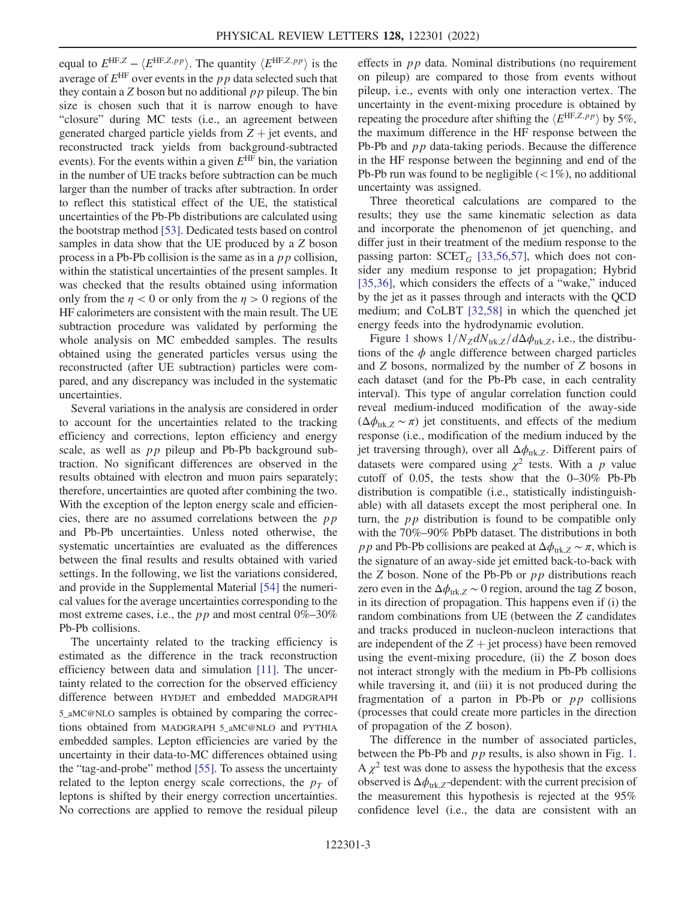equal to  $E^{\text{HF},Z} - \langle E^{\text{HF},Z,pp} \rangle$ . The quantity  $\langle E^{\text{HF},Z,pp} \rangle$  is the average of  $E^{\text{HF}}$  over events in the pp data selected such that they contain a  $Z$  boson but no additional  $p p$  pileup. The bin size is chosen such that it is narrow enough to have "closure" during MC tests (i.e., an agreement between generated charged particle yields from  $Z + jet$  events, and reconstructed track yields from background-subtracted events). For the events within a given  $E^{\text{HF}}$  bin, the variation in the number of UE tracks before subtraction can be much larger than the number of tracks after subtraction. In order to reflect this statistical effect of the UE, the statistical uncertainties of the Pb-Pb distributions are calculated using the bootstrap method [[53](#page-8-21)]. Dedicated tests based on control samples in data show that the UE produced by a Z boson process in a Pb-Pb collision is the same as in a pp collision, within the statistical uncertainties of the present samples. It was checked that the results obtained using information only from the  $\eta$  < 0 or only from the  $\eta > 0$  regions of the HF calorimeters are consistent with the main result. The UE subtraction procedure was validated by performing the whole analysis on MC embedded samples. The results obtained using the generated particles versus using the reconstructed (after UE subtraction) particles were compared, and any discrepancy was included in the systematic uncertainties.

Several variations in the analysis are considered in order to account for the uncertainties related to the tracking efficiency and corrections, lepton efficiency and energy scale, as well as pp pileup and Pb-Pb background subtraction. No significant differences are observed in the results obtained with electron and muon pairs separately; therefore, uncertainties are quoted after combining the two. With the exception of the lepton energy scale and efficiencies, there are no assumed correlations between the  $pp$ and Pb-Pb uncertainties. Unless noted otherwise, the systematic uncertainties are evaluated as the differences between the final results and results obtained with varied settings. In the following, we list the variations considered, and provide in the Supplemental Material [\[54\]](#page-8-22) the numerical values for the average uncertainties corresponding to the most extreme cases, i.e., the  $p p$  and most central  $0\% - 30\%$ Pb-Pb collisions.

The uncertainty related to the tracking efficiency is estimated as the difference in the track reconstruction efficiency between data and simulation [\[11\]](#page-7-6). The uncertainty related to the correction for the observed efficiency difference between HYDJET and embedded MADGRAPH 5\_aMC@NLO samples is obtained by comparing the corrections obtained from MADGRAPH 5\_aMC@NLO and PYTHIA embedded samples. Lepton efficiencies are varied by the uncertainty in their data-to-MC differences obtained using the "tag-and-probe" method [[55](#page-8-23)]. To assess the uncertainty related to the lepton energy scale corrections, the  $p<sub>T</sub>$  of leptons is shifted by their energy correction uncertainties. No corrections are applied to remove the residual pileup effects in pp data. Nominal distributions (no requirement on pileup) are compared to those from events without pileup, i.e., events with only one interaction vertex. The uncertainty in the event-mixing procedure is obtained by repeating the procedure after shifting the  $\langle E^{\text{HF},Z,pp} \rangle$  by 5%, the maximum difference in the HF response between the Pb-Pb and pp data-taking periods. Because the difference in the HF response between the beginning and end of the Pb-Pb run was found to be negligible  $\left($  < 1%), no additional uncertainty was assigned.

Three theoretical calculations are compared to the results; they use the same kinematic selection as data and incorporate the phenomenon of jet quenching, and differ just in their treatment of the medium response to the passing parton:  $SCET_G$  [\[33,](#page-8-1)[56](#page-8-24),[57](#page-8-25)], which does not consider any medium response to jet propagation; Hybrid [\[35](#page-8-3)[,36\]](#page-8-4), which considers the effects of a "wake," induced by the jet as it passes through and interacts with the QCD medium; and CoLBT [\[32,](#page-8-0)[58\]](#page-8-26) in which the quenched jet energy feeds into the hydrodynamic evolution.

Figure [1](#page-5-0) shows  $1/N_ZdN_{trk,Z}/d\Delta\phi_{trk,Z}$ , i.e., the distributions of the  $\phi$  angle difference between charged particles and Z bosons, normalized by the number of Z bosons in each dataset (and for the Pb-Pb case, in each centrality interval). This type of angular correlation function could reveal medium-induced modification of the away-side  $(\Delta \phi_{trk,z} \sim \pi)$  jet constituents, and effects of the medium response (i.e., modification of the medium induced by the jet traversing through), over all  $\Delta\phi_{trk,Z}$ . Different pairs of datasets were compared using  $\chi^2$  tests. With a p value cutoff of 0.05, the tests show that the 0–30% Pb-Pb distribution is compatible (i.e., statistically indistinguishable) with all datasets except the most peripheral one. In turn, the  $pp$  distribution is found to be compatible only with the 70%–90% PbPb dataset. The distributions in both *pp* and Pb-Pb collisions are peaked at  $\Delta\phi_{trk,Z} \sim \pi$ , which is the signature of an away-side jet emitted back-to-back with the Z boson. None of the Pb-Pb or  $pp$  distributions reach zero even in the  $\Delta \phi_{trk,Z} \sim 0$  region, around the tag Z boson, in its direction of propagation. This happens even if (i) the random combinations from UE (between the Z candidates and tracks produced in nucleon-nucleon interactions that are independent of the  $Z + jet$  process) have been removed using the event-mixing procedure, (ii) the Z boson does not interact strongly with the medium in Pb-Pb collisions while traversing it, and (iii) it is not produced during the fragmentation of a parton in Pb-Pb or  $pp$  collisions (processes that could create more particles in the direction of propagation of the Z boson).

The difference in the number of associated particles, between the Pb-Pb and pp results, is also shown in Fig. [1](#page-5-0).  $A \chi^2$  test was done to assess the hypothesis that the excess observed is  $\Delta \phi_{trk,Z}$ -dependent: with the current precision of the measurement this hypothesis is rejected at the 95% confidence level (i.e., the data are consistent with an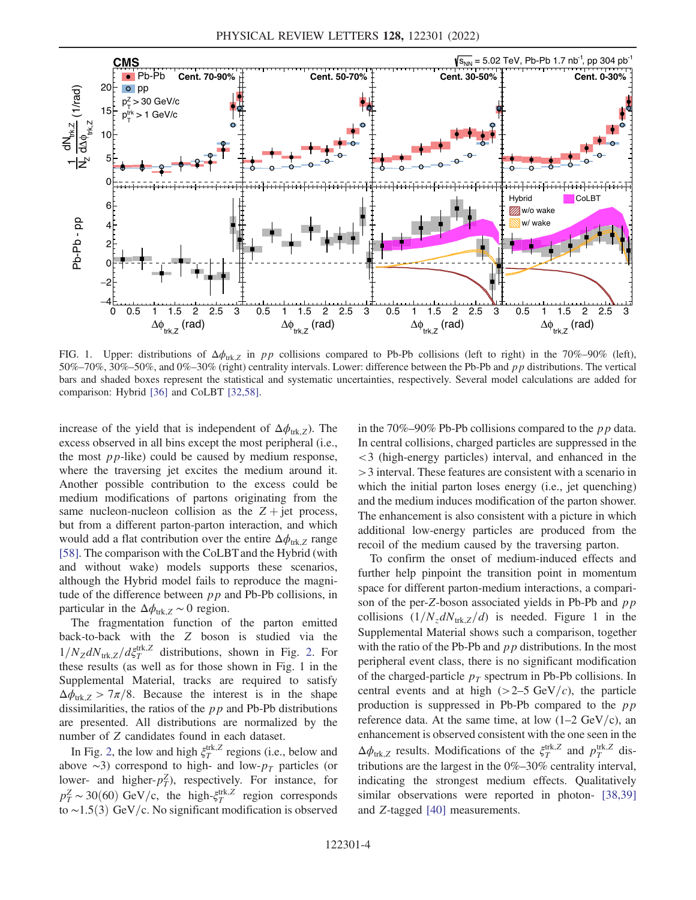<span id="page-5-0"></span>

FIG. 1. Upper: distributions of  $\Delta\phi_{trk,Z}$  in pp collisions compared to Pb-Pb collisions (left to right) in the 70%–90% (left), 50%–70%, 30%–50%, and 0%–30% (right) centrality intervals. Lower: difference between the Pb-Pb and pp distributions. The vertical bars and shaded boxes represent the statistical and systematic uncertainties, respectively. Several model calculations are added for comparison: Hybrid [\[36\]](#page-8-4) and CoLBT [\[32](#page-8-0)[,58\]](#page-8-26).

increase of the yield that is independent of  $\Delta\phi_{trk,Z}$ ). The excess observed in all bins except the most peripheral (i.e., the most  $pp$ -like) could be caused by medium response, where the traversing jet excites the medium around it. Another possible contribution to the excess could be medium modifications of partons originating from the same nucleon-nucleon collision as the  $Z + jet$  process, but from a different parton-parton interaction, and which would add a flat contribution over the entire  $\Delta \phi_{trk}$  z range [\[58\]](#page-8-26). The comparison with the CoLBT and the Hybrid (with and without wake) models supports these scenarios, although the Hybrid model fails to reproduce the magnitude of the difference between  $pp$  and Pb-Pb collisions, in particular in the  $\Delta \phi_{trk, Z} \sim 0$  region.

The fragmentation function of the parton emitted back-to-back with the Z boson is studied via the  $1/N_Z dN_{\text{trk},Z}/d\xi_T^{\text{trk},Z}$  distributions, shown in Fig. [2.](#page-6-0) For these results (as well as for those shown in Fig. 1 in the Supplemental Material, tracks are required to satisfy  $\Delta\phi_{\text{trk }Z} > 7\pi/8$ . Because the interest is in the shape dissimilarities, the ratios of the  $pp$  and Pb-Pb distributions are presented. All distributions are normalized by the number of Z candidates found in each dataset.

In Fig. [2](#page-6-0), the low and high  $\xi_T^{\text{trk},Z}$  regions (i.e., below and above  $\sim$ 3) correspond to high- and low- $p_T$  particles (or lower- and higher- $p_T^Z$ ), respectively. For instance, for  $p_T^Z \sim 30(60) \text{ GeV/c}$ , the high- $\xi_T^{\text{trk},Z}$  region corresponds to ~1.5(3) GeV/c. No significant modification is observed in the 70%–90% Pb-Pb collisions compared to the  $p p$  data. In central collisions, charged particles are suppressed in the <3 (high-energy particles) interval, and enhanced in the >3 interval. These features are consistent with a scenario in which the initial parton loses energy (i.e., jet quenching) and the medium induces modification of the parton shower. The enhancement is also consistent with a picture in which additional low-energy particles are produced from the recoil of the medium caused by the traversing parton.

To confirm the onset of medium-induced effects and further help pinpoint the transition point in momentum space for different parton-medium interactions, a comparison of the per-Z-boson associated yields in Pb-Pb and pp collisions  $(1/N_z dN_{\text{trk},Z}/d)$  is needed. Figure 1 in the Supplemental Material shows such a comparison, together with the ratio of the Pb-Pb and  $p p$  distributions. In the most peripheral event class, there is no significant modification of the charged-particle  $p_T$  spectrum in Pb-Pb collisions. In central events and at high ( $>2-5$  GeV/c), the particle production is suppressed in Pb-Pb compared to the pp reference data. At the same time, at low  $(1-2 \text{ GeV}/c)$ , an enhancement is observed consistent with the one seen in the  $\Delta \phi_{\text{trk},Z}$  results. Modifications of the  $\xi_T^{\text{trk},Z}$  and  $p_T^{\text{trk},Z}$  distributions are the largest in the 0%–30% centrality interval, indicating the strongest medium effects. Qualitatively similar observations were reported in photon- [\[38,](#page-8-6)[39\]](#page-8-7) and Z-tagged [[40](#page-8-8)] measurements.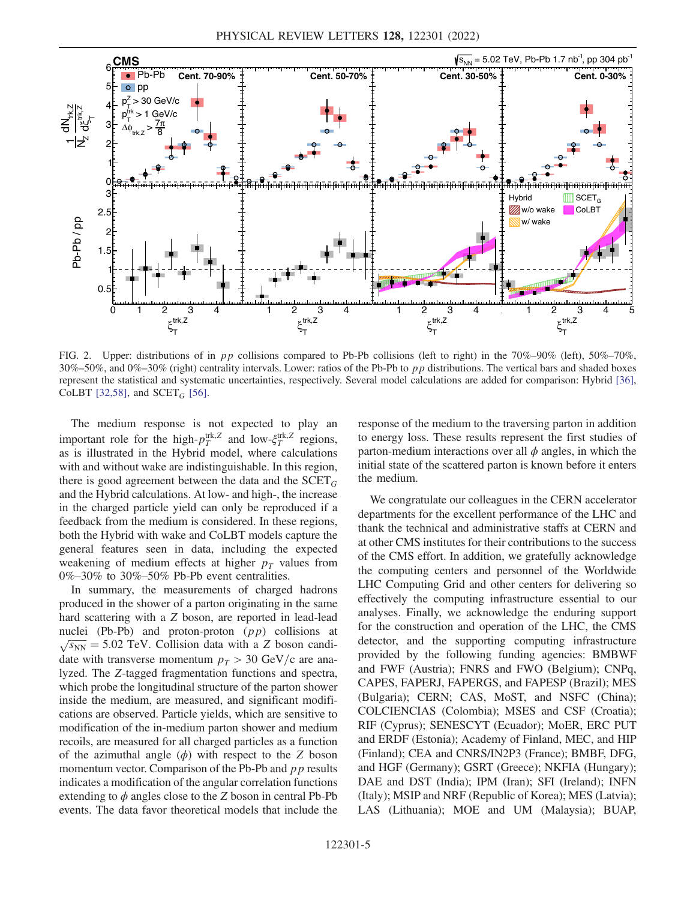<span id="page-6-0"></span>

FIG. 2. Upper: distributions of in pp collisions compared to Pb-Pb collisions (left to right) in the 70%–90% (left), 50%–70%, 30%–50%, and 0%–30% (right) centrality intervals. Lower: ratios of the Pb-Pb to pp distributions. The vertical bars and shaded boxes represent the statistical and systematic uncertainties, respectively. Several model calculations are added for comparison: Hybrid [\[36\]](#page-8-4), CoLBT [\[32](#page-8-0)[,58\]](#page-8-26), and  $SCET_G$  [\[56\]](#page-8-24).

The medium response is not expected to play an important role for the high- $p_T^{\text{trk},Z}$  and low- $\xi_T^{\text{trk},Z}$  regions, as is illustrated in the Hybrid model, where calculations with and without wake are indistinguishable. In this region, there is good agreement between the data and the  $SCET<sub>G</sub>$ and the Hybrid calculations. At low- and high-, the increase in the charged particle yield can only be reproduced if a feedback from the medium is considered. In these regions, both the Hybrid with wake and CoLBT models capture the general features seen in data, including the expected weakening of medium effects at higher  $p<sub>T</sub>$  values from 0%–30% to 30%–50% Pb-Pb event centralities.

In summary, the measurements of charged hadrons produced in the shower of a parton originating in the same hard scattering with a Z boson, are reported in lead-lead nuclei (Pb-Pb) and proton-proton  $(pp)$  collisions at  $\sqrt{s_{NN}}$  = 5.02 TeV. Collision data with a Z boson candidate with transverse momentum  $p_T > 30$  GeV/c are analyzed. The Z-tagged fragmentation functions and spectra, which probe the longitudinal structure of the parton shower inside the medium, are measured, and significant modifications are observed. Particle yields, which are sensitive to modification of the in-medium parton shower and medium recoils, are measured for all charged particles as a function of the azimuthal angle  $(\phi)$  with respect to the Z boson momentum vector. Comparison of the Pb-Pb and  $p p$  results indicates a modification of the angular correlation functions extending to  $\phi$  angles close to the Z boson in central Pb-Pb events. The data favor theoretical models that include the response of the medium to the traversing parton in addition to energy loss. These results represent the first studies of parton-medium interactions over all  $\phi$  angles, in which the initial state of the scattered parton is known before it enters the medium.

We congratulate our colleagues in the CERN accelerator departments for the excellent performance of the LHC and thank the technical and administrative staffs at CERN and at other CMS institutes for their contributions to the success of the CMS effort. In addition, we gratefully acknowledge the computing centers and personnel of the Worldwide LHC Computing Grid and other centers for delivering so effectively the computing infrastructure essential to our analyses. Finally, we acknowledge the enduring support for the construction and operation of the LHC, the CMS detector, and the supporting computing infrastructure provided by the following funding agencies: BMBWF and FWF (Austria); FNRS and FWO (Belgium); CNPq, CAPES, FAPERJ, FAPERGS, and FAPESP (Brazil); MES (Bulgaria); CERN; CAS, MoST, and NSFC (China); COLCIENCIAS (Colombia); MSES and CSF (Croatia); RIF (Cyprus); SENESCYT (Ecuador); MoER, ERC PUT and ERDF (Estonia); Academy of Finland, MEC, and HIP (Finland); CEA and CNRS/IN2P3 (France); BMBF, DFG, and HGF (Germany); GSRT (Greece); NKFIA (Hungary); DAE and DST (India); IPM (Iran); SFI (Ireland); INFN (Italy); MSIP and NRF (Republic of Korea); MES (Latvia); LAS (Lithuania); MOE and UM (Malaysia); BUAP,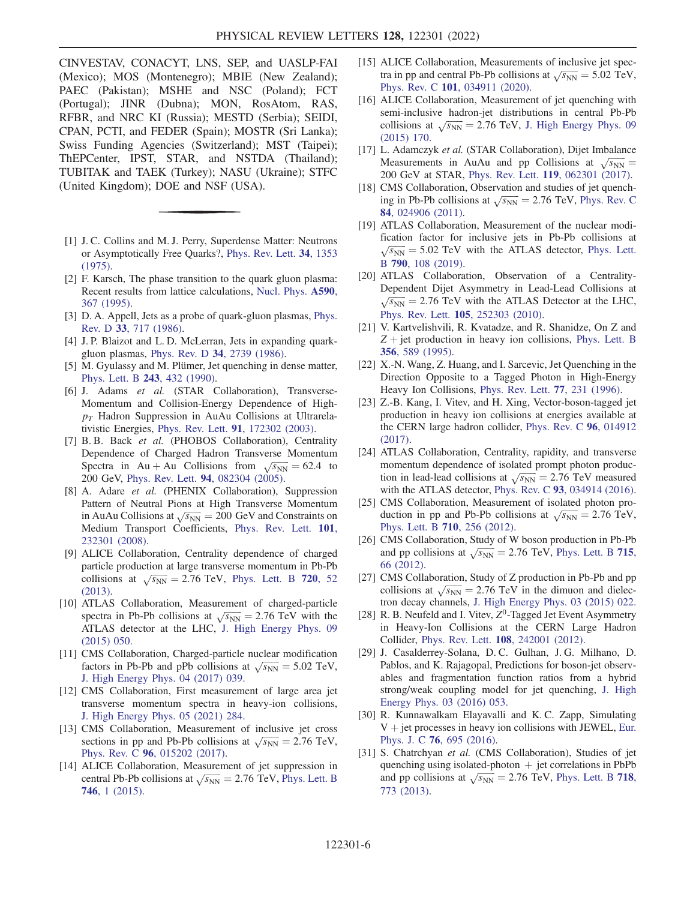CINVESTAV, CONACYT, LNS, SEP, and UASLP-FAI (Mexico); MOS (Montenegro); MBIE (New Zealand); PAEC (Pakistan); MSHE and NSC (Poland); FCT (Portugal); JINR (Dubna); MON, RosAtom, RAS, RFBR, and NRC KI (Russia); MESTD (Serbia); SEIDI, CPAN, PCTI, and FEDER (Spain); MOSTR (Sri Lanka); Swiss Funding Agencies (Switzerland); MST (Taipei); ThEPCenter, IPST, STAR, and NSTDA (Thailand); TUBITAK and TAEK (Turkey); NASU (Ukraine); STFC (United Kingdom); DOE and NSF (USA).

- <span id="page-7-0"></span>[1] J. C. Collins and M. J. Perry, Superdense Matter: Neutrons or Asymptotically Free Quarks?, [Phys. Rev. Lett.](https://doi.org/10.1103/PhysRevLett.34.1353) 34, 1353 [\(1975\).](https://doi.org/10.1103/PhysRevLett.34.1353)
- <span id="page-7-1"></span>[2] F. Karsch, The phase transition to the quark gluon plasma: Recent results from lattice calculations, [Nucl. Phys.](https://doi.org/10.1016/0375-9474(95)00248-Y) A590, [367 \(1995\)](https://doi.org/10.1016/0375-9474(95)00248-Y).
- <span id="page-7-2"></span>[3] D. A. Appell, Jets as a probe of quark-gluon plasmas, [Phys.](https://doi.org/10.1103/PhysRevD.33.717) Rev. D 33[, 717 \(1986\)](https://doi.org/10.1103/PhysRevD.33.717).
- <span id="page-7-3"></span>[4] J. P. Blaizot and L. D. McLerran, Jets in expanding quarkgluon plasmas, Phys. Rev. D 34[, 2739 \(1986\).](https://doi.org/10.1103/PhysRevD.34.2739)
- <span id="page-7-4"></span>[5] M. Gyulassy and M. Plümer, Jet quenching in dense matter, [Phys. Lett. B](https://doi.org/10.1016/0370-2693(90)91409-5) 243, 432 (1990).
- <span id="page-7-5"></span>[6] J. Adams et al. (STAR Collaboration), Transverse-Momentum and Collision-Energy Dependence of High $p_T$  Hadron Suppression in AuAu Collisions at Ultrarelativistic Energies, Phys. Rev. Lett. 91[, 172302 \(2003\)](https://doi.org/10.1103/PhysRevLett.91.172302).
- [7] B. B. Back et al. (PHOBOS Collaboration), Centrality Dependence of Charged Hadron Transverse Momentum Spectra in Au + Au Collisions from  $\sqrt{s_{NN}} = 62.4$  to 200 GeV, Phys. Rev. Lett. 94[, 082304 \(2005\).](https://doi.org/10.1103/PhysRevLett.94.082304)
- [8] A. Adare *et al.* (PHENIX Collaboration), Suppression Pattern of Neutral Pions at High Transverse Momentum in AuAu Collisions at  $\sqrt{s_{NN}} = 200 \text{ GeV}$  and Constraints on Medium Transport Coefficients, [Phys. Rev. Lett.](https://doi.org/10.1103/PhysRevLett.101.232301) 101, [232301 \(2008\).](https://doi.org/10.1103/PhysRevLett.101.232301)
- [9] ALICE Collaboration, Centrality dependence of charged particle production at large transverse momentum in Pb-Pb collisions at  $\sqrt{s_{NN}} = 2.76$  TeV, [Phys. Lett. B](https://doi.org/10.1016/j.physletb.2013.01.051) 720, 52 [\(2013\).](https://doi.org/10.1016/j.physletb.2013.01.051)
- [10] ATLAS Collaboration, Measurement of charged-particle spectra in Pb-Pb collisions at  $\sqrt{s_{NN}} = 2.76$  TeV with the ATLAS detector at the LHC, [J. High Energy Phys. 09](https://doi.org/10.1007/JHEP09(2015)050) [\(2015\) 050.](https://doi.org/10.1007/JHEP09(2015)050)
- <span id="page-7-6"></span>[11] CMS Collaboration, Charged-particle nuclear modification factors in Pb-Pb and pPb collisions at  $\sqrt{s_{NN}} = 5.02$  TeV, [J. High Energy Phys. 04 \(2017\) 039.](https://doi.org/10.1007/JHEP04(2017)039)
- <span id="page-7-7"></span>[12] CMS Collaboration, First measurement of large area jet transverse momentum spectra in heavy-ion collisions, [J. High Energy Phys. 05 \(2021\) 284.](https://doi.org/10.1007/JHEP05(2021)284)
- [13] CMS Collaboration, Measurement of inclusive jet cross sections in pp and Pb-Pb collisions at  $\sqrt{s_{NN}} = 2.76$  TeV, Phys. Rev. C 96[, 015202 \(2017\).](https://doi.org/10.1103/PhysRevC.96.015202)
- [14] ALICE Collaboration, Measurement of jet suppression in central Pb-Pb collisions at  $\sqrt{s_{NN}} = 2.76$  TeV, [Phys. Lett. B](https://doi.org/10.1016/j.physletb.2015.04.039) 746[, 1 \(2015\).](https://doi.org/10.1016/j.physletb.2015.04.039)
- [15] ALICE Collaboration, Measurements of inclusive jet spectra in pp and central Pb-Pb collisions at  $\sqrt{s_{NN}} = 5.02 \text{ TeV}$ , Phys. Rev. C 101[, 034911 \(2020\).](https://doi.org/10.1103/PhysRevC.101.034911)
- [16] ALICE Collaboration, Measurement of jet quenching with semi-inclusive hadron-jet distributions in central Pb-Pb collisions at  $\sqrt{s_{NN}} = 2.76$  TeV, [J. High Energy Phys. 09](https://doi.org/10.1007/JHEP09(2015)170) [\(2015\) 170.](https://doi.org/10.1007/JHEP09(2015)170)
- [17] L. Adamczyk et al. (STAR Collaboration), Dijet Imbalance Measurements in AuAu and pp Collisions at  $\sqrt{s_{NN}} =$ 200 GeV at STAR, Phys. Rev. Lett. 119[, 062301 \(2017\).](https://doi.org/10.1103/PhysRevLett.119.062301)
- <span id="page-7-18"></span>[18] CMS Collaboration, Observation and studies of jet quenching in Pb-Pb collisions at  $\sqrt{s_{NN}} = 2.76$  TeV, [Phys. Rev. C](https://doi.org/10.1103/PhysRevC.84.024906) 84[, 024906 \(2011\).](https://doi.org/10.1103/PhysRevC.84.024906)
- [19] ATLAS Collaboration, Measurement of the nuclear modification factor for inclusive jets in Pb-Pb collisions at  $\sqrt{s_{NN}}$  = 5.02 TeV with the ATLAS detector, [Phys. Lett.](https://doi.org/10.1016/j.physletb.2018.10.076) B 790[, 108 \(2019\)](https://doi.org/10.1016/j.physletb.2018.10.076).
- <span id="page-7-8"></span>[20] ATLAS Collaboration, Observation of a Centrality-Dependent Dijet Asymmetry in Lead-Lead Collisions at  $\sqrt{s_{NN}}$  = 2.76 TeV with the ATLAS Detector at the LHC, Phys. Rev. Lett. 105[, 252303 \(2010\).](https://doi.org/10.1103/PhysRevLett.105.252303)
- <span id="page-7-9"></span>[21] V. Kartvelishvili, R. Kvatadze, and R. Shanidze, On Z and  $Z + jet$  production in heavy ion collisions, [Phys. Lett. B](https://doi.org/10.1016/0370-2693(95)00865-I) 356[, 589 \(1995\)](https://doi.org/10.1016/0370-2693(95)00865-I).
- [22] X.-N. Wang, Z. Huang, and I. Sarcevic, Jet Quenching in the Direction Opposite to a Tagged Photon in High-Energy Heavy Ion Collisions, [Phys. Rev. Lett.](https://doi.org/10.1103/PhysRevLett.77.231) 77, 231 (1996).
- <span id="page-7-10"></span>[23] Z.-B. Kang, I. Vitev, and H. Xing, Vector-boson-tagged jet production in heavy ion collisions at energies available at the CERN large hadron collider, [Phys. Rev. C](https://doi.org/10.1103/PhysRevC.96.014912) 96, 014912 [\(2017\).](https://doi.org/10.1103/PhysRevC.96.014912)
- <span id="page-7-11"></span>[24] ATLAS Collaboration, Centrality, rapidity, and transverse momentum dependence of isolated prompt photon production in lead-lead collisions at  $\sqrt{s_{NN}} = 2.76$  TeV measured with the ATLAS detector, Phys. Rev. C 93[, 034914 \(2016\).](https://doi.org/10.1103/PhysRevC.93.034914)
- <span id="page-7-15"></span>[25] CMS Collaboration, Measurement of isolated photon production in pp and Pb-Pb collisions at  $\sqrt{s_{NN}} = 2.76 \text{ TeV}$ , [Phys. Lett. B](https://doi.org/10.1016/j.physletb.2012.02.077) 710, 256 (2012).
- [26] CMS Collaboration, Study of W boson production in Pb-Pb and pp collisions at  $\sqrt{s_{NN}}$  = 2.76 TeV, [Phys. Lett. B](https://doi.org/10.1016/j.physletb.2012.07.025) 715, [66 \(2012\).](https://doi.org/10.1016/j.physletb.2012.07.025)
- <span id="page-7-12"></span>[27] CMS Collaboration, Study of Z production in Pb-Pb and pp collisions at  $\sqrt{s_{NN}} = 2.76$  TeV in the dimuon and dielectron decay channels, [J. High Energy Phys. 03 \(2015\) 022.](https://doi.org/10.1007/JHEP03(2015)022)
- <span id="page-7-13"></span>[28] R. B. Neufeld and I. Vitev,  $Z^0$ -Tagged Jet Event Asymmetry in Heavy-Ion Collisions at the CERN Large Hadron Collider, Phys. Rev. Lett. 108[, 242001 \(2012\)](https://doi.org/10.1103/PhysRevLett.108.242001).
- <span id="page-7-17"></span>[29] J. Casalderrey-Solana, D. C. Gulhan, J. G. Milhano, D. Pablos, and K. Rajagopal, Predictions for boson-jet observables and fragmentation function ratios from a hybrid strong/weak coupling model for jet quenching, [J. High](https://doi.org/10.1007/JHEP03(2016)053) [Energy Phys. 03 \(2016\) 053.](https://doi.org/10.1007/JHEP03(2016)053)
- <span id="page-7-14"></span>[30] R. Kunnawalkam Elayavalli and K. C. Zapp, Simulating  $V +$  jet processes in heavy ion collisions with JEWEL, [Eur.](https://doi.org/10.1140/epjc/s10052-016-4534-6) Phys. J. C 76[, 695 \(2016\).](https://doi.org/10.1140/epjc/s10052-016-4534-6)
- <span id="page-7-16"></span>[31] S. Chatrchyan et al. (CMS Collaboration), Studies of jet quenching using isolated-photon  $+$  jet correlations in PbPb and pp collisions at  $\sqrt{s_{NN}}$  = 2.76 TeV, [Phys. Lett. B](https://doi.org/10.1016/j.physletb.2012.11.003) 718, [773 \(2013\)](https://doi.org/10.1016/j.physletb.2012.11.003).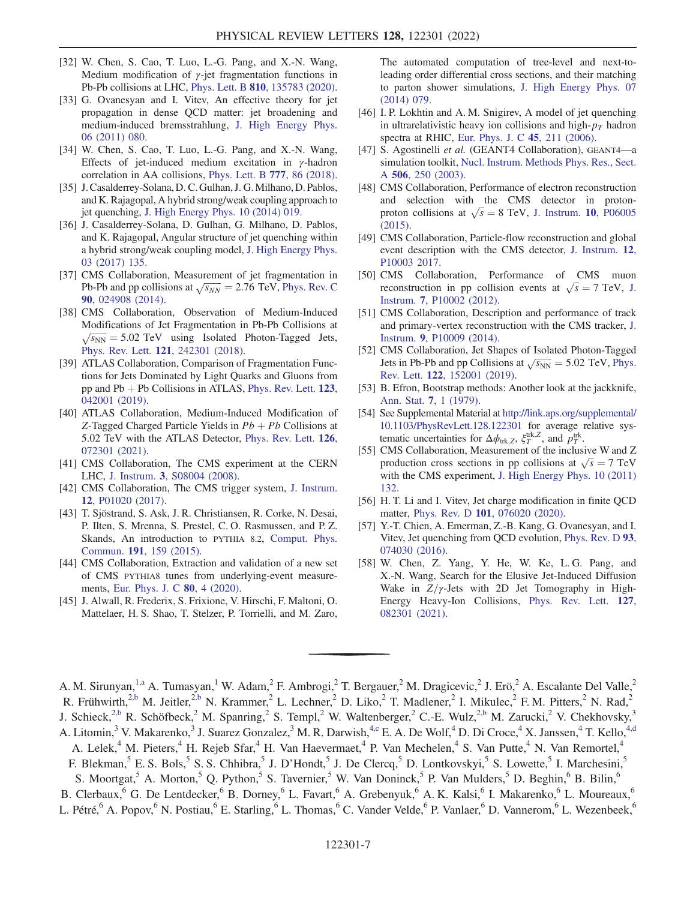- <span id="page-8-0"></span>[32] W. Chen, S. Cao, T. Luo, L.-G. Pang, and X.-N. Wang, Medium modification of  $\gamma$ -jet fragmentation functions in Pb-Pb collisions at LHC, Phys. Lett. B 810[, 135783 \(2020\).](https://doi.org/10.1016/j.physletb.2020.135783)
- <span id="page-8-1"></span>[33] G. Ovanesyan and I. Vitev, An effective theory for jet propagation in dense QCD matter: jet broadening and medium-induced bremsstrahlung, [J. High Energy Phys.](https://doi.org/10.1007/JHEP06(2011)080) [06 \(2011\) 080.](https://doi.org/10.1007/JHEP06(2011)080)
- <span id="page-8-2"></span>[34] W. Chen, S. Cao, T. Luo, L.-G. Pang, and X.-N. Wang, Effects of jet-induced medium excitation in  $\gamma$ -hadron correlation in AA collisions, [Phys. Lett. B](https://doi.org/10.1016/j.physletb.2017.12.015) 777, 86 (2018).
- <span id="page-8-3"></span>[35] J.Casalderrey-Solana, D. C. Gulhan, J. G.Milhano, D. Pablos, and K. Rajagopal, A hybrid strong/weak coupling approach to jet quenching, [J. High Energy Phys. 10 \(2014\) 019.](https://doi.org/10.1007/JHEP10(2014)019)
- <span id="page-8-4"></span>[36] J. Casalderrey-Solana, D. Gulhan, G. Milhano, D. Pablos, and K. Rajagopal, Angular structure of jet quenching within a hybrid strong/weak coupling model, [J. High Energy Phys.](https://doi.org/10.1007/JHEP03(2017)135) [03 \(2017\) 135.](https://doi.org/10.1007/JHEP03(2017)135)
- <span id="page-8-5"></span>[37] CMS Collaboration, Measurement of jet fragmentation in Pb-Pb and pp collisions at  $\sqrt{s_{NN}} = 2.76$  TeV, [Phys. Rev. C](https://doi.org/10.1103/PhysRevC.90.024908) 90[, 024908 \(2014\).](https://doi.org/10.1103/PhysRevC.90.024908)
- <span id="page-8-6"></span>[38] CMS Collaboration, Observation of Medium-Induced Modifications of Jet Fragmentation in Pb-Pb Collisions at  $\sqrt{s_{NN}}$  = 5.02 TeV using Isolated Photon-Tagged Jets, Phys. Rev. Lett. 121[, 242301 \(2018\).](https://doi.org/10.1103/PhysRevLett.121.242301)
- <span id="page-8-7"></span>[39] ATLAS Collaboration, Comparison of Fragmentation Functions for Jets Dominated by Light Quarks and Gluons from pp and  $Pb + Pb$  Collisions in ATLAS, [Phys. Rev. Lett.](https://doi.org/10.1103/PhysRevLett.123.042001) 123, [042001 \(2019\).](https://doi.org/10.1103/PhysRevLett.123.042001)
- <span id="page-8-8"></span>[40] ATLAS Collaboration, Medium-Induced Modification of Z-Tagged Charged Particle Yields in  $Pb + Pb$  Collisions at 5.02 TeV with the ATLAS Detector, [Phys. Rev. Lett.](https://doi.org/10.1103/PhysRevLett.126.072301) 126, [072301 \(2021\).](https://doi.org/10.1103/PhysRevLett.126.072301)
- <span id="page-8-9"></span>[41] CMS Collaboration, The CMS experiment at the CERN LHC, J. Instrum. 3[, S08004 \(2008\).](https://doi.org/10.1088/1748-0221/3/08/S08004)
- <span id="page-8-10"></span>[42] CMS Collaboration, The CMS trigger system, [J. Instrum.](https://doi.org/10.1088/1748-0221/12/01/P01020) 12[, P01020 \(2017\)](https://doi.org/10.1088/1748-0221/12/01/P01020).
- <span id="page-8-11"></span>[43] T. Sjöstrand, S. Ask, J. R. Christiansen, R. Corke, N. Desai, P. Ilten, S. Mrenna, S. Prestel, C. O. Rasmussen, and P. Z. Skands, An introduction to PYTHIA 8.2, [Comput. Phys.](https://doi.org/10.1016/j.cpc.2015.01.024) Commun. 191[, 159 \(2015\)](https://doi.org/10.1016/j.cpc.2015.01.024).
- <span id="page-8-12"></span>[44] CMS Collaboration, Extraction and validation of a new set of CMS PYTHIA8 tunes from underlying-event measurements, [Eur. Phys. J. C](https://doi.org/10.1140/epjc/s10052-019-7499-4) 80, 4 (2020).
- <span id="page-8-13"></span>[45] J. Alwall, R. Frederix, S. Frixione, V. Hirschi, F. Maltoni, O. Mattelaer, H. S. Shao, T. Stelzer, P. Torrielli, and M. Zaro,

The automated computation of tree-level and next-toleading order differential cross sections, and their matching to parton shower simulations, [J. High Energy Phys. 07](https://doi.org/10.1007/JHEP07(2014)079) [\(2014\) 079.](https://doi.org/10.1007/JHEP07(2014)079)

- <span id="page-8-14"></span>[46] I. P. Lokhtin and A. M. Snigirev, A model of jet quenching in ultrarelativistic heavy ion collisions and high- $p<sub>T</sub>$  hadron spectra at RHIC, [Eur. Phys. J. C](https://doi.org/10.1140/epjc/s2005-02426-3) 45, 211 (2006).
- <span id="page-8-15"></span>[47] S. Agostinelli et al. (GEANT4 Collaboration), GEANT4—a simulation toolkit, [Nucl. Instrum. Methods Phys. Res., Sect.](https://doi.org/10.1016/S0168-9002(03)01368-8) A 506[, 250 \(2003\).](https://doi.org/10.1016/S0168-9002(03)01368-8)
- <span id="page-8-16"></span>[48] CMS Collaboration, Performance of electron reconstruction and selection with the CMS detector in protonproton collisions at  $\sqrt{s} = 8$  TeV, [J. Instrum.](https://doi.org/10.1088/1748-0221/10/06/P06005) 10, P06005 [\(2015\).](https://doi.org/10.1088/1748-0221/10/06/P06005)
- <span id="page-8-17"></span>[49] CMS Collaboration, Particle-flow reconstruction and global event description with the CMS detector, [J. Instrum.](https://doi.org/10.1088/1748-0221/12/10/P10003) 12, [P10003 2017.](https://doi.org/10.1088/1748-0221/12/10/P10003)
- <span id="page-8-18"></span>[50] CMS Collaboration, Performance of CMS muon reconstruction in pp collision events at  $\sqrt{s} = 7$  TeV, [J.](https://doi.org/10.1088/1748-0221/7/10/P10002) Instrum. 7[, P10002 \(2012\).](https://doi.org/10.1088/1748-0221/7/10/P10002)
- <span id="page-8-19"></span>[51] CMS Collaboration, Description and performance of track and primary-vertex reconstruction with the CMS tracker, [J.](https://doi.org/10.1088/1748-0221/9/10/P10009) Instrum. 9[, P10009 \(2014\).](https://doi.org/10.1088/1748-0221/9/10/P10009)
- <span id="page-8-20"></span>[52] CMS Collaboration, Jet Shapes of Isolated Photon-Tagged Jets in Pb-Pb and pp Collisions at  $\sqrt{s_{NN}} = 5.02$  TeV, [Phys.](https://doi.org/10.1103/PhysRevLett.122.152001) Rev. Lett. 122[, 152001 \(2019\).](https://doi.org/10.1103/PhysRevLett.122.152001)
- <span id="page-8-21"></span>[53] B. Efron, Bootstrap methods: Another look at the jackknife, Ann. Stat. 7[, 1 \(1979\).](https://doi.org/10.1214/aos/1176344552)
- <span id="page-8-22"></span>[54] See Supplemental Material at [http://link.aps.org/supplemental/](http://link.aps.org/supplemental/10.1103/PhysRevLett.128.122301) [10.1103/PhysRevLett.128.122301](http://link.aps.org/supplemental/10.1103/PhysRevLett.128.122301) for average relative systematic uncertainties for  $\Delta \phi_{\text{trk},Z}$ ,  $\xi_T^{\text{trk},Z}$ , and  $\rho_T^{\text{trk}}$ .
- <span id="page-8-23"></span>[55] CMS Collaboration, Measurement of the inclusive W and Z production cross sections in pp collisions at  $\sqrt{s} = 7$  TeV with the CMS experiment, [J. High Energy Phys. 10 \(2011\)](https://doi.org/10.1007/JHEP10(2011)132) [132.](https://doi.org/10.1007/JHEP10(2011)132)
- <span id="page-8-24"></span>[56] H. T. Li and I. Vitev, Jet charge modification in finite QCD matter, Phys. Rev. D 101[, 076020 \(2020\)](https://doi.org/10.1103/PhysRevD.101.076020).
- <span id="page-8-25"></span>[57] Y.-T. Chien, A. Emerman, Z.-B. Kang, G. Ovanesyan, and I. Vitev, Jet quenching from QCD evolution, [Phys. Rev. D](https://doi.org/10.1103/PhysRevD.93.074030) 93, [074030 \(2016\).](https://doi.org/10.1103/PhysRevD.93.074030)
- <span id="page-8-26"></span>[58] W. Chen, Z. Yang, Y. He, W. Ke, L. G. Pang, and X.-N. Wang, Search for the Elusive Jet-Induced Diffusion Wake in  $Z/\gamma$ -Jets with 2D Jet Tomography in High-Energy Heavy-Ion Collisions, [Phys. Rev. Lett.](https://doi.org/10.1103/PhysRevLett.127.082301) 127, [082301 \(2021\).](https://doi.org/10.1103/PhysRevLett.127.082301)

<span id="page-8-28"></span><span id="page-8-27"></span>A. M. Sirunyan,<sup>1[,a](#page-18-0)</sup> A. Tumasyan,<sup>1</sup> W. Adam,<sup>2</sup> F. Ambrogi,<sup>2</sup> T. Bergauer,<sup>2</sup> M. Dragicevic,<sup>2</sup> J. Erö,<sup>2</sup> A. Escalante Del Valle,<sup>2</sup> R. Frühwirth,<sup>[2,b](#page-18-1)</sup> M. Jeitler,<sup>2[,b](#page-18-1)</sup> N. Krammer,<sup>2</sup> L. Lechner,<sup>2</sup> D. Liko,<sup>2</sup> T. Madlener,<sup>2</sup> I. Mikulec,<sup>2</sup> F. M. Pitters,<sup>2</sup> N. Rad,<sup>2</sup> J. Schieck,<sup>2[,b](#page-18-1)</sup> R. Schöfbeck,<sup>2</sup> M. Spanring,<sup>2</sup> S. Templ,<sup>2</sup> W. Waltenberger,<sup>2</sup> C.-E. Wulz,<sup>[2,b](#page-18-1)</sup> M. Zarucki,<sup>2</sup> V. Chekhovsky,<sup>3</sup> A. Litomin,<sup>3</sup> V. Makarenko,<sup>3</sup> J. Suarez Gonzalez,<sup>3</sup> M. R. Darwish,<sup>4[,c](#page-18-2)</sup> E. A. De Wolf,<sup>4</sup> D. Di Croce,<sup>4</sup> X. Janssen,<sup>4</sup> T. Kello,<sup>4[,d](#page-18-3)</sup>

<span id="page-8-29"></span>A. Lelek,<sup>4</sup> M. Pieters,<sup>4</sup> H. Rejeb Sfar,<sup>4</sup> H. Van Haevermaet,<sup>4</sup> P. Van Mechelen,<sup>4</sup> S. Van Putte,<sup>4</sup> N. Van Remortel,<sup>4</sup> F. Blekman,<sup>5</sup> E. S. Bols,<sup>5</sup> S. S. Chhibra,<sup>5</sup> J. D'Hondt,<sup>5</sup> J. De Clercq,<sup>5</sup> D. Lontkovskyi,<sup>5</sup> S. Lowette,<sup>5</sup> I. Marchesini,<sup>5</sup>

S. Moortgat,<sup>5</sup> A. Morton,<sup>5</sup> Q. Python,<sup>5</sup> S. Tavernier,<sup>5</sup> W. Van Doninck,<sup>5</sup> P. Van Mulders,<sup>5</sup> D. Beghin,<sup>6</sup> B. Bilin,<sup>6</sup> B. Clerbaux,<sup>6</sup> G. De Lentdecker,<sup>6</sup> B. Dorney,<sup>6</sup> L. Favart,<sup>6</sup> A. Grebenyuk,<sup>6</sup> A. K. Kalsi,<sup>6</sup> I. Makarenko,<sup>6</sup> L. Moureaux,<sup>6</sup>

L. Pétré,<sup>6</sup> A. Popov,<sup>6</sup> N. Postiau,<sup>6</sup> E. Starling,<sup>6</sup> L. Thomas,<sup>6</sup> C. Vander Velde,<sup>6</sup> P. Vanlaer,<sup>6</sup> D. Vannerom,<sup>6</sup> L. Wezenbeek,<sup>6</sup>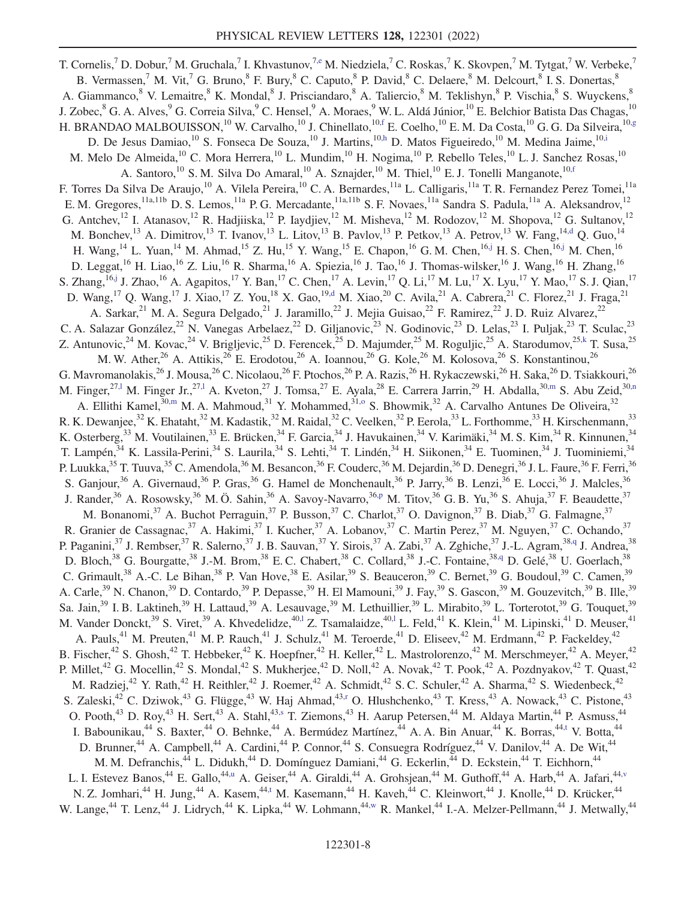<span id="page-9-15"></span><span id="page-9-14"></span><span id="page-9-13"></span><span id="page-9-12"></span><span id="page-9-11"></span><span id="page-9-10"></span><span id="page-9-9"></span><span id="page-9-8"></span><span id="page-9-7"></span><span id="page-9-6"></span><span id="page-9-5"></span><span id="page-9-4"></span><span id="page-9-3"></span><span id="page-9-2"></span><span id="page-9-1"></span><span id="page-9-0"></span>T. Cornelis,<sup>7</sup> D. Dobur,<sup>7</sup> M. Gruchala,<sup>7</sup> I. Khvastunov,<sup>7[,e](#page-18-4)</sup> M. Niedziela,<sup>7</sup> C. Roskas,<sup>7</sup> K. Skovpen,<sup>7</sup> M. Tytgat,<sup>7</sup> W. Verbeke,<sup>7</sup> B. Vermassen,<sup>7</sup> M. Vit,<sup>7</sup> G. Bruno,<sup>8</sup> F. Bury,<sup>8</sup> C. Caputo,<sup>8</sup> P. David,<sup>8</sup> C. Delaere,<sup>8</sup> M. Delcourt,<sup>8</sup> I. S. Donertas,<sup>8</sup> A. Giammanco,<sup>8</sup> V. Lemaitre,<sup>8</sup> K. Mondal,<sup>8</sup> J. Prisciandaro,<sup>8</sup> A. Taliercio,<sup>8</sup> M. Teklishyn,<sup>8</sup> P. Vischia,<sup>8</sup> S. Wuyckens,<sup>8</sup> J. Zobec, <sup>8</sup> G. A. Alves, <sup>9</sup> G. Correia Silva, <sup>9</sup> C. Hensel, <sup>9</sup> A. Moraes, <sup>9</sup> W. L. Aldá Júnior, <sup>10</sup> E. Belchior Batista Das Chagas, <sup>10</sup> H. BRANDAO MALBOUISSON,<sup>10</sup> W. Carvalho,<sup>10</sup> J. Chinellato,<sup>10[,f](#page-19-0)</sup> E. Coelho,<sup>10</sup> E. M. Da Costa,<sup>10</sup> G. G. Da Silveira,<sup>10[,g](#page-19-1)</sup> D. De Jesus Damiao,<sup>10</sup> S. Fonseca De Souza,<sup>10</sup> J. Martins,<sup>1[0,h](#page-19-2)</sup> D. Matos Figueiredo,<sup>10</sup> M. Medina Jaime,<sup>10[,i](#page-19-3)</sup> M. Melo De Almeida,<sup>10</sup> C. Mora Herrera,<sup>10</sup> L. Mundim,<sup>10</sup> H. Nogima,<sup>10</sup> P. Rebello Teles,<sup>10</sup> L. J. Sanchez Rosas,<sup>10</sup> A. Santoro,<sup>10</sup> S. M. Silva Do Amaral,<sup>10</sup> A. Sznajder,<sup>10</sup> M. Thiel,<sup>10</sup> E. J. Tonelli Manganote,<sup>10[,f](#page-19-0)</sup> F. Torres Da Silva De Araujo,<sup>10</sup> A. Vilela Pereira,<sup>10</sup> C. A. Bernardes,<sup>11a</sup> L. Calligaris,<sup>11a</sup> T. R. Fernandez Perez Tomei,<sup>11a</sup> E. M. Gregores,<sup>11a,11b</sup> D. S. Lemos,<sup>11a</sup> P. G. Mercadante,<sup>11a,11b</sup> S. F. Novaes,<sup>11a</sup> Sandra S. Padula,<sup>11a</sup> A. Aleksandrov,<sup>12</sup> G. Antchev,<sup>12</sup> I. Atanasov,<sup>12</sup> R. Hadjiiska,<sup>12</sup> P. Iaydjiev,<sup>12</sup> M. Misheva,<sup>12</sup> M. Rodozov,<sup>12</sup> M. Shopova,<sup>12</sup> G. Sultanov,<sup>12</sup> M. Bonchev,<sup>13</sup> A. Dimitrov,<sup>13</sup> T. Ivanov,<sup>13</sup> L. Litov,<sup>13</sup> B. Pavlov,<sup>13</sup> P. Petkov,<sup>13</sup> A. Petrov,<sup>13</sup> W. Fang,<sup>1[4,d](#page-18-3)</sup> Q. Guo,<sup>14</sup> H. Wang,<sup>14</sup> L. Yuan,<sup>14</sup> M. Ahmad,<sup>15</sup> Z. Hu,<sup>15</sup> Y. Wang,<sup>15</sup> E. Chapon,<sup>16</sup> G. M. Chen,<sup>16[,j](#page-19-4)</sup> H. S. Chen,<sup>1[6,j](#page-19-4)</sup> M. Chen,<sup>16</sup> D. Leggat,<sup>16</sup> H. Liao,<sup>16</sup> Z. Liu,<sup>16</sup> R. Sharma,<sup>16</sup> A. Spiezia,<sup>16</sup> J. Tao,<sup>16</sup> J. Thomas-wilsker,<sup>16</sup> J. Wang,<sup>16</sup> H. Zhang,<sup>16</sup> S. Zhang, <sup>16[,j](#page-19-4)</sup> J. Zhao, <sup>16</sup> A. Agapitos, <sup>17</sup> Y. Ban, <sup>17</sup> C. Chen, <sup>17</sup> A. Levin, <sup>17</sup> Q. Li, <sup>17</sup> M. Lu, <sup>17</sup> X. Lyu, <sup>17</sup> Y. Mao, <sup>17</sup> S. J. Qian, <sup>17</sup> D. Wang,<sup>17</sup> Q. Wang,<sup>17</sup> J. Xiao,<sup>17</sup> Z. You,<sup>18</sup> X. Gao,<sup>1[9,d](#page-18-3)</sup> M. Xiao,<sup>20</sup> C. Avila,<sup>21</sup> A. Cabrera,<sup>21</sup> C. Florez,<sup>21</sup> J. Fraga,<sup>21</sup> A. Sarkar,<sup>21</sup> M. A. Segura Delgado,<sup>21</sup> J. Jaramillo,<sup>22</sup> J. Mejia Guisao,<sup>22</sup> F. Ramirez,<sup>22</sup> J. D. Ruiz Alvarez,<sup>22</sup> C. A. Salazar González,<sup>22</sup> N. Vanegas Arbelaez,<sup>22</sup> D. Giljanovic,<sup>23</sup> N. Godinovic,<sup>23</sup> D. Lelas,<sup>23</sup> I. Puljak,<sup>23</sup> T. Sculac,<sup>23</sup> Z. Antunovic,<sup>24</sup> M. Kovac,<sup>24</sup> V. Brigljevic,<sup>25</sup> D. Ferencek,<sup>25</sup> D. Majumder,<sup>25</sup> M. Roguljic,<sup>25</sup> A. Starodumov,<sup>25[,k](#page-19-5)</sup> T. Susa,<sup>25</sup> M. W. Ather,<sup>26</sup> A. Attikis,<sup>26</sup> E. Erodotou,<sup>26</sup> A. Ioannou,<sup>26</sup> G. Kole,<sup>26</sup> M. Kolosova,<sup>26</sup> S. Konstantinou,<sup>26</sup> G. Mavromanolakis,<sup>26</sup> J. Mousa,<sup>26</sup> C. Nicolaou,<sup>26</sup> F. Ptochos,<sup>26</sup> P. A. Razis,<sup>26</sup> H. Rykaczewski,<sup>26</sup> H. Saka,<sup>26</sup> D. Tsiakkouri,<sup>26</sup> M. Finger,<sup>27[,l](#page-19-6)</sup> M. Finger Jr.,<sup>2[7,l](#page-19-6)</sup> A. Kveton,<sup>27</sup> J. Tomsa,<sup>27</sup> E. Ayala,<sup>28</sup> E. Carrera Jarrin,<sup>29</sup> H. Abdalla,<sup>30[,m](#page-19-7)</sup> S. Abu Zeid,<sup>30[,n](#page-19-8)</sup> A. Ellithi Kamel,<sup>3[0,m](#page-19-7)</sup> M. A. Mahmoud,<sup>31</sup> Y. Mohammed,<sup>3[1,o](#page-19-9)</sup> S. Bhowmik,<sup>32</sup> A. Carvalho Antunes De Oliveira,<sup>32</sup> R. K. Dewanjee,<sup>32</sup> K. Ehataht,<sup>32</sup> M. Kadastik,<sup>32</sup> M. Raidal,<sup>32</sup> C. Veelken,<sup>32</sup> P. Eerola,<sup>33</sup> L. Forthomme,<sup>33</sup> H. Kirschenmann,<sup>33</sup> K. Osterberg,<sup>33</sup> M. Voutilainen,<sup>33</sup> E. Brücken,<sup>34</sup> F. Garcia,<sup>34</sup> J. Havukainen,<sup>34</sup> V. Karimäki,<sup>34</sup> M. S. Kim,<sup>34</sup> R. Kinnunen,<sup>34</sup> T. Lampén,<sup>34</sup> K. Lassila-Perini,<sup>34</sup> S. Laurila,<sup>34</sup> S. Lehti,<sup>34</sup> T. Lindén,<sup>34</sup> H. Siikonen,<sup>34</sup> E. Tuominen,<sup>34</sup> J. Tuominiemi,<sup>34</sup> P. Luukka,<sup>35</sup> T. Tuuva,<sup>35</sup> C. Amendola,<sup>36</sup> M. Besancon,<sup>36</sup> F. Couderc,<sup>36</sup> M. Dejardin,<sup>36</sup> D. Denegri,<sup>36</sup> J. L. Faure,<sup>36</sup> F. Ferri,<sup>36</sup> S. Ganjour,<sup>36</sup> A. Givernaud,<sup>36</sup> P. Gras,<sup>36</sup> G. Hamel de Monchenault,<sup>36</sup> P. Jarry,<sup>36</sup> B. Lenzi,<sup>36</sup> E. Locci,<sup>36</sup> J. Malcles,<sup>36</sup> J. Rander,<sup>36</sup> A. Rosowsky,<sup>36</sup> M. Ö. Sahin,<sup>36</sup> A. Savoy-Navarro,<sup>36[,p](#page-19-10)</sup> M. Titov,<sup>36</sup> G. B. Yu,<sup>36</sup> S. Ahuja,<sup>37</sup> F. Beaudette,<sup>37</sup> M. Bonanomi,<sup>37</sup> A. Buchot Perraguin,<sup>37</sup> P. Busson,<sup>37</sup> C. Charlot,<sup>37</sup> O. Davignon,<sup>37</sup> B. Diab,<sup>37</sup> G. Falmagne,<sup>37</sup> R. Granier de Cassagnac,<sup>37</sup> A. Hakimi,<sup>37</sup> I. Kucher,<sup>37</sup> A. Lobanov,<sup>37</sup> C. Martin Perez,<sup>37</sup> M. Nguyen,<sup>37</sup> C. Ochando,<sup>37</sup> P. Paganini,<sup>37</sup> J. Rembser,<sup>37</sup> R. Salerno,<sup>37</sup> J. B. Sauvan,<sup>37</sup> Y. Sirois,<sup>37</sup> A. Zabi,<sup>37</sup> A. Zghiche,<sup>37</sup> J.-L. Agram,<sup>3[8,q](#page-19-11)</sup> J. Andrea,<sup>38</sup> D. Bloch,<sup>38</sup> G. Bourgatte,<sup>38</sup> J.-M. Brom,<sup>38</sup> E.C. Chabert,<sup>38</sup> C. Collard,<sup>38</sup> J.-C. Fontaine,<sup>38[,q](#page-19-11)</sup> D. Gelé,<sup>38</sup> U. Goerlach,<sup>38</sup> C. Grimault,<sup>38</sup> A.-C. Le Bihan,<sup>38</sup> P. Van Hove,<sup>38</sup> E. Asilar,<sup>39</sup> S. Beauceron,<sup>39</sup> C. Bernet,<sup>39</sup> G. Boudoul,<sup>39</sup> C. Camen,<sup>39</sup> A. Carle,<sup>39</sup> N. Chanon,<sup>39</sup> D. Contardo,<sup>39</sup> P. Depasse,<sup>39</sup> H. El Mamouni,<sup>39</sup> J. Fay,<sup>39</sup> S. Gascon,<sup>39</sup> M. Gouzevitch,<sup>39</sup> B. Ille,<sup>39</sup> Sa. Jain,<sup>39</sup> I. B. Laktineh,<sup>39</sup> H. Lattaud,<sup>39</sup> A. Lesauvage,<sup>39</sup> M. Lethuillier,<sup>39</sup> L. Mirabito,<sup>39</sup> L. Torterotot,<sup>39</sup> G. Touquet,<sup>39</sup> M. Vander Donckt,<sup>39</sup> S. Viret,<sup>39</sup> A. Khvedelidze,<sup>40[,l](#page-19-6)</sup> Z. Tsamalaidze,<sup>4[0,l](#page-19-6)</sup> L. Feld,<sup>41</sup> K. Klein,<sup>41</sup> M. Lipinski,<sup>41</sup> D. Meuser,<sup>41</sup> A. Pauls,<sup>41</sup> M. Preuten,<sup>41</sup> M. P. Rauch,<sup>41</sup> J. Schulz,<sup>41</sup> M. Teroerde,<sup>41</sup> D. Eliseev,<sup>42</sup> M. Erdmann,<sup>42</sup> P. Fackeldey,<sup>42</sup> B. Fischer,<sup>42</sup> S. Ghosh,<sup>42</sup> T. Hebbeker,<sup>42</sup> K. Hoepfner,<sup>42</sup> H. Keller,<sup>42</sup> L. Mastrolorenzo,<sup>42</sup> M. Merschmeyer,<sup>42</sup> A. Meyer,<sup>42</sup> P. Millet,<sup>42</sup> G. Mocellin,<sup>42</sup> S. Mondal,<sup>42</sup> S. Mukherjee,<sup>42</sup> D. Noll,<sup>42</sup> A. Novak,<sup>42</sup> T. Pook,<sup>42</sup> A. Pozdnyakov,<sup>42</sup> T. Quast,<sup>42</sup> M. Radziej,<sup>42</sup> Y. Rath,<sup>42</sup> H. Reithler,<sup>42</sup> J. Roemer,<sup>42</sup> A. Schmidt,<sup>42</sup> S. C. Schuler,<sup>42</sup> A. Sharma,<sup>42</sup> S. Wiedenbeck,<sup>42</sup> S. Zaleski,<sup>42</sup> C. Dziwok,<sup>43</sup> G. Flügge,<sup>43</sup> W. Haj Ahmad,<sup>43[,r](#page-19-12)</sup> O. Hlushchenko,<sup>43</sup> T. Kress,<sup>43</sup> A. Nowack,<sup>43</sup> C. Pistone,<sup>43</sup> O. Pooth,<sup>43</sup> D. Roy,<sup>43</sup> H. Sert,<sup>43</sup> A. Stahl,<sup>4[3,s](#page-19-13)</sup> T. Ziemons,<sup>43</sup> H. Aarup Petersen,<sup>44</sup> M. Aldaya Martin,<sup>44</sup> P. Asmuss,<sup>44</sup> I. Babounikau,<sup>44</sup> S. Baxter,<sup>44</sup> O. Behnke,<sup>44</sup> A. Bermúdez Martínez,<sup>44</sup> A. A. Bin Anuar,<sup>44</sup> K. Borras,<sup>44[,t](#page-19-14)</sup> V. Botta,<sup>44</sup> D. Brunner,<sup>44</sup> A. Campbell,<sup>44</sup> A. Cardini,<sup>44</sup> P. Connor,<sup>44</sup> S. Consuegra Rodríguez,<sup>44</sup> V. Danilov,<sup>44</sup> A. De Wit,<sup>44</sup> M. M. Defranchis,<sup>44</sup> L. Didukh,<sup>44</sup> D. Domínguez Damiani,<sup>44</sup> G. Eckerlin,<sup>44</sup> D. Eckstein,<sup>44</sup> T. Eichhorn,<sup>44</sup> L. I. Estevez Banos,<sup>44</sup> E. Gallo,<sup>4[4,u](#page-19-15)</sup> A. Geiser,<sup>44</sup> A. Giraldi,<sup>44</sup> A. Grohsjean,<sup>44</sup> M. Guthoff,<sup>44</sup> A. Harb,<sup>44</sup> A. Jafari,<sup>4[4,v](#page-19-16)</sup> N. Z. Jomhari,<sup>44</sup> H. Jung,<sup>44</sup> A. Kasem,<sup>4[4,t](#page-19-14)</sup> M. Kasemann,<sup>44</sup> H. Kaveh,<sup>44</sup> C. Kleinwort,<sup>44</sup> J. Knolle,<sup>44</sup> D. Krücker,<sup>44</sup> W. Lange,<sup>44</sup> T. Lenz,<sup>44</sup> J. Lidrych,<sup>44</sup> K. Lipka,<sup>44</sup> W. Lohmann,<sup>4[4,w](#page-19-17)</sup> R. Mankel,<sup>44</sup> I.-A. Melzer-Pellmann,<sup>44</sup> J. Metwally,<sup>44</sup>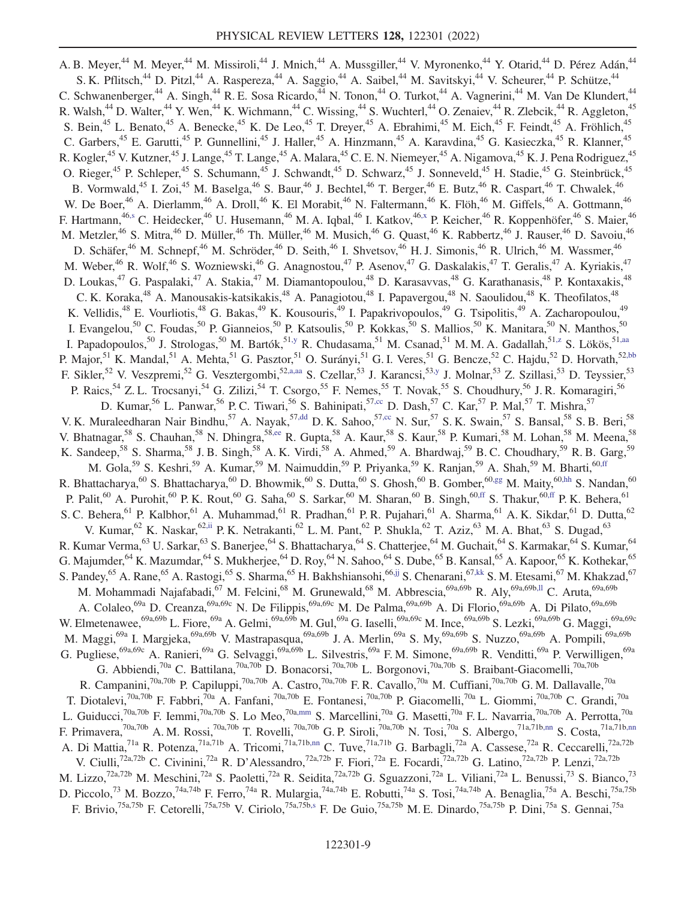<span id="page-10-12"></span><span id="page-10-11"></span><span id="page-10-10"></span><span id="page-10-9"></span><span id="page-10-8"></span><span id="page-10-7"></span><span id="page-10-6"></span><span id="page-10-5"></span><span id="page-10-4"></span><span id="page-10-3"></span><span id="page-10-2"></span><span id="page-10-1"></span><span id="page-10-0"></span>A. B. Meyer,<sup>44</sup> M. Meyer,<sup>44</sup> M. Missiroli,<sup>44</sup> J. Mnich,<sup>44</sup> A. Mussgiller,<sup>44</sup> V. Myronenko,<sup>44</sup> Y. Otarid,<sup>44</sup> D. Pérez Adán,<sup>44</sup> S. K. Pflitsch,<sup>44</sup> D. Pitzl,<sup>44</sup> A. Raspereza,<sup>44</sup> A. Saggio,<sup>44</sup> A. Saibel,<sup>44</sup> M. Savitskyi,<sup>44</sup> V. Scheurer,<sup>44</sup> P. Schütze,<sup>44</sup> C. Schwanenberger,<sup>44</sup> A. Singh,<sup>44</sup> R. E. Sosa Ricardo,<sup>44</sup> N. Tonon,<sup>44</sup> O. Turkot,<sup>44</sup> A. Vagnerini,<sup>44</sup> M. Van De Klundert,<sup>44</sup> R. Walsh,<sup>44</sup> D. Walter,<sup>44</sup> Y. Wen,<sup>44</sup> K. Wichmann,<sup>44</sup> C. Wissing,<sup>44</sup> S. Wuchterl,<sup>44</sup> O. Zenaiev,<sup>44</sup> R. Zlebcik,<sup>44</sup> R. Aggleton,<sup>45</sup> S. Bein,<sup>45</sup> L. Benato,<sup>45</sup> A. Benecke,<sup>45</sup> K. De Leo,<sup>45</sup> T. Dreyer,<sup>45</sup> A. Ebrahimi,<sup>45</sup> M. Eich,<sup>45</sup> F. Feindt,<sup>45</sup> A. Fröhlich,<sup>45</sup> C. Garbers,<sup>45</sup> E. Garutti,<sup>45</sup> P. Gunnellini,<sup>45</sup> J. Haller,<sup>45</sup> A. Hinzmann,<sup>45</sup> A. Karavdina,<sup>45</sup> G. Kasieczka,<sup>45</sup> R. Klanner,<sup>45</sup> R. Kogler,<sup>45</sup> V. Kutzner,<sup>45</sup> J. Lange,<sup>45</sup> T. Lange,<sup>45</sup> A. Malara,<sup>45</sup> C. E. N. Niemeyer,<sup>45</sup> A. Nigamova,<sup>45</sup> K. J. Pena Rodriguez,<sup>45</sup> O. Rieger,<sup>45</sup> P. Schleper,<sup>45</sup> S. Schumann,<sup>45</sup> J. Schwandt,<sup>45</sup> D. Schwarz,<sup>45</sup> J. Sonneveld,<sup>45</sup> H. Stadie,<sup>45</sup> G. Steinbrück,<sup>45</sup> B. Vormwald,<sup>45</sup> I. Zoi,<sup>45</sup> M. Baselga,<sup>46</sup> S. Baur,<sup>46</sup> J. Bechtel,<sup>46</sup> T. Berger,<sup>46</sup> E. Butz,<sup>46</sup> R. Caspart,<sup>46</sup> T. Chwalek,<sup>46</sup> W. De Boer,<sup>46</sup> A. Dierlamm,<sup>46</sup> A. Droll,<sup>46</sup> K. El Morabit,<sup>46</sup> N. Faltermann,<sup>46</sup> K. Flöh,<sup>46</sup> M. Giffels,<sup>46</sup> A. Gottmann,<sup>46</sup> F. Hartmann,<sup>4[6,s](#page-19-13)</sup> C. Heidecker,<sup>46</sup> U. Husemann,<sup>46</sup> M. A. Iqbal,<sup>46</sup> I. Katkov,<sup>4[6,x](#page-19-18)</sup> P. Keicher,<sup>46</sup> R. Koppenhöfer,<sup>46</sup> S. Maier,<sup>46</sup> M. Metzler,<sup>46</sup> S. Mitra,<sup>46</sup> D. Müller,<sup>46</sup> Th. Müller,<sup>46</sup> M. Musich,<sup>46</sup> G. Quast,<sup>46</sup> K. Rabbertz,<sup>46</sup> J. Rauser,<sup>46</sup> D. Savoiu,<sup>46</sup> D. Schäfer,<sup>46</sup> M. Schnepf,<sup>46</sup> M. Schröder,<sup>46</sup> D. Seith,<sup>46</sup> I. Shvetsov,<sup>46</sup> H. J. Simonis,<sup>46</sup> R. Ulrich,<sup>46</sup> M. Wassmer,<sup>46</sup> M. Weber,<sup>46</sup> R. Wolf,<sup>46</sup> S. Wozniewski,<sup>46</sup> G. Anagnostou,<sup>47</sup> P. Asenov,<sup>47</sup> G. Daskalakis,<sup>47</sup> T. Geralis,<sup>47</sup> A. Kyriakis,<sup>47</sup> D. Loukas,<sup>47</sup> G. Paspalaki,<sup>47</sup> A. Stakia,<sup>47</sup> M. Diamantopoulou,<sup>48</sup> D. Karasavvas,<sup>48</sup> G. Karathanasis,<sup>48</sup> P. Kontaxakis,<sup>48</sup> C. K. Koraka,<sup>48</sup> A. Manousakis-katsikakis,<sup>48</sup> A. Panagiotou,<sup>48</sup> I. Papavergou,<sup>48</sup> N. Saoulidou,<sup>48</sup> K. Theofilatos,<sup>48</sup> K. Vellidis,<sup>48</sup> E. Vourliotis,<sup>48</sup> G. Bakas,<sup>49</sup> K. Kousouris,<sup>49</sup> I. Papakrivopoulos,<sup>49</sup> G. Tsipolitis,<sup>49</sup> A. Zacharopoulou,<sup>49</sup> I. Evangelou,<sup>50</sup> C. Foudas,<sup>50</sup> P. Gianneios,<sup>50</sup> P. Katsoulis,<sup>50</sup> P. Kokkas,<sup>50</sup> S. Mallios,<sup>50</sup> K. Manitara,<sup>50</sup> N. Manthos,<sup>50</sup> I. Papadopoulos,<sup>50</sup> J. Strologas,<sup>50</sup> M. Bartók,<sup>5[1,y](#page-19-19)</sup> R. Chudasama,<sup>51</sup> M. Csanad,<sup>51</sup> M. M. A. Gadallah,<sup>5[1,z](#page-19-20)</sup> S. Lökös,<sup>51[,aa](#page-19-21)</sup> P. Major,<sup>51</sup> K. Mandal,<sup>51</sup> A. Mehta,<sup>51</sup> G. Pasztor,<sup>51</sup> O. Surányi,<sup>51</sup> G. I. Veres,<sup>51</sup> G. Bencze,<sup>52</sup> C. Hajdu,<sup>52</sup> D. Horvath,<sup>5[2,bb](#page-19-22)</sup> F. Sikler,<sup>52</sup> V. Veszpremi,<sup>52</sup> G. Vesztergombi,<sup>5[2,a,aa](#page-18-0)</sup> S. Czellar,<sup>53</sup> J. Karancsi,<sup>5[3,y](#page-19-19)</sup> J. Molnar,<sup>53</sup> Z. Szillasi,<sup>53</sup> D. Teyssier,<sup>53</sup> P. Raics,<sup>54</sup> Z. L. Trocsanyi,<sup>54</sup> G. Zilizi,<sup>54</sup> T. Csorgo,<sup>55</sup> F. Nemes,<sup>55</sup> T. Novak,<sup>55</sup> S. Choudhury,<sup>56</sup> J. R. Komaragiri,<sup>56</sup> D. Kumar,<sup>56</sup> L. Panwar,<sup>56</sup> P. C. Tiwari,<sup>56</sup> S. Bahinipati,<sup>5[7,cc](#page-19-23)</sup> D. Dash,<sup>57</sup> C. Kar,<sup>57</sup> P. Mal,<sup>57</sup> T. Mishra,<sup>57</sup> V. K. Muraleedharan Nair Bindhu,<sup>57</sup> A. Nayak,<sup>5[7,dd](#page-19-24)</sup> D. K. Sahoo,<sup>5[7,cc](#page-19-23)</sup> N. Sur,<sup>57</sup> S. K. Swain,<sup>57</sup> S. Bansal,<sup>58</sup> S. B. Beri,<sup>58</sup> V. Bhatnagar,<sup>58</sup> S. Chauhan,<sup>58</sup> N. Dhingra,<sup>58</sup>[,ee](#page-19-25) R. Gupta,<sup>58</sup> A. Kaur,<sup>58</sup> S. Kaur,<sup>58</sup> P. Kumari,<sup>58</sup> M. Lohan,<sup>58</sup> M. Meena,<sup>58</sup> K. Sandeep,<sup>58</sup> S. Sharma,<sup>58</sup> J. B. Singh,<sup>58</sup> A. K. Virdi,<sup>58</sup> A. Ahmed,<sup>59</sup> A. Bhardwaj,<sup>59</sup> B. C. Choudhary,<sup>59</sup> R. B. Garg,<sup>59</sup> M. Gola,<sup>59</sup> S. Keshri,<sup>59</sup> A. Kumar,<sup>59</sup> M. Naimuddin,<sup>59</sup> P. Priyanka,<sup>59</sup> K. Ranjan,<sup>59</sup> A. Shah,<sup>59</sup> M. Bharti,<sup>6[0,ff](#page-19-26)</sup> R. Bhattacharya,  $^{60}$  S. Bhattacharya,  $^{60}$  D. Bhowmik,  $^{60}$  S. Dutta,  $^{60}$  S. Ghosh,  $^{60}$  B. Gomber,  $^{60,gg}$  $^{60,gg}$  $^{60,gg}$  M. Maity,  $^{60,hh}$  $^{60,hh}$  $^{60,hh}$  S. Nandan,  $^{60}$ P. Palit,<sup>60</sup> A. Purohit,<sup>60</sup> P. K. Rout,<sup>60</sup> G. Saha,<sup>60</sup> S. Sarkar,<sup>60</sup> M. Sharan,<sup>60</sup> B. Singh,<sup>6[0,ff](#page-19-26)</sup> S. Thakur,<sup>60[,ff](#page-19-26)</sup> P. K. Behera,<sup>61</sup> S. C. Behera, <sup>61</sup> P. Kalbhor, <sup>61</sup> A. Muhammad, <sup>61</sup> R. Pradhan, <sup>61</sup> P. R. Pujahari, <sup>61</sup> A. Sharma, <sup>61</sup> A. K. Sikdar, <sup>61</sup> D. Dutta, <sup>62</sup> V. Kumar, <sup>62</sup> K. Naskar, <sup>6[2,ii](#page-19-29)</sup> P. K. Netrakanti, <sup>62</sup> L. M. Pant, <sup>62</sup> P. Shukla, <sup>62</sup> T. Aziz, <sup>63</sup> M. A. Bhat, <sup>63</sup> S. Dugad, <sup>63</sup> R. Kumar Verma,  $^{63}$  U. Sarkar,  $^{63}$  S. Banerjee,  $^{64}$  S. Bhattacharya,  $^{64}$  S. Chatterjee,  $^{64}$  M. Guchait,  $^{64}$  S. Karmakar,  $^{64}$  S. Kumar,  $^{64}$ G. Majumder, <sup>64</sup> K. Mazumdar, <sup>64</sup> S. Mukherjee, <sup>64</sup> D. Roy, <sup>64</sup> N. Sahoo, <sup>64</sup> S. Dube, <sup>65</sup> B. Kansal, <sup>65</sup> A. Kapoor, <sup>65</sup> K. Kothekar, <sup>65</sup> S. Pandey,<sup>65</sup> A. Rane,<sup>65</sup> A. Rastogi,<sup>65</sup> S. Sharma,<sup>65</sup> H. Bakhshiansohi,<sup>66[,jj](#page-19-30)</sup> S. Chenarani,<sup>6[7,kk](#page-19-31)</sup> S. M. Etesami,<sup>67</sup> M. Khakzad,<sup>67</sup> M. Mohammadi Najafabadi,<sup>67</sup> M. Felcini,<sup>68</sup> M. Grunewald,<sup>68</sup> M. Abbrescia,<sup>69a,69b</sup> R. Aly,<sup>69a,69b,11</sup> C. Aruta,<sup>69a,69b</sup> A. Colaleo,<sup>69a</sup> D. Creanza,<sup>69a,69c</sup> N. De Filippis,<sup>69a,69c</sup> M. De Palma,<sup>69a,69b</sup> A. Di Florio,<sup>69a,69b</sup> A. Di Pilato,<sup>69a,69b</sup> W. Elmetenawee,  $^{69a,69b}$  L. Fiore,  $^{69a}$  A. Gelmi,  $^{69a,69b}$  M. Gul,  $^{69a}$  G. Iaselli,  $^{69a,69c}$  M. Ince,  $^{69a,69b}$  S. Lezki,  $^{69a,69b}$  G. Maggi,  $^{69a,69c}$ M. Maggi,<sup>69a</sup> I. Margjeka,<sup>69a,69b</sup> V. Mastrapasqua,<sup>69a,69b</sup> J. A. Merlin,<sup>69a</sup> S. My,<sup>69a,69b</sup> S. Nuzzo,<sup>69a,69b</sup> A. Pompili,<sup>69a,69b</sup> G. Pugliese,<sup>69a,69c</sup> A. Ranieri,<sup>69a</sup> G. Selvaggi,<sup>69a,69b</sup> L. Silvestris,<sup>69a</sup> F.M. Simone,<sup>69a,69b</sup> R. Venditti,<sup>69a</sup> P. Verwilligen,<sup>69a</sup> G. Abbiendi,<sup>70a</sup> C. Battilana,<sup>70a,70b</sup> D. Bonacorsi,<sup>70a,70b</sup> L. Borgonovi,<sup>70a,70b</sup> S. Braibant-Giacomelli,<sup>70a,70b</sup> R. Campanini,<sup>70a,70b</sup> P. Capiluppi,<sup>70a,70b</sup> A. Castro,<sup>70a,70b</sup> F. R. Cavallo,<sup>70a</sup> M. Cuffiani,<sup>70a,70b</sup> G. M. Dallavalle,<sup>70a</sup> T. Diotalevi,<sup>70a,70b</sup> F. Fabbri,<sup>70a</sup> A. Fanfani,<sup>70a,70b</sup> E. Fontanesi,<sup>70a,70b</sup> P. Giacomelli,<sup>70a</sup> L. Giommi,<sup>70a,70b</sup> C. Grandi,<sup>70a</sup> L. Guiducci,<sup>70a,70b</sup> F. Iemmi,<sup>70a,70b</sup> S. Lo Meo,<sup>70[a,mm](#page-19-33)</sup> S. Marcellini,<sup>70a</sup> G. Masetti,<sup>70a</sup> F. L. Navarria,<sup>70a,70b</sup> A. Perrotta,<sup>70a</sup> F. Primavera,<sup>70a,70b</sup> A. M. Rossi,<sup>70a,70b</sup> T. Rovelli,<sup>70a,70b</sup> G. P. Siroli,<sup>70a,70b</sup> N. Tosi,<sup>70a</sup> S. Albergo,<sup>71a,71b[,nn](#page-19-34)</sup> S. Costa,<sup>71a,71[b,nn](#page-19-34)</sup> A. Di Mattia,<sup>71a</sup> R. Potenza,<sup>71a,71b</sup> A. Tricomi,<sup>71a,71b[,nn](#page-19-34)</sup> C. Tuve,<sup>71a,71b</sup> G. Barbagli,<sup>72a</sup> A. Cassese,<sup>72a</sup> R. Ceccarelli,<sup>72a,72b</sup> V. Ciulli,<sup>72a,72b</sup> C. Civinini,<sup>72a</sup> R. D'Alessandro,<sup>72a,72b</sup> F. Fiori,<sup>72a</sup> E. Focardi,<sup>72a,72b</sup> G. Latino,<sup>72a,72b</sup> P. Lenzi,<sup>72a,72b</sup> M. Lizzo,<sup>72a,72b</sup> M. Meschini,<sup>72a</sup> S. Paoletti,<sup>72a</sup> R. Seidita,<sup>72a,72b</sup> G. Sguazzoni,<sup>72a</sup> L. Viliani,<sup>72a</sup> L. Benussi,<sup>73</sup> S. Bianco,<sup>73</sup> D. Piccolo,<sup>73</sup> M. Bozzo,<sup>74a,74b</sup> F. Ferro,<sup>74a</sup> R. Mulargia,<sup>74a,74b</sup> E. Robutti,<sup>74a</sup> S. Tosi,<sup>74a,74b</sup> A. Benaglia,<sup>75a</sup> A. Beschi,<sup>75a,75b</sup> F. Brivio,<sup>75a,75b</sup> F. Cetorelli,<sup>75a,75b</sup> V. Ciriolo,<sup>75a,75[b,s](#page-19-13)</sup> F. De Guio,<sup>75a,75b</sup> M. E. Dinardo,<sup>75a,75b</sup> P. Dini,<sup>75a</sup> S. Gennai,<sup>75a</sup>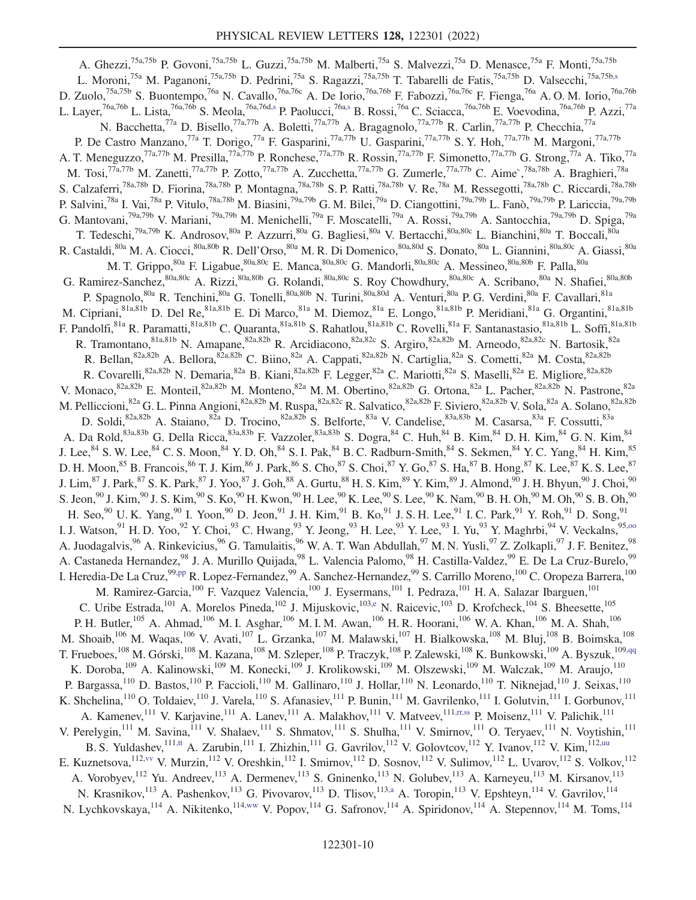<span id="page-11-6"></span><span id="page-11-5"></span><span id="page-11-4"></span><span id="page-11-3"></span><span id="page-11-2"></span><span id="page-11-1"></span><span id="page-11-0"></span>A. Ghezzi,<sup>75a,75b</sup> P. Govoni,<sup>75a,75b</sup> L. Guzzi,<sup>75a,75b</sup> M. Malberti,<sup>75a</sup> S. Malvezzi,<sup>75a</sup> D. Menasce,<sup>75a</sup> F. Monti,<sup>75a,75b</sup> L. Moroni,<sup>75a</sup> M. Paganoni,<sup>75a,75b</sup> D. Pedrini,<sup>75a</sup> S. Ragazzi,<sup>75a,75b</sup> T. Tabarelli de Fatis,<sup>75a,75b</sup> D. Valsecchi,<sup>75a,75[b,s](#page-19-13)</sup> D. Zuolo,<sup>75a,75b</sup> S. Buontempo,<sup>76a</sup> N. Cavallo,<sup>76a,76c</sup> A. De Iorio,<sup>76a,76b</sup> F. Fabozzi,<sup>76a,76c</sup> F. Fienga,<sup>76a</sup> A. O. M. Iorio,<sup>76a,76b</sup> L. Layer,<sup>76a,76b</sup> L. Lista,<sup>76a,76b</sup> S. Meola,<sup>76a,76[d,s](#page-19-13)</sup> P. Paolucci,<sup>76[a,s](#page-19-13)</sup> B. Rossi,<sup>76a</sup> C. Sciacca,<sup>76a,76b</sup> E. Voevodina,<sup>76a,76b</sup> P. Azzi,<sup>77a</sup> N. Bacchetta,<sup>77a</sup> D. Bisello,<sup>77a,77b</sup> A. Boletti,<sup>77a,77b</sup> A. Bragagnolo,<sup>77a,77b</sup> R. Carlin,<sup>77a,77b</sup> P. Checchia,<sup>77a</sup> P. De Castro Manzano,<sup>77a</sup> T. Dorigo,<sup>77a</sup> F. Gasparini,<sup>77a,77b</sup> U. Gasparini,<sup>77a,77b</sup> S. Y. Hoh,<sup>77a,77b</sup> M. Margoni,<sup>77a,77b</sup> A. T. Meneguzzo,<sup>77a,77b</sup> M. Presilla,<sup>77a,77b</sup> P. Ronchese,<sup>77a,77b</sup> R. Rossin,<sup>77a,77b</sup> F. Simonetto,<sup>77a,77b</sup> G. Strong,<sup>77a</sup> A. Tiko,<sup>77a</sup> M. Tosi,<sup>77a,77b</sup> M. Zanetti,<sup>77a,77b</sup> P. Zotto,<sup>77a,77b</sup> A. Zucchetta,<sup>77a,77b</sup> G. Zumerle,<sup>77a,77b</sup> C. Aime`,<sup>78a,78b</sup> A. Braghieri,<sup>78a</sup> S. Calzaferri,<sup>78a,78b</sup> D. Fiorina,<sup>78a,78b</sup> P. Montagna,<sup>78a,78b</sup> S. P. Ratti,<sup>78a,78b</sup> V. Re,<sup>78a</sup> M. Ressegotti,<sup>78a,78b</sup> C. Riccardi,<sup>78a,78b</sup> P. Salvini,<sup>78a</sup> I. Vai,<sup>78a</sup> P. Vitulo,<sup>78a,78b</sup> M. Biasini,<sup>79a,79b</sup> G. M. Bilei,<sup>79a</sup> D. Ciangottini,<sup>79a,79b</sup> L. Fanò,<sup>79a,79b</sup> P. Lariccia,<sup>79a,79b</sup> G. Mantovani,<sup>79a,79b</sup> V. Mariani,<sup>79a,79b</sup> M. Menichelli,<sup>79a</sup> F. Moscatelli,<sup>79a</sup> A. Rossi,<sup>79a,79b</sup> A. Santocchia,<sup>79a,79b</sup> D. Spiga,<sup>79a</sup> T. Tedeschi,<sup>79a,79b</sup> K. Androsov,<sup>80a</sup> P. Azzurri,<sup>80a</sup> G. Bagliesi,<sup>80a</sup> V. Bertacchi,<sup>80a,80c</sup> L. Bianchini,<sup>80a</sup> T. Boccali,<sup>80a</sup> R. Castaldi,<sup>80a</sup> M. A. Ciocci,<sup>80a,80b</sup> R. Dell'Orso,<sup>80a</sup> M. R. Di Domenico,<sup>80a,80d</sup> S. Donato,<sup>80a</sup> L. Giannini,<sup>80a,80c</sup> A. Giassi,<sup>80a</sup> M. T. Grippo,  $^{80a}$  F. Ligabue,  $^{80a,80c}$  E. Manca,  $^{80a,80c}$  G. Mandorli,  $^{80a,80c}$  A. Messineo,  $^{80a,80b}$  F. Palla,  $^{80a}$ G. Ramirez-Sanchez,  $80a,80c$  A. Rizzi,  $80a,80b$  G. Rolandi,  $80a,80c$  S. Roy Chowdhury,  $80a,80c$  A. Scribano,  $80a$  N. Shafiei,  $80a,80b$ P. Spagnolo,<sup>80a</sup> R. Tenchini,<sup>80a</sup> G. Tonelli,<sup>80a,80b</sup> N. Turini,<sup>80a,80d</sup> A. Venturi,<sup>80a</sup> P. G. Verdini,<sup>80a</sup> F. Cavallari,<sup>81a</sup> M. Cipriani,<sup>81a,81b</sup> D. Del Re,<sup>81a,81b</sup> E. Di Marco,<sup>81a</sup> M. Diemoz,<sup>81a</sup> E. Longo,<sup>81a,81b</sup> P. Meridiani,<sup>81a</sup> G. Organtini,<sup>81a,81b</sup> F. Pandolfi,<sup>81a</sup> R. Paramatti,<sup>81a,81b</sup> C. Quaranta,<sup>81a,81b</sup> S. Rahatlou,<sup>81a,81b</sup> C. Rovelli,<sup>81a</sup> F. Santanastasio,<sup>81a,81b</sup> L. Soffi,<sup>81a,81b</sup> R. Tramontano, <sup>81a,81b</sup> N. Amapane, <sup>82a,82b</sup> R. Arcidiacono, <sup>82a,82c</sup> S. Argiro, <sup>82a,82b</sup> M. Arneodo, <sup>82a,82c</sup> N. Bartosik, <sup>82a</sup> R. Bellan, <sup>82a,82b</sup> A. Bellora, <sup>82a,82b</sup> C. Biino, <sup>82a</sup> A. Cappati, <sup>82a,82b</sup> N. Cartiglia, <sup>82a</sup> S. Cometti, <sup>82a</sup> M. Costa, <sup>82a,82b</sup> R. Covarelli,<sup>82a,82b</sup> N. Demaria,<sup>82a</sup> B. Kiani,<sup>82a,82b</sup> F. Legger,<sup>82a</sup> C. Mariotti,<sup>82a</sup> S. Maselli,<sup>82a</sup> E. Migliore,<sup>82a,82b</sup> V. Monaco,  $82a,82b$  E. Monteil,  $82a,82b$  M. Monteno,  $82a$  M. M. Obertino,  $82a,82b$  G. Ortona,  $82a$  L. Pacher,  $82a,82b$  N. Pastrone,  $82a$ M. Pelliccioni,<sup>82a</sup> G. L. Pinna Angioni,<sup>82a,82b</sup> M. Ruspa,<sup>82a,82c</sup> R. Salvatico,<sup>82a,82b</sup> F. Siviero,<sup>82a,82b</sup> V. Sola,<sup>82a</sup> A. Solano,<sup>82a,82b</sup> D. Soldi,<sup>82a,82b</sup> A. Staiano,<sup>82a</sup> D. Trocino,<sup>82a,82b</sup> S. Belforte,<sup>83a</sup> V. Candelise,<sup>83a,83b</sup> M. Casarsa,<sup>83a</sup> F. Cossutti,<sup>83a</sup> A. Da Rold,<sup>83a,83b</sup> G. Della Ricca,<sup>83a,83b</sup> F. Vazzoler,<sup>83a,83b</sup> S. Dogra,<sup>84</sup> C. Huh,<sup>84</sup> B. Kim,<sup>84</sup> D. H. Kim,<sup>84</sup> G. N. Kim,<sup>84</sup> J. Lee,  $84$  S. W. Lee,  $84$  C. S. Moon,  $84$  Y. D. Oh,  $84$  S. I. Pak,  $84$  B. C. Radburn-Smith,  $84$  S. Sekmen,  $84$  Y. C. Yang,  $84$  H. Kim,  $85$ D. H. Moon,  $85$  B. Francois,  $86$  T. J. Kim,  $86$  J. Park,  $86$  S. Cho,  $87$  S. Choi,  $87$  Y. Go,  $87$  S. Ha,  $87$  B. Hong,  $87$  K. Lee,  $87$  K. S. Lee,  $87$ J. Lim, $^{87}$  J. Park, $^{87}$  S. K. Park, $^{87}$  J. Yoo, $^{87}$  J. Goh, $^{88}$  A. Gurtu, $^{88}$  H. S. Kim, $^{89}$  Y. Kim, $^{89}$  J. Almond, $^{90}$  J. H. Bhyun, $^{90}$  J. Choi, $^{90}$ S. Jeon,  $90$  J. Kim,  $90$  J. S. Kim,  $90$  S. Ko,  $90$  H. Kwon,  $90$  H. Lee,  $90$  K. Lee,  $90$  S. Lee,  $90$  K. Nam,  $90$  B. H. Oh,  $90$  M. Oh,  $90$  S. B. Oh,  $90$ H. Seo,<sup>90</sup> U. K. Yang,<sup>90</sup> I. Yoon,<sup>90</sup> D. Jeon,<sup>91</sup> J. H. Kim,<sup>91</sup> B. Ko,<sup>91</sup> J. S. H. Lee,<sup>91</sup> I. C. Park,<sup>91</sup> Y. Roh,<sup>91</sup> D. Song,<sup>91</sup> I. J. Watson,  $91$  H. D. Yoo,  $92$  Y. Choi,  $93$  C. Hwang,  $93$  Y. Jeong,  $93$  H. Lee,  $93$  Y. Lee,  $93$  I. Yu,  $93$  Y. Maghrbi,  $94$  V. Veckalns,  $95,00$ A. Juodagalvis,<sup>96</sup> A. Rinkevicius,<sup>96</sup> G. Tamulaitis,<sup>96</sup> W. A. T. Wan Abdullah,<sup>97</sup> M. N. Yusli,<sup>97</sup> Z. Zolkapli,<sup>97</sup> J. F. Benitez,<sup>98</sup> A. Castaneda Hernandez,<sup>98</sup> J. A. Murillo Quijada,<sup>98</sup> L. Valencia Palomo,<sup>98</sup> H. Castilla-Valdez,<sup>99</sup> E. De La Cruz-Burelo,<sup>99</sup> I. Heredia-De La Cruz, <sup>99[,pp](#page-19-36)</sup> R. Lopez-Fernandez, <sup>99</sup> A. Sanchez-Hernandez, <sup>99</sup> S. Carrillo Moreno, <sup>100</sup> C. Oropeza Barrera, <sup>100</sup> M. Ramirez-Garcia,<sup>100</sup> F. Vazquez Valencia,<sup>100</sup> J. Eysermans,<sup>101</sup> I. Pedraza,<sup>101</sup> H. A. Salazar Ibarguen,<sup>101</sup> C. Uribe Estrada,<sup>101</sup> A. Morelos Pineda,<sup>102</sup> J. Mijuskovic,<sup>103[,e](#page-18-4)</sup> N. Raicevic,<sup>103</sup> D. Krofcheck,<sup>104</sup> S. Bheesette,<sup>105</sup> P. H. Butler,<sup>105</sup> A. Ahmad,<sup>106</sup> M. I. Asghar,<sup>106</sup> M. I. M. Awan,<sup>106</sup> H. R. Hoorani,<sup>106</sup> W. A. Khan,<sup>106</sup> M. A. Shah,<sup>106</sup> M. Shoaib,<sup>106</sup> M. Waqas,<sup>106</sup> V. Avati,<sup>107</sup> L. Grzanka,<sup>107</sup> M. Malawski,<sup>107</sup> H. Bialkowska,<sup>108</sup> M. Bluj,<sup>108</sup> B. Boimska,<sup>108</sup> T. Frueboes,  $^{108}$  M. Górski, $^{108}$  M. Kazana, $^{108}$  M. Szleper, $^{108}$  P. Traczyk,  $^{108}$  P. Zalewski,  $^{108}$  K. Bunkowski,  $^{109}$  A. Byszuk,  $^{109,\mathrm{qq}}$ K. Doroba, 109 A. Kalinowski, 109 M. Konecki, <sup>109</sup> J. Krolikowski, <sup>109</sup> M. Olszewski, <sup>109</sup> M. Walczak, <sup>109</sup> M. Araujo, <sup>110</sup> P. Bargassa,<sup>110</sup> D. Bastos,<sup>110</sup> P. Faccioli,<sup>110</sup> M. Gallinaro,<sup>110</sup> J. Hollar,<sup>110</sup> N. Leonardo,<sup>110</sup> T. Niknejad,<sup>110</sup> J. Seixas,<sup>110</sup> K. Shchelina,<sup>110</sup> O. Toldaiev,<sup>110</sup> J. Varela,<sup>110</sup> S. Afanasiev,<sup>111</sup> P. Bunin,<sup>111</sup> M. Gavrilenko,<sup>111</sup> I. Golutvin,<sup>111</sup> I. Gorbunov,<sup>111</sup> A. Kamenev,<sup>111</sup> V. Karjavine,<sup>111</sup> A. Lanev,<sup>111</sup> A. Malakhov,<sup>111</sup> V. Matveev,<sup>111, rr,ss</sup> P. Moisenz,<sup>111</sup> V. Palichik,<sup>111</sup> V. Perelygin,<sup>111</sup> M. Savina,<sup>111</sup> V. Shalaev,<sup>111</sup> S. Shmatov,<sup>111</sup> S. Shulha,<sup>111</sup> V. Smirnov,<sup>111</sup> O. Teryaev,<sup>111</sup> N. Voytishin,<sup>111</sup> B. S. Yuldashev,<sup>111[,tt](#page-19-39)</sup> A. Zarubin,<sup>111</sup> I. Zhizhin,<sup>111</sup> G. Gavrilov,<sup>112</sup> V. Golovtcov,<sup>112</sup> Y. Ivanov,<sup>112</sup> V. Kim,<sup>112[,uu](#page-19-40)</sup> E. Kuznetsova,  $^{112}$ , vv V. Murzin,  $^{112}$  V. Oreshkin,  $^{112}$  I. Smirnov,  $^{112}$  D. Sosnov,  $^{112}$  V. Sulimov,  $^{112}$  L. Uvarov,  $^{112}$  S. Volkov,  $^{112}$ A. Vorobyev,<sup>112</sup> Yu. Andreev,<sup>113</sup> A. Dermenev,<sup>113</sup> S. Gninenko,<sup>113</sup> N. Golubev,<sup>113</sup> A. Karneyeu,<sup>113</sup> M. Kirsanov,<sup>113</sup> N. Krasnikov,<sup>113</sup> A. Pashenkov,<sup>113</sup> G. Pivovarov,<sup>113</sup> D. Tlisov,<sup>113[,a](#page-18-0)</sup> A. Toropin,<sup>113</sup> V. Epshteyn,<sup>114</sup> V. Gavrilov,<sup>114</sup> N. Lychkovskaya,<sup>114</sup> A. Nikitenko,<sup>11[4,ww](#page-19-42)</sup> V. Popov,<sup>114</sup> G. Safronov,<sup>114</sup> A. Spiridonov,<sup>114</sup> A. Stepennov,<sup>114</sup> M. Toms,<sup>114</sup>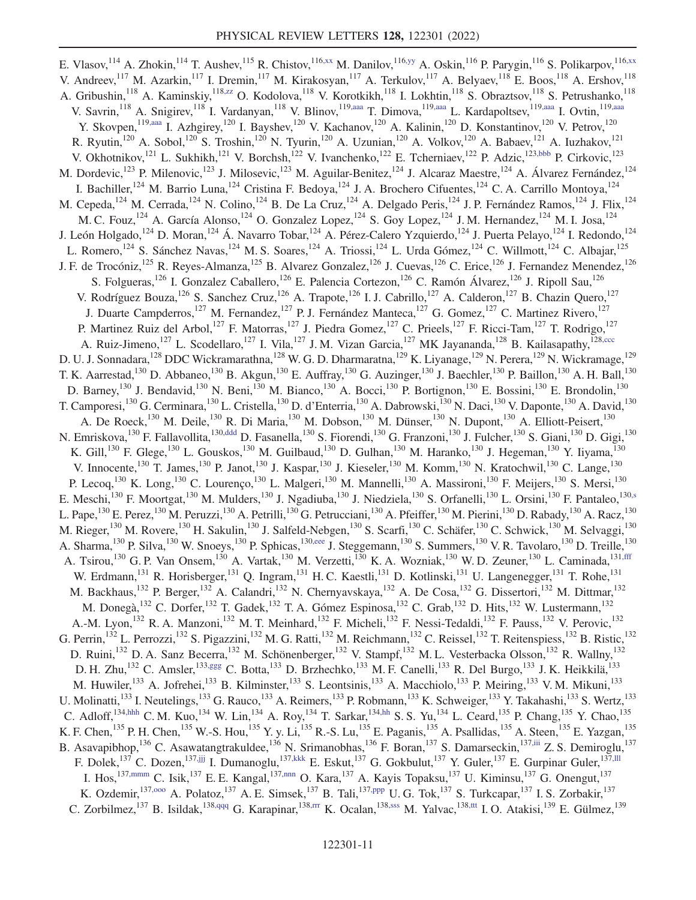<span id="page-12-14"></span><span id="page-12-13"></span><span id="page-12-12"></span><span id="page-12-11"></span><span id="page-12-10"></span><span id="page-12-9"></span><span id="page-12-8"></span><span id="page-12-7"></span><span id="page-12-6"></span><span id="page-12-5"></span><span id="page-12-4"></span><span id="page-12-3"></span><span id="page-12-2"></span><span id="page-12-1"></span><span id="page-12-0"></span>E. Vlasov,<sup>114</sup> A. Zhokin,<sup>114</sup> T. Aushev,<sup>115</sup> R. Chistov,<sup>11[6,xx](#page-19-43)</sup> M. Danilov,<sup>116[,yy](#page-19-44)</sup> A. Oskin,<sup>116</sup> P. Parygin,<sup>116</sup> S. Polikarpov,<sup>116,xx</sup> V. Andreev,<sup>117</sup> M. Azarkin,<sup>117</sup> I. Dremin,<sup>117</sup> M. Kirakosyan,<sup>117</sup> A. Terkulov,<sup>117</sup> A. Belyaev,<sup>118</sup> E. Boos,<sup>118</sup> A. Ershov,<sup>118</sup> A. Gribushin, <sup>118</sup> A. Kaminskiy, <sup>11[8,zz](#page-19-45)</sup> O. Kodolova, <sup>118</sup> V. Korotkikh, <sup>118</sup> I. Lokhtin, <sup>118</sup> S. Obraztsov, <sup>118</sup> S. Petrushanko, <sup>118</sup> V. Savrin, <sup>118</sup> A. Snigirev, <sup>118</sup> I. Vardanyan, <sup>118</sup> V. Blinov, <sup>119, aaa</sup> T. Dimova, <sup>119, aaa</sup> L. Kardapoltsev, <sup>119, aaa</sup> I. Ovtin, <sup>119, aaa</sup> Y. Skovpen,<sup>11[9,aaa](#page-19-46)</sup> I. Azhgirey,<sup>120</sup> I. Bayshev,<sup>120</sup> V. Kachanov,<sup>120</sup> A. Kalinin,<sup>120</sup> D. Konstantinov,<sup>120</sup> V. Petrov,<sup>120</sup> R. Ryutin,<sup>120</sup> A. Sobol,<sup>120</sup> S. Troshin,<sup>120</sup> N. Tyurin,<sup>120</sup> A. Uzunian,<sup>120</sup> A. Volkov,<sup>120</sup> A. Babaev,<sup>121</sup> A. Iuzhakov,<sup>121</sup> V. Okhotnikov,<sup>121</sup> L. Sukhikh,<sup>121</sup> V. Borchsh,<sup>122</sup> V. Ivanchenko,<sup>122</sup> E. Tcherniaev,<sup>122</sup> P. Adzic,<sup>12[3,bbb](#page-19-47)</sup> P. Cirkovic,<sup>123</sup> M. Dordevic,<sup>123</sup> P. Milenovic,<sup>123</sup> J. Milosevic,<sup>123</sup> M. Aguilar-Benitez,<sup>124</sup> J. Alcaraz Maestre,<sup>124</sup> A. Álvarez Fernández,<sup>124</sup> I. Bachiller,<sup>124</sup> M. Barrio Luna,<sup>124</sup> Cristina F. Bedoya,<sup>124</sup> J. A. Brochero Cifuentes,<sup>124</sup> C. A. Carrillo Montoya,<sup>124</sup> M. Cepeda,<sup>124</sup> M. Cerrada,<sup>124</sup> N. Colino,<sup>124</sup> B. De La Cruz,<sup>124</sup> A. Delgado Peris,<sup>124</sup> J. P. Fernández Ramos,<sup>124</sup> J. Flix,<sup>124</sup> M. C. Fouz, <sup>124</sup> A. García Alonso, <sup>124</sup> O. Gonzalez Lopez, <sup>124</sup> S. Goy Lopez, <sup>124</sup> J. M. Hernandez, <sup>124</sup> M. I. Josa, <sup>124</sup> J. León Holgado,<sup>124</sup> D. Moran,<sup>124</sup> Á. Navarro Tobar,<sup>124</sup> A. Pérez-Calero Yzquierdo,<sup>124</sup> J. Puerta Pelayo,<sup>124</sup> I. Redondo,<sup>124</sup> L. Romero,<sup>124</sup> S. Sánchez Navas,<sup>124</sup> M. S. Soares,<sup>124</sup> A. Triossi,<sup>124</sup> L. Urda Gómez,<sup>124</sup> C. Willmott,<sup>124</sup> C. Albajar,<sup>125</sup> J. F. de Trocóniz,<sup>125</sup> R. Reyes-Almanza,<sup>125</sup> B. Alvarez Gonzalez,<sup>126</sup> J. Cuevas,<sup>126</sup> C. Erice,<sup>126</sup> J. Fernandez Menendez,<sup>126</sup> S. Folgueras,<sup>126</sup> I. Gonzalez Caballero,<sup>126</sup> E. Palencia Cortezon,<sup>126</sup> C. Ramón Álvarez,<sup>126</sup> J. Ripoll Sau,<sup>126</sup> V. Rodríguez Bouza,<sup>126</sup> S. Sanchez Cruz,<sup>126</sup> A. Trapote,<sup>126</sup> I. J. Cabrillo,<sup>127</sup> A. Calderon,<sup>127</sup> B. Chazin Quero,<sup>127</sup> J. Duarte Campderros,<sup>127</sup> M. Fernandez,<sup>127</sup> P. J. Fernández Manteca,<sup>127</sup> G. Gomez,<sup>127</sup> C. Martinez Rivero,<sup>127</sup> P. Martinez Ruiz del Arbol,<sup>127</sup> F. Matorras,<sup>127</sup> J. Piedra Gomez,<sup>127</sup> C. Prieels,<sup>127</sup> F. Ricci-Tam,<sup>127</sup> T. Rodrigo,<sup>127</sup> A. Ruiz-Jimeno,<sup>127</sup> L. Scodellaro,<sup>127</sup> I. Vila,<sup>127</sup> J. M. Vizan Garcia,<sup>127</sup> MK Jayananda,<sup>128</sup> B. Kailasapathy,<sup>128[,ccc](#page-19-48)</sup> D. U. J. Sonnadara,<sup>128</sup> DDC Wickramarathna,<sup>128</sup> W. G. D. Dharmaratna,<sup>129</sup> K. Liyanage,<sup>129</sup> N. Perera,<sup>129</sup> N. Wickramage,<sup>129</sup> T. K. Aarrestad,<sup>130</sup> D. Abbaneo,<sup>130</sup> B. Akgun,<sup>130</sup> E. Auffray,<sup>130</sup> G. Auzinger,<sup>130</sup> J. Baechler,<sup>130</sup> P. Baillon,<sup>130</sup> A. H. Ball,<sup>130</sup> D. Barney,<sup>130</sup> J. Bendavid,<sup>130</sup> N. Beni,<sup>130</sup> M. Bianco,<sup>130</sup> A. Bocci,<sup>130</sup> P. Bortignon,<sup>130</sup> E. Bossini,<sup>130</sup> E. Brondolin,<sup>130</sup> T. Camporesi,<sup>130</sup> G. Cerminara,<sup>130</sup> L. Cristella,<sup>130</sup> D. d'Enterria,<sup>130</sup> A. Dabrowski,<sup>130</sup> N. Daci,<sup>130</sup> V. Daponte,<sup>130</sup> A. David,<sup>130</sup> A. De Roeck,<sup>130</sup> M. Deile,<sup>130</sup> R. Di Maria,<sup>130</sup> M. Dobson,<sup>130</sup> M. Dünser,<sup>130</sup> N. Dupont,<sup>130</sup> A. Elliott-Peisert,<sup>130</sup> N. Emriskova,<sup>130</sup> F. Fallavollita,<sup>130</sup>,ddd D. Fasanella,<sup>130</sup> S. Fiorendi,<sup>130</sup> G. Franzoni,<sup>130</sup> J. Fulcher,<sup>130</sup> S. Giani,<sup>130</sup> D. Gigi,<sup>130</sup> K. Gill,<sup>130</sup> F. Glege,<sup>130</sup> L. Gouskos,<sup>130</sup> M. Guilbaud,<sup>130</sup> D. Gulhan,<sup>130</sup> M. Haranko,<sup>130</sup> J. Hegeman,<sup>130</sup> Y. Iiyama,<sup>130</sup> V. Innocente,<sup>130</sup> T. James,<sup>130</sup> P. Janot,<sup>130</sup> J. Kaspar,<sup>130</sup> J. Kieseler,<sup>130</sup> M. Komm,<sup>130</sup> N. Kratochwil,<sup>130</sup> C. Lange,<sup>130</sup> P. Lecoq, <sup>130</sup> K. Long, <sup>130</sup> C. Lourenço, <sup>130</sup> L. Malgeri, <sup>130</sup> M. Mannelli, <sup>130</sup> A. Massironi, <sup>130</sup> F. Meijers, <sup>130</sup> S. Mersi, <sup>130</sup> E. Meschi,<sup>130</sup> F. Moortgat,<sup>130</sup> M. Mulders,<sup>130</sup> J. Ngadiuba,<sup>130</sup> J. Niedziela,<sup>130</sup> S. Orfanelli,<sup>130</sup> L. Orsini,<sup>130</sup> F. Pantaleo,<sup>130[,s](#page-19-13)</sup> L. Pape,<sup>130</sup> E. Perez,<sup>130</sup> M. Peruzzi,<sup>130</sup> A. Petrilli,<sup>130</sup> G. Petrucciani,<sup>130</sup> A. Pfeiffer,<sup>130</sup> M. Pierini,<sup>130</sup> D. Rabady,<sup>130</sup> A. Racz,<sup>130</sup> M. Rieger,<sup>130</sup> M. Rovere,<sup>130</sup> H. Sakulin,<sup>130</sup> J. Salfeld-Nebgen,<sup>130</sup> S. Scarfi,<sup>130</sup> C. Schäfer,<sup>130</sup> C. Schwick,<sup>130</sup> M. Selvaggi,<sup>130</sup> A. Sharma,<sup>130</sup> P. Silva,<sup>130</sup> W. Snoeys,<sup>130</sup> P. Sphicas,<sup>130[,eee](#page-19-50)</sup> J. Steggemann,<sup>130</sup> S. Summers,<sup>130</sup> V. R. Tavolaro,<sup>130</sup> D. Treille,<sup>130</sup> A. Tsirou,<sup>130</sup> G. P. Van Onsem,<sup>130</sup> A. Vartak,<sup>130</sup> M. Verzetti,<sup>130</sup> K. A. Wozniak,<sup>130</sup> W. D. Zeuner,<sup>130</sup> L. Caminada,<sup>13[1,fff](#page-19-51)</sup> W. Erdmann,<sup>131</sup> R. Horisberger,<sup>131</sup> Q. Ingram,<sup>131</sup> H. C. Kaestli,<sup>131</sup> D. Kotlinski,<sup>131</sup> U. Langenegger,<sup>131</sup> T. Rohe,<sup>131</sup> M. Backhaus,<sup>132</sup> P. Berger,<sup>132</sup> A. Calandri,<sup>132</sup> N. Chernyavskaya,<sup>132</sup> A. De Cosa,<sup>132</sup> G. Dissertori,<sup>132</sup> M. Dittmar,<sup>132</sup> M. Donegà, <sup>132</sup> C. Dorfer, <sup>132</sup> T. Gadek, <sup>132</sup> T. A. Gómez Espinosa, <sup>132</sup> C. Grab, <sup>132</sup> D. Hits, <sup>132</sup> W. Lustermann, <sup>132</sup> A.-M. Lyon,<sup>132</sup> R. A. Manzoni,<sup>132</sup> M. T. Meinhard,<sup>132</sup> F. Micheli,<sup>132</sup> F. Nessi-Tedaldi,<sup>132</sup> F. Pauss,<sup>132</sup> V. Perovic,<sup>132</sup> G. Perrin,<sup>132</sup> L. Perrozzi,<sup>132</sup> S. Pigazzini,<sup>132</sup> M. G. Ratti,<sup>132</sup> M. Reichmann,<sup>132</sup> C. Reissel,<sup>132</sup> T. Reitenspiess,<sup>132</sup> B. Ristic,<sup>132</sup> D. Ruini,<sup>132</sup> D. A. Sanz Becerra,<sup>132</sup> M. Schönenberger,<sup>132</sup> V. Stampf,<sup>132</sup> M. L. Vesterbacka Olsson,<sup>132</sup> R. Wallny,<sup>132</sup> D. H. Zhu,<sup>132</sup> C. Amsler,<sup>133[,ggg](#page-19-52)</sup> C. Botta,<sup>133</sup> D. Brzhechko,<sup>133</sup> M. F. Canelli,<sup>133</sup> R. Del Burgo,<sup>133</sup> J. K. Heikkilä,<sup>133</sup> M. Huwiler,<sup>133</sup> A. Jofrehei,<sup>133</sup> B. Kilminster,<sup>133</sup> S. Leontsinis,<sup>133</sup> A. Macchiolo,<sup>133</sup> P. Meiring,<sup>133</sup> V.M. Mikuni,<sup>133</sup> U. Molinatti,<sup>133</sup> I. Neutelings,<sup>133</sup> G. Rauco,<sup>133</sup> A. Reimers,<sup>133</sup> P. Robmann,<sup>133</sup> K. Schweiger,<sup>133</sup> Y. Takahashi,<sup>133</sup> S. Wertz,<sup>133</sup> C. Adloff,<sup>13[4,hhh](#page-19-53)</sup> C. M. Kuo,<sup>134</sup> W. Lin,<sup>134</sup> A. Roy,<sup>134</sup> T. Sarkar,<sup>13[4,hh](#page-19-28)</sup> S. S. Yu,<sup>134</sup> L. Ceard,<sup>135</sup> P. Chang,<sup>135</sup> Y. Chao,<sup>135</sup> K. F. Chen,<sup>135</sup> P. H. Chen,<sup>135</sup> W.-S. Hou,<sup>135</sup> Y. y. Li,<sup>135</sup> R.-S. Lu,<sup>135</sup> E. Paganis,<sup>135</sup> A. Psallidas,<sup>135</sup> A. Steen,<sup>135</sup> E. Yazgan,<sup>135</sup> B. Asavapibhop,<sup>136</sup> C. Asawatangtrakuldee,<sup>136</sup> N. Srimanobhas,<sup>136</sup> F. Boran,<sup>137</sup> S. Damarseckin,<sup>13[7,iii](#page-19-54)</sup> Z. S. Demiroglu,<sup>137</sup> F. Dolek,<sup>137</sup> C. Dozen,<sup>13[7,jjj](#page-19-55)</sup> I. Dumanoglu,<sup>13[7,kkk](#page-19-56)</sup> E. Eskut,<sup>137</sup> G. Gokbulut,<sup>137</sup> Y. Guler,<sup>137</sup> E. Gurpinar Guler,<sup>137[,lll](#page-19-57)</sup> I. Hos,<sup>13[7,mmm](#page-20-0)</sup> C. Isik,<sup>137</sup> E. E. Kangal,<sup>13[7,nnn](#page-20-1)</sup> O. Kara,<sup>137</sup> A. Kayis Topaksu,<sup>137</sup> U. Kiminsu,<sup>137</sup> G. Onengut,<sup>137</sup> K. Ozdemir,<sup>137,000</sup> A. Polatoz,<sup>137</sup> A. E. Simsek,<sup>137</sup> B. Tali,<sup>13[7,ppp](#page-20-3)</sup> U. G. Tok,<sup>137</sup> S. Turkcapar,<sup>137</sup> I. S. Zorbakir,<sup>137</sup> C. Zorbilmez, <sup>137</sup> B. Isildak, <sup>138[,qqq](#page-20-4)</sup> G. Karapinar, <sup>13[8,rrr](#page-20-5)</sup> K. Ocalan, <sup>138[,sss](#page-20-6)</sup> M. Yalvac, <sup>13[8,ttt](#page-20-7)</sup> I. O. Atakisi, <sup>139</sup> E. Gülmez, <sup>139</sup>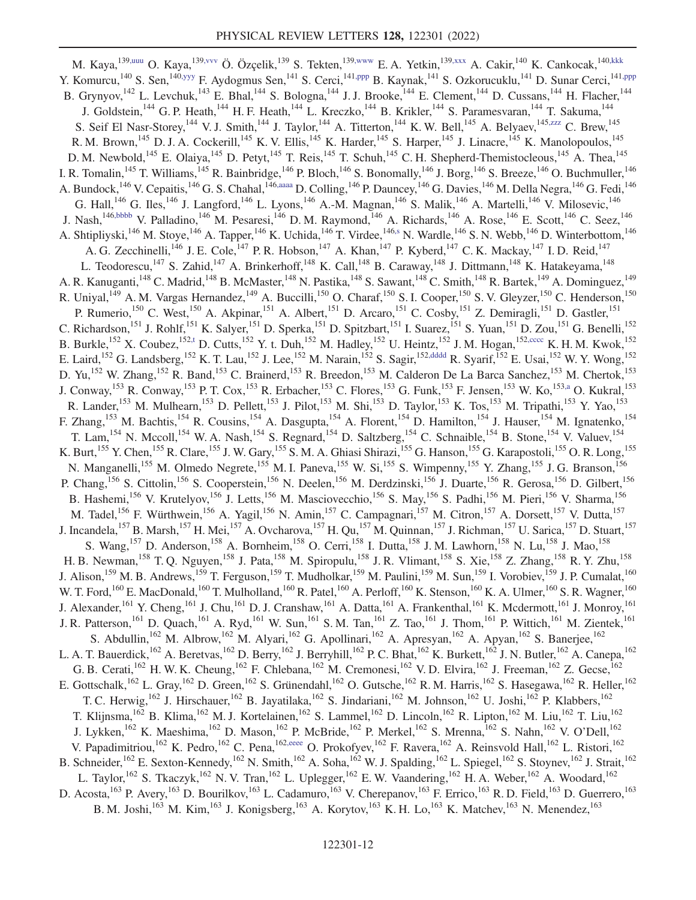<span id="page-13-7"></span><span id="page-13-6"></span><span id="page-13-5"></span><span id="page-13-4"></span><span id="page-13-3"></span><span id="page-13-2"></span><span id="page-13-1"></span><span id="page-13-0"></span>M. Kaya,<sup>13[9,uuu](#page-20-8)</sup> O. Kaya,<sup>13[9,vvv](#page-20-9)</sup> Ö. Özçelik,<sup>139</sup> S. Tekten,<sup>139[,www](#page-20-10)</sup> E. A. Yetkin,<sup>139[,xxx](#page-20-11)</sup> A. Cakir,<sup>140</sup> K. Cankocak,<sup>14[0,kkk](#page-19-56)</sup> Y. Komurcu,<sup>140</sup> S. Sen,<sup>14[0,yyy](#page-20-12)</sup> F. Aydogmus Sen,<sup>141</sup> S. Cerci,<sup>141[,ppp](#page-20-3)</sup> B. Kaynak,<sup>141</sup> S. Ozkorucuklu,<sup>141</sup> D. Sunar Cerci,<sup>141,ppp</sup> B. Grynyov,<sup>142</sup> L. Levchuk,<sup>143</sup> E. Bhal,<sup>144</sup> S. Bologna,<sup>144</sup> J. J. Brooke,<sup>144</sup> E. Clement,<sup>144</sup> D. Cussans,<sup>144</sup> H. Flacher,<sup>144</sup> J. Goldstein,<sup>144</sup> G. P. Heath,<sup>144</sup> H. F. Heath,<sup>144</sup> L. Kreczko,<sup>144</sup> B. Krikler,<sup>144</sup> S. Paramesvaran,<sup>144</sup> T. Sakuma,<sup>144</sup> S. Seif El Nasr-Storey,<sup>144</sup> V. J. Smith,<sup>144</sup> J. Taylor,<sup>144</sup> A. Titterton,<sup>144</sup> K. W. Bell,<sup>145</sup> A. Belyaev,<sup>145[,zzz](#page-20-13)</sup> C. Brew,<sup>145</sup> R. M. Brown,<sup>145</sup> D. J. A. Cockerill,<sup>145</sup> K. V. Ellis,<sup>145</sup> K. Harder,<sup>145</sup> S. Harper,<sup>145</sup> J. Linacre,<sup>145</sup> K. Manolopoulos,<sup>145</sup> D. M. Newbold,<sup>145</sup> E. Olaiya,<sup>145</sup> D. Petyt,<sup>145</sup> T. Reis,<sup>145</sup> T. Schuh,<sup>145</sup> C. H. Shepherd-Themistocleous,<sup>145</sup> A. Thea,<sup>145</sup> I. R. Tomalin,<sup>145</sup> T. Williams,<sup>145</sup> R. Bainbridge,<sup>146</sup> P. Bloch,<sup>146</sup> S. Bonomally,<sup>146</sup> J. Borg,<sup>146</sup> S. Breeze,<sup>146</sup> O. Buchmuller,<sup>146</sup> A. Bundock, <sup>146</sup> V. Cepaitis, <sup>146</sup> G. S. Chahal, <sup>146[,aaaa](#page-20-14)</sup> D. Colling, <sup>146</sup> P. Dauncey, <sup>146</sup> G. Davies, <sup>146</sup> M. Della Negra, <sup>146</sup> G. Fedi, <sup>146</sup> G. Hall,<sup>146</sup> G. Iles,<sup>146</sup> J. Langford,<sup>146</sup> L. Lyons,<sup>146</sup> A.-M. Magnan,<sup>146</sup> S. Malik,<sup>146</sup> A. Martelli,<sup>146</sup> V. Milosevic,<sup>146</sup> J. Nash,<sup>146[,bbbb](#page-20-15)</sup> V. Palladino,<sup>146</sup> M. Pesaresi,<sup>146</sup> D. M. Raymond,<sup>146</sup> A. Richards,<sup>146</sup> A. Rose,<sup>146</sup> E. Scott,<sup>146</sup> C. Seez,<sup>146</sup> A. Shtipliyski,<sup>146</sup> M. Stoye,<sup>146</sup> A. Tapper,<sup>146</sup> K. Uchida,<sup>146</sup> T. Virdee,<sup>14[6,s](#page-19-13)</sup> N. Wardle,<sup>146</sup> S. N. Webb,<sup>146</sup> D. Winterbottom,<sup>146</sup> A. G. Zecchinelli,<sup>146</sup> J. E. Cole,<sup>147</sup> P. R. Hobson,<sup>147</sup> A. Khan,<sup>147</sup> P. Kyberd,<sup>147</sup> C. K. Mackay,<sup>147</sup> I. D. Reid,<sup>147</sup> L. Teodorescu,<sup>147</sup> S. Zahid,<sup>147</sup> A. Brinkerhoff,<sup>148</sup> K. Call,<sup>148</sup> B. Caraway,<sup>148</sup> J. Dittmann,<sup>148</sup> K. Hatakeyama,<sup>148</sup> A. R. Kanuganti,<sup>148</sup> C. Madrid,<sup>148</sup> B. McMaster,<sup>148</sup> N. Pastika,<sup>148</sup> S. Sawant,<sup>148</sup> C. Smith,<sup>148</sup> R. Bartek,<sup>149</sup> A. Dominguez,<sup>149</sup> R. Uniyal,<sup>149</sup> A. M. Vargas Hernandez,<sup>149</sup> A. Buccilli,<sup>150</sup> O. Charaf,<sup>150</sup> S. I. Cooper,<sup>150</sup> S. V. Gleyzer,<sup>150</sup> C. Henderson,<sup>150</sup> P. Rumerio,<sup>150</sup> C. West,<sup>150</sup> A. Akpinar,<sup>151</sup> A. Albert,<sup>151</sup> D. Arcaro,<sup>151</sup> C. Cosby,<sup>151</sup> Z. Demiragli,<sup>151</sup> D. Gastler,<sup>151</sup> C. Richardson,<sup>151</sup> J. Rohlf,<sup>151</sup> K. Salyer,<sup>151</sup> D. Sperka,<sup>151</sup> D. Spitzbart,<sup>151</sup> I. Suarez,<sup>151</sup> S. Yuan,<sup>151</sup> D. Zou,<sup>151</sup> G. Benelli,<sup>152</sup> B. Burkle,<sup>152</sup> X. Coubez,<sup>152[,t](#page-19-14)</sup> D. Cutts,<sup>152</sup> Y. t. Duh,<sup>152</sup> M. Hadley,<sup>152</sup> U. Heintz,<sup>152</sup> J. M. Hogan,<sup>15[2,cccc](#page-20-16)</sup> K. H. M. Kwok,<sup>152</sup> E. Laird,<sup>152</sup> G. Landsberg,<sup>152</sup> K. T. Lau,<sup>152</sup> J. Lee,<sup>152</sup> M. Narain,<sup>152</sup> S. Sagir,<sup>15[2,dddd](#page-20-17)</sup> R. Syarif,<sup>152</sup> E. Usai,<sup>152</sup> W. Y. Wong,<sup>152</sup> D. Yu,<sup>152</sup> W. Zhang,<sup>152</sup> R. Band,<sup>153</sup> C. Brainerd,<sup>153</sup> R. Breedon,<sup>153</sup> M. Calderon De La Barca Sanchez,<sup>153</sup> M. Chertok,<sup>153</sup> J. Conway,<sup>153</sup> R. Conway,<sup>153</sup> P. T. Cox, <sup>153</sup> R. Erbacher,<sup>153</sup> C. Flores, <sup>153</sup> G. Funk, <sup>153</sup> F. Jensen, <sup>153</sup> W. Ko, <sup>153[,a](#page-18-0)</sup> O. Kukral, <sup>153</sup> R. Lander,<sup>153</sup> M. Mulhearn,<sup>153</sup> D. Pellett,<sup>153</sup> J. Pilot,<sup>153</sup> M. Shi,<sup>153</sup> D. Taylor,<sup>153</sup> K. Tos,<sup>153</sup> M. Tripathi,<sup>153</sup> Y. Yao,<sup>153</sup> F. Zhang,<sup>153</sup> M. Bachtis,<sup>154</sup> R. Cousins,<sup>154</sup> A. Dasgupta,<sup>154</sup> A. Florent,<sup>154</sup> D. Hamilton,<sup>154</sup> J. Hauser,<sup>154</sup> M. Ignatenko,<sup>154</sup> T. Lam,<sup>154</sup> N. Mccoll,<sup>154</sup> W. A. Nash,<sup>154</sup> S. Regnard,<sup>154</sup> D. Saltzberg,<sup>154</sup> C. Schnaible,<sup>154</sup> B. Stone,<sup>154</sup> V. Valuev,<sup>154</sup> K. Burt,<sup>155</sup> Y. Chen,<sup>155</sup> R. Clare,<sup>155</sup> J. W. Gary,<sup>155</sup> S. M. A. Ghiasi Shirazi,<sup>155</sup> G. Hanson,<sup>155</sup> G. Karapostoli,<sup>155</sup> O. R. Long,<sup>155</sup> G. Karapostoli,<sup>155</sup> O. R. Long,<sup>155</sup> N. Manganelli,<sup>155</sup> M. Olmedo Negrete,<sup>155</sup> M. I. Paneva,<sup>155</sup> W. Si,<sup>155</sup> S. Wimpenny,<sup>155</sup> Y. Zhang,<sup>155</sup> J. G. Branson,<sup>156</sup> P. Chang, <sup>156</sup> S. Cittolin, <sup>156</sup> S. Cooperstein, <sup>156</sup> N. Deelen, <sup>156</sup> M. Derdzinski, <sup>156</sup> J. Duarte, <sup>156</sup> R. Gerosa, <sup>156</sup> D. Gilbert, <sup>156</sup> B. Hashemi,<sup>156</sup> V. Krutelyov,<sup>156</sup> J. Letts,<sup>156</sup> M. Masciovecchio,<sup>156</sup> S. May,<sup>156</sup> S. Padhi,<sup>156</sup> M. Pieri,<sup>156</sup> V. Sharma,<sup>156</sup> M. Tadel,<sup>156</sup> F. Würthwein,<sup>156</sup> A. Yagil,<sup>156</sup> N. Amin,<sup>157</sup> C. Campagnari,<sup>157</sup> M. Citron,<sup>157</sup> A. Dorsett,<sup>157</sup> V. Dutta,<sup>157</sup> J. Incandela, <sup>157</sup> B. Marsh, <sup>157</sup> H. Mei, <sup>157</sup> A. Ovcharova, <sup>157</sup> H. Qu, <sup>157</sup> M. Quinnan, <sup>157</sup> J. Richman, <sup>157</sup> U. Sarica, <sup>157</sup> D. Stuart, <sup>157</sup> S. Wang,<sup>157</sup> D. Anderson,<sup>158</sup> A. Bornheim,<sup>158</sup> O. Cerri,<sup>158</sup> I. Dutta,<sup>158</sup> J. M. Lawhorn,<sup>158</sup> N. Lu,<sup>158</sup> J. Mao,<sup>158</sup> H. B. Newman,<sup>158</sup> T. Q. Nguyen,<sup>158</sup> J. Pata,<sup>158</sup> M. Spiropulu,<sup>158</sup> J. R. Vlimant,<sup>158</sup> S. Xie,<sup>158</sup> Z. Zhang,<sup>158</sup> R. Y. Zhu,<sup>158</sup> J. Alison,<sup>159</sup> M. B. Andrews,<sup>159</sup> T. Ferguson,<sup>159</sup> T. Mudholkar,<sup>159</sup> M. Paulini,<sup>159</sup> M. Sun,<sup>159</sup> I. Vorobiev,<sup>159</sup> J. P. Cumalat,<sup>160</sup> W. T. Ford,<sup>160</sup> E. MacDonald,<sup>160</sup> T. Mulholland,<sup>160</sup> R. Patel,<sup>160</sup> A. Perloff,<sup>160</sup> K. Stenson,<sup>160</sup> K. A. Ulmer,<sup>160</sup> S. R. Wagner,<sup>160</sup> J. Alexander,<sup>161</sup> Y. Cheng,<sup>161</sup> J. Chu,<sup>161</sup> D. J. Cranshaw,<sup>161</sup> A. Datta,<sup>161</sup> A. Frankenthal,<sup>161</sup> K. Mcdermott,<sup>161</sup> J. Monroy,<sup>161</sup> J. R. Patterson,<sup>161</sup> D. Quach,<sup>161</sup> A. Ryd,<sup>161</sup> W. Sun,<sup>161</sup> S. M. Tan,<sup>161</sup> Z. Tao,<sup>161</sup> J. Thom,<sup>161</sup> P. Wittich,<sup>161</sup> M. Zientek,<sup>161</sup> S. Abdullin,<sup>162</sup> M. Albrow,<sup>162</sup> M. Alyari,<sup>162</sup> G. Apollinari,<sup>162</sup> A. Apresyan,<sup>162</sup> A. Apyan,<sup>162</sup> S. Banerjee,<sup>162</sup> L. A. T. Bauerdick,  $^{162}$  A. Beretvas,  $^{162}$  D. Berry,  $^{162}$  J. Berryhill,  $^{162}$  P. C. Bhat,  $^{162}$  K. Burkett,  $^{162}$  J. N. Butler,  $^{162}$  A. Canepa,  $^{162}$ G. B. Cerati,<sup>162</sup> H. W. K. Cheung,<sup>162</sup> F. Chlebana,<sup>162</sup> M. Cremonesi,<sup>162</sup> V. D. Elvira,<sup>162</sup> J. Freeman,<sup>162</sup> Z. Gecse,<sup>162</sup> E. Gottschalk,<sup>162</sup> L. Gray,<sup>162</sup> D. Green,<sup>162</sup> S. Grünendahl,<sup>162</sup> O. Gutsche,<sup>162</sup> R. M. Harris,<sup>162</sup> S. Hasegawa,<sup>162</sup> R. Heller,<sup>162</sup> T. C. Herwig,<sup>162</sup> J. Hirschauer,<sup>162</sup> B. Jayatilaka,<sup>162</sup> S. Jindariani,<sup>162</sup> M. Johnson,<sup>162</sup> U. Joshi,<sup>162</sup> P. Klabbers,<sup>162</sup> T. Klijnsma,<sup>162</sup> B. Klima,<sup>162</sup> M. J. Kortelainen,<sup>162</sup> S. Lammel,<sup>162</sup> D. Lincoln,<sup>162</sup> R. Lipton,<sup>162</sup> M. Liu,<sup>162</sup> T. Liu,<sup>162</sup> J. Lykken,<sup>162</sup> K. Maeshima,<sup>162</sup> D. Mason,<sup>162</sup> P. McBride,<sup>162</sup> P. Merkel,<sup>162</sup> S. Mrenna,<sup>162</sup> S. Nahn,<sup>162</sup> V. O'Dell,<sup>162</sup> V. Papadimitriou,<sup>162</sup> K. Pedro,<sup>162</sup> C. Pena,<sup>162[,eeee](#page-20-18)</sup> O. Prokofyev,<sup>162</sup> F. Ravera,<sup>162</sup> A. Reinsvold Hall,<sup>162</sup> L. Ristori,<sup>162</sup> B. Schneider, <sup>162</sup> E. Sexton-Kennedy, <sup>162</sup> N. Smith, <sup>162</sup> A. Soha, <sup>162</sup> W. J. Spalding, <sup>162</sup> L. Spiegel, <sup>162</sup> S. Stoynev, <sup>162</sup> J. Strait, <sup>162</sup> L. Taylor,<sup>162</sup> S. Tkaczyk,<sup>162</sup> N. V. Tran,<sup>162</sup> L. Uplegger,<sup>162</sup> E. W. Vaandering,<sup>162</sup> H. A. Weber,<sup>162</sup> A. Woodard,<sup>162</sup> D. Acosta,<sup>163</sup> P. Avery,<sup>163</sup> D. Bourilkov,<sup>163</sup> L. Cadamuro,<sup>163</sup> V. Cherepanov,<sup>163</sup> F. Errico,<sup>163</sup> R. D. Field,<sup>163</sup> D. Guerrero,<sup>163</sup> B. M. Joshi,<sup>163</sup> M. Kim,<sup>163</sup> J. Konigsberg,<sup>163</sup> A. Korytov,<sup>163</sup> K. H. Lo,<sup>163</sup> K. Matchev,<sup>163</sup> N. Menendez,<sup>163</sup>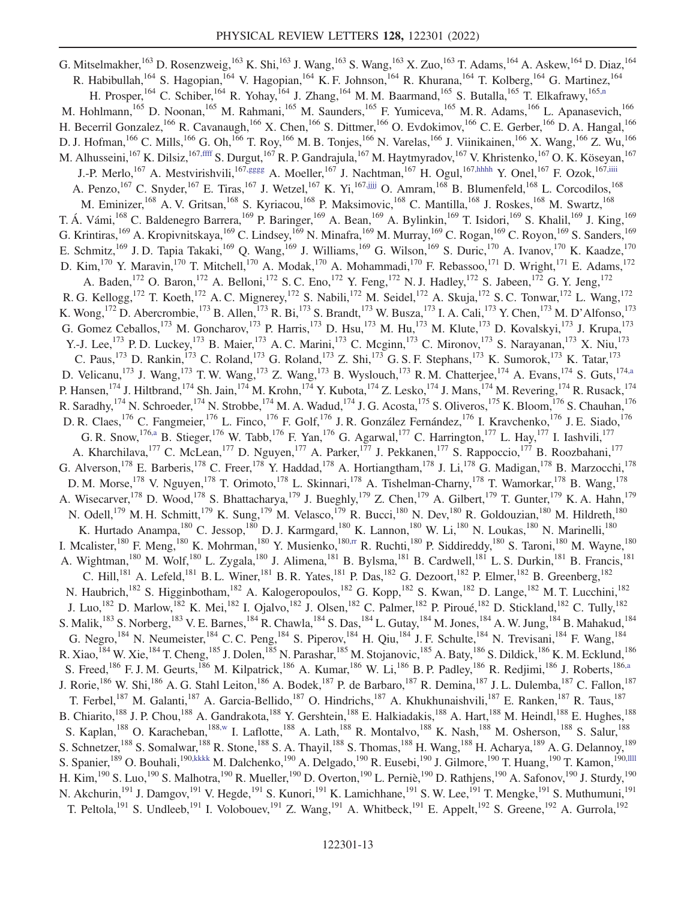<span id="page-14-3"></span><span id="page-14-2"></span><span id="page-14-1"></span><span id="page-14-0"></span>G. Mitselmakher,  $^{163}$  D. Rosenzweig,  $^{163}$  K. Shi,  $^{163}$  J. Wang,  $^{163}$  S. Wang,  $^{163}$  X. Zuo,  $^{163}$  T. Adams,  $^{164}$  A. Askew,  $^{164}$  D. Diaz,  $^{164}$ R. Habibullah,<sup>164</sup> S. Hagopian,<sup>164</sup> V. Hagopian,<sup>164</sup> K. F. Johnson,<sup>164</sup> R. Khurana,<sup>164</sup> T. Kolberg,<sup>164</sup> G. Martinez,<sup>164</sup> H. Prosper,<sup>164</sup> C. Schiber,<sup>164</sup> R. Yohay,<sup>164</sup> J. Zhang,<sup>164</sup> M. M. Baarmand,<sup>165</sup> S. Butalla,<sup>165</sup> T. Elkafrawy,<sup>16[5,n](#page-19-8)</sup> M. Hohlmann,<sup>165</sup> D. Noonan,<sup>165</sup> M. Rahmani,<sup>165</sup> M. Saunders,<sup>165</sup> F. Yumiceva,<sup>165</sup> M. R. Adams,<sup>166</sup> L. Apanasevich,<sup>166</sup> H. Becerril Gonzalez, <sup>166</sup> R. Cavanaugh, <sup>166</sup> X. Chen, <sup>166</sup> S. Dittmer, <sup>166</sup> O. Evdokimov, <sup>166</sup> C. E. Gerber, <sup>166</sup> D. A. Hangal, <sup>166</sup> D. J. Hofman,<sup>166</sup> C. Mills,<sup>166</sup> G. Oh,<sup>166</sup> T. Roy,<sup>166</sup> M. B. Tonjes,<sup>166</sup> N. Varelas,<sup>166</sup> J. Viinikainen,<sup>166</sup> X. Wang,<sup>166</sup> Z. Wu,<sup>166</sup> M. Alhusseini,<sup>167</sup> K. Dilsiz,<sup>16[7,ffff](#page-20-19)</sup> S. Durgut,<sup>167</sup> R. P. Gandrajula,<sup>167</sup> M. Haytmyradov,<sup>167</sup> V. Khristenko,<sup>167</sup> O. K. Köseyan,<sup>167</sup> J.-P. Merlo,<sup>167</sup> A. Mestvirishvili,<sup>167[,gggg](#page-20-20)</sup> A. Moeller,<sup>167</sup> J. Nachtman,<sup>167</sup> H. Ogul,<sup>167[,hhhh](#page-20-21)</sup> Y. Onel,<sup>167</sup> F. Ozok,<sup>16[7,iiii](#page-20-22)</sup> A. Penzo,  $^{167}$  C. Snyder,  $^{167}$  E. Tiras,  $^{167}$  J. Wetzel,  $^{167}$  K. Yi,  $^{167}$ ,  $^{167}$  O. Amram,  $^{168}$  B. Blumenfeld,  $^{168}$  L. Corcodilos,  $^{168}$ M. Eminizer,<sup>168</sup> A. V. Gritsan,<sup>168</sup> S. Kyriacou,<sup>168</sup> P. Maksimovic,<sup>168</sup> C. Mantilla,<sup>168</sup> J. Roskes,<sup>168</sup> M. Swartz,<sup>168</sup> T. Á. Vámi, <sup>168</sup> C. Baldenegro Barrera, <sup>169</sup> P. Baringer, <sup>169</sup> A. Bean, <sup>169</sup> A. Bylinkin, <sup>169</sup> T. Isidori, <sup>169</sup> S. Khalil, <sup>169</sup> J. King, <sup>169</sup> G. Krintiras, <sup>169</sup> A. Kropivnitskaya, <sup>169</sup> C. Lindsey, <sup>169</sup> N. Minafra, <sup>169</sup> M. Murray, <sup>169</sup> C. Rogan, <sup>169</sup> C. Royon, <sup>169</sup> S. Sanders, <sup>169</sup> E. Schmitz,<sup>169</sup> J. D. Tapia Takaki,<sup>169</sup> Q. Wang,<sup>169</sup> J. Williams,<sup>169</sup> G. Wilson,<sup>169</sup> S. Duric,<sup>170</sup> A. Ivanov,<sup>170</sup> K. Kaadze,<sup>170</sup> D. Kim,<sup>170</sup> Y. Maravin,<sup>170</sup> T. Mitchell,<sup>170</sup> A. Modak,<sup>170</sup> A. Mohammadi,<sup>170</sup> F. Rebassoo,<sup>171</sup> D. Wright,<sup>171</sup> E. Adams,<sup>172</sup> A. Baden,<sup>172</sup> O. Baron,<sup>172</sup> A. Belloni,<sup>172</sup> S. C. Eno,<sup>172</sup> Y. Feng,<sup>172</sup> N. J. Hadley,<sup>172</sup> S. Jabeen,<sup>172</sup> G. Y. Jeng,<sup>172</sup> R. G. Kellogg, <sup>172</sup> T. Koeth, <sup>172</sup> A. C. Mignerey, <sup>172</sup> S. Nabili, <sup>172</sup> M. Seidel, <sup>172</sup> A. Skuja, <sup>172</sup> S. C. Tonwar, <sup>172</sup> L. Wang, <sup>172</sup> K. Wong, <sup>172</sup> D. Abercrombie, <sup>173</sup> B. Allen, <sup>173</sup> R. Bi, <sup>173</sup> S. Brandt, <sup>173</sup> W. Busza, <sup>173</sup> I. A. Cali, <sup>173</sup> Y. Chen, <sup>173</sup> M. D'Alfonso, <sup>173</sup> G. Gomez Ceballos,<sup>173</sup> M. Goncharov,<sup>173</sup> P. Harris,<sup>173</sup> D. Hsu,<sup>173</sup> M. Hu,<sup>173</sup> M. Klute,<sup>173</sup> D. Kovalskyi,<sup>173</sup> J. Krupa,<sup>173</sup> Y.-J. Lee,<sup>173</sup> P. D. Luckey,<sup>173</sup> B. Maier,<sup>173</sup> A. C. Marini,<sup>173</sup> C. Mcginn,<sup>173</sup> C. Mironov,<sup>173</sup> S. Narayanan,<sup>173</sup> X. Niu,<sup>173</sup> C. Paus,<sup>173</sup> D. Rankin,<sup>173</sup> C. Roland,<sup>173</sup> G. Roland,<sup>173</sup> Z. Shi,<sup>173</sup> G. S. F. Stephans,<sup>173</sup> K. Sumorok,<sup>173</sup> K. Tatar,<sup>173</sup> D. Velicanu,<sup>173</sup> J. Wang,<sup>173</sup> T.W. Wang,<sup>173</sup> Z. Wang,<sup>173</sup> B. Wyslouch,<sup>173</sup> R.M. Chatterjee,<sup>174</sup> A. Evans,<sup>174</sup> S. Guts,<sup>174[,a](#page-18-0)</sup> P. Hansen,<sup>174</sup> J. Hiltbrand,<sup>174</sup> Sh. Jain,<sup>174</sup> M. Krohn,<sup>174</sup> Y. Kubota,<sup>174</sup> Z. Lesko,<sup>174</sup> J. Mans,<sup>174</sup> M. Revering,<sup>174</sup> R. Rusack,<sup>174</sup> R. Saradhy,  $^{174}$  N. Schroeder,  $^{174}$  N. Strobbe,  $^{174}$  M. A. Wadud,  $^{174}$  J. G. Acosta,  $^{175}$  S. Oliveros,  $^{175}$  K. Bloom,  $^{176}$  S. Chauhan,  $^{176}$ D. R. Claes, <sup>176</sup> C. Fangmeier, <sup>176</sup> L. Finco, <sup>176</sup> F. Golf, <sup>176</sup> J. R. González Fernández, <sup>176</sup> I. Kravchenko, <sup>176</sup> J. E. Siado, <sup>176</sup> G. R. Snow,  $^{176}$ , B. Stieger,  $^{176}$  W. Tabb,  $^{176}$  F. Yan,  $^{176}$  G. Agarwal,  $^{177}$  C. Harrington,  $^{177}$  L. Hay,  $^{177}$  I. Iashvili,  $^{177}$ A. Kharchilava,<sup>177</sup> C. McLean,<sup>177</sup> D. Nguyen,<sup>177</sup> A. Parker,<sup>177</sup> J. Pekkanen,<sup>177</sup> S. Rappoccio,<sup>177</sup> B. Roozbahani,<sup>177</sup> G. Alverson,<sup>178</sup> E. Barberis,<sup>178</sup> C. Freer,<sup>178</sup> Y. Haddad,<sup>178</sup> A. Hortiangtham,<sup>178</sup> J. Li,<sup>178</sup> G. Madigan,<sup>178</sup> B. Marzocchi,<sup>178</sup> D. M. Morse,<sup>178</sup> V. Nguyen,<sup>178</sup> T. Orimoto,<sup>178</sup> L. Skinnari,<sup>178</sup> A. Tishelman-Charny,<sup>178</sup> T. Wamorkar,<sup>178</sup> B. Wang,<sup>178</sup> A. Wisecarver,<sup>178</sup> D. Wood,<sup>178</sup> S. Bhattacharya,<sup>179</sup> J. Bueghly,<sup>179</sup> Z. Chen,<sup>179</sup> A. Gilbert,<sup>179</sup> T. Gunter,<sup>179</sup> K. A. Hahn,<sup>179</sup> N. Odell,<sup>179</sup> M. H. Schmitt,<sup>179</sup> K. Sung,<sup>179</sup> M. Velasco,<sup>179</sup> R. Bucci,<sup>180</sup> N. Dev,<sup>180</sup> R. Goldouzian,<sup>180</sup> M. Hildreth,<sup>180</sup> K. Hurtado Anampa,<sup>180</sup> C. Jessop,<sup>180</sup> D. J. Karmgard,<sup>180</sup> K. Lannon,<sup>180</sup> W. Li,<sup>180</sup> N. Loukas,<sup>180</sup> N. Marinelli,<sup>180</sup> I. Mcalister,<sup>180</sup> F. Meng,<sup>180</sup> K. Mohrman,<sup>180</sup> Y. Musienko,<sup>180[,rr](#page-19-38)</sup> R. Ruchti,<sup>180</sup> P. Siddireddy,<sup>180</sup> S. Taroni,<sup>180</sup> M. Wayne,<sup>180</sup> A. Wightman,<sup>180</sup> M. Wolf,<sup>180</sup> L. Zygala,<sup>180</sup> J. Alimena,<sup>181</sup> B. Bylsma,<sup>181</sup> B. Cardwell,<sup>181</sup> L. S. Durkin,<sup>181</sup> B. Francis,<sup>181</sup> C. Hill,<sup>181</sup> A. Lefeld,<sup>181</sup> B. L. Winer,<sup>181</sup> B. R. Yates,<sup>181</sup> P. Das,<sup>182</sup> G. Dezoort,<sup>182</sup> P. Elmer,<sup>182</sup> B. Greenberg,<sup>182</sup> N. Haubrich,<sup>182</sup> S. Higginbotham,<sup>182</sup> A. Kalogeropoulos,<sup>182</sup> G. Kopp,<sup>182</sup> S. Kwan,<sup>182</sup> D. Lange,<sup>182</sup> M. T. Lucchini,<sup>182</sup> J. Luo,<sup>182</sup> D. Marlow,<sup>182</sup> K. Mei,<sup>182</sup> I. Ojalvo,<sup>182</sup> J. Olsen,<sup>182</sup> C. Palmer,<sup>182</sup> P. Piroué,<sup>182</sup> D. Stickland,<sup>182</sup> C. Tully,<sup>182</sup> S. Malik,<sup>183</sup> S. Norberg,<sup>183</sup> V. E. Barnes,<sup>184</sup> R. Chawla,<sup>184</sup> S. Das,<sup>184</sup> L. Gutay,<sup>184</sup> M. Jones,<sup>184</sup> A. W. Jung,<sup>184</sup> B. Mahakud,<sup>184</sup> G. Negro,<sup>184</sup> N. Neumeister,<sup>184</sup> C. C. Peng,<sup>184</sup> S. Piperov,<sup>184</sup> H. Qiu,<sup>184</sup> J. F. Schulte,<sup>184</sup> N. Trevisani,<sup>184</sup> F. Wang,<sup>184</sup> R. Xiao,<sup>184</sup> W. Xie,<sup>184</sup> T. Cheng,<sup>185</sup> J. Dolen,<sup>185</sup> N. Parashar,<sup>185</sup> M. Stojanovic,<sup>185</sup> A. Baty,<sup>186</sup> S. Dildick,<sup>186</sup> K. M. Ecklund,<sup>186</sup> S. Freed,<sup>186</sup> F. J. M. Geurts,<sup>186</sup> M. Kilpatrick,<sup>186</sup> A. Kumar,<sup>186</sup> W. Li,<sup>186</sup> B. P. Padley,<sup>186</sup> R. Redjimi,<sup>186</sup> J. Roberts,<sup>186[,a](#page-18-0)</sup> J. Rorie,<sup>186</sup> W. Shi,<sup>186</sup> A. G. Stahl Leiton,<sup>186</sup> A. Bodek,<sup>187</sup> P. de Barbaro,<sup>187</sup> R. Demina,<sup>187</sup> J. L. Dulemba,<sup>187</sup> C. Fallon,<sup>187</sup> T. Ferbel,<sup>187</sup> M. Galanti,<sup>187</sup> A. Garcia-Bellido,<sup>187</sup> O. Hindrichs,<sup>187</sup> A. Khukhunaishvili,<sup>187</sup> E. Ranken,<sup>187</sup> R. Taus,<sup>187</sup> B. Chiarito,<sup>188</sup> J. P. Chou,<sup>188</sup> A. Gandrakota,<sup>188</sup> Y. Gershtein,<sup>188</sup> E. Halkiadakis,<sup>188</sup> A. Hart,<sup>188</sup> M. Heindl,<sup>188</sup> E. Hughes,<sup>188</sup> S. Kaplan,<sup>188</sup> O. Karacheban,<sup>18[8,w](#page-19-17)</sup> I. Laflotte,<sup>188</sup> A. Lath,<sup>188</sup> R. Montalvo,<sup>188</sup> K. Nash,<sup>188</sup> M. Osherson,<sup>188</sup> S. Salur,<sup>188</sup> S. Schnetzer,<sup>188</sup> S. Somalwar,<sup>188</sup> R. Stone,<sup>188</sup> S. A. Thayil,<sup>188</sup> S. Thomas,<sup>188</sup> H. Wang,<sup>188</sup> H. Acharya,<sup>189</sup> A. G. Delannoy,<sup>189</sup> S. Spanier,<sup>189</sup> O. Bouhali,<sup>190[,kkkk](#page-20-24)</sup> M. Dalchenko,<sup>190</sup> A. Delgado,<sup>190</sup> R. Eusebi,<sup>190</sup> J. Gilmore,<sup>190</sup> T. Huang,<sup>190</sup> T. Kamon,<sup>190,1111</sup> H. Kim,  $^{190}$  S. Luo,  $^{190}$  S. Malhotra,  $^{190}$  R. Mueller,  $^{190}$  D. Overton,  $^{190}$  L. Perniè,  $^{190}$  D. Rathjens,  $^{190}$  A. Safonov,  $^{190}$  J. Sturdy,  $^{190}$ N. Akchurin,<sup>191</sup> J. Damgov,<sup>191</sup> V. Hegde,<sup>191</sup> S. Kunori,<sup>191</sup> K. Lamichhane,<sup>191</sup> S. W. Lee,<sup>191</sup> T. Mengke,<sup>191</sup> S. Muthumuni,<sup>191</sup> T. Peltola,<sup>191</sup> S. Undleeb,<sup>191</sup> I. Volobouev,<sup>191</sup> Z. Wang,<sup>191</sup> A. Whitbeck,<sup>191</sup> E. Appelt,<sup>192</sup> S. Greene,<sup>192</sup> A. Gurrola,<sup>192</sup>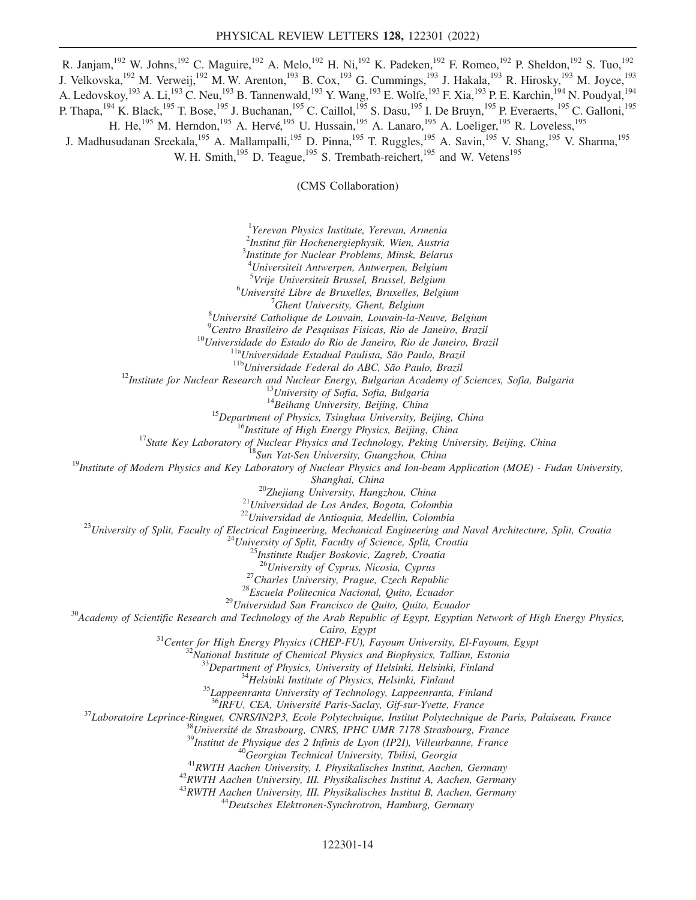R. Janjam,<sup>192</sup> W. Johns,<sup>192</sup> C. Maguire,<sup>192</sup> A. Melo,<sup>192</sup> H. Ni,<sup>192</sup> K. Padeken,<sup>192</sup> F. Romeo,<sup>192</sup> P. Sheldon,<sup>192</sup> S. Tuo,<sup>192</sup> J. Velkovska,<sup>192</sup> M. Verweij,<sup>192</sup> M.W. Arenton,<sup>193</sup> B. Cox,<sup>193</sup> G. Cummings,<sup>193</sup> J. Hakala,<sup>193</sup> R. Hirosky,<sup>193</sup> M. Joyce,<sup>193</sup> A. Ledovskoy, <sup>193</sup> A. Li, <sup>193</sup> C. Neu, <sup>193</sup> B. Tannenwald, <sup>193</sup> Y. Wang, <sup>193</sup> E. Wolfe, <sup>193</sup> F. Xia, <sup>193</sup> P. E. Karchin, <sup>194</sup> N. Poudyal, <sup>194</sup> P. Thapa, <sup>194</sup> K. Black, <sup>195</sup> T. Bose, <sup>195</sup> J. Buchanan, <sup>195</sup> C. Caillol, <sup>195</sup> S. Dasu, <sup>195</sup> I. De Bruyn, <sup>195</sup> P. Everaerts, <sup>195</sup> C. Galloni, <sup>195</sup> H. He,<sup>195</sup> M. Herndon,<sup>195</sup> A. Hervé,<sup>195</sup> U. Hussain,<sup>195</sup> A. Lanaro,<sup>195</sup> A. Loeliger,<sup>195</sup> R. Loveless,<sup>195</sup>

J. Madhusudanan Sreekala,<sup>195</sup> A. Mallampalli,<sup>195</sup> D. Pinna,<sup>195</sup> T. Ruggles,<sup>195</sup> A. Savin,<sup>195</sup> V. Shang,<sup>195</sup> V. Sharma,<sup>195</sup> W. H. Smith,<sup>195</sup> D. Teague,<sup>195</sup> S. Trembath-reichert,<sup>195</sup> and W. Vetens<sup>195</sup>

(CMS Collaboration)

<sup>1</sup>Yerevan Physics Institute, Yerevan, Armenia

2 Institut für Hochenergiephysik, Wien, Austria

3 Institute for Nuclear Problems, Minsk, Belarus

<sup>4</sup>Universiteit Antwerpen, Antwerpen, Belgium <sup>5</sup>Vrije Universiteit Brussel, Brussel, Belgium

 $\frac{V}{V}$ Vrije Universiteit Brussel, Brussel, Belgium Université Libre de Bruxelles, Bruxelles, Belgium<br><sup>7</sup>Chant University, Chant, Belgium

 $'$ Ghent University, Ghent, Belgium<br><sup>8</sup>Université Catholique de Louvain, Louvain la N  $^8$ Université Catholique de Louvain, Louvain-la-Neuve, Belgium<br> $^9$ Cartre Presileire de Pesquisse Fisiese, Pie de Laneire, Presil

<sup>9</sup>Centro Brasileiro de Pesquisas Fisicas, Rio de Janeiro, Brazil<br><sup>10</sup>Universidade do Estado do Rio de Janeiro, Rio de Janeiro, Brazil<br><sup>11a</sup>Universidade Estadual Paulista, São Paulo, Brazil<br><sup>11b</sup>Universidade Federal do AB

<sup>15</sup>Department of Physics, Tsinghua University, Beijing, China<br><sup>16</sup>Institute of High Energy Physics, Beijing, China<br><sup>17</sup>State Key Laboratory of Nuclear Physics and Technology, Peking University, Beijing, China<br><sup>19</sup>Institu

Shanghai, China<br><sup>20</sup>Zhejiang University, Hangzhou, China<br><sup>21</sup>Universidad de Los Andes, Bogota, Colombia<br><sup>22</sup>University of Split, Faculty of Electrical Engineering, Mechanical Engineering and Naval Architecture, Split, Croa

<sup>27</sup>Charles University, Prague, Czech Republic<br><sup>28</sup>Escuela Politecnica Nacional, Quito, Ecuador<br><sup>30</sup>Academy of Scientific Research and Technology of the Arab Republic of Egypt, Egyptian Network of High Energy Physics,

Cairo, Egypt<br><sup>31</sup>Center for High Energy Physics (CHEP-FU), Fayoum University, El-Fayoum, Egypt<br><sup>32</sup>National Institute of Chemical Physics and Biophysics, Tallinn, Estonia<br><sup>33</sup>Department of Physics, University of Helsinki,

<sup>37</sup>Laboratoire Leprince-Ringuet, CNRS/IN2P3, Ecole Polytechnique, Institut Polytechnique de Paris, Palaiseau, France<br><sup>38</sup>Université de Strasbourg, CNRS, IPHC UMR 7178 Strasbourg, France<br><sup>39</sup>Institut de Physique des 2 Inf

<sup>43</sup>RWTH Aachen University, III. Physikalisches Institut B, Aachen, Germany <sup>44</sup>Deutsches Elektronen-Synchrotron, Hamburg, Germany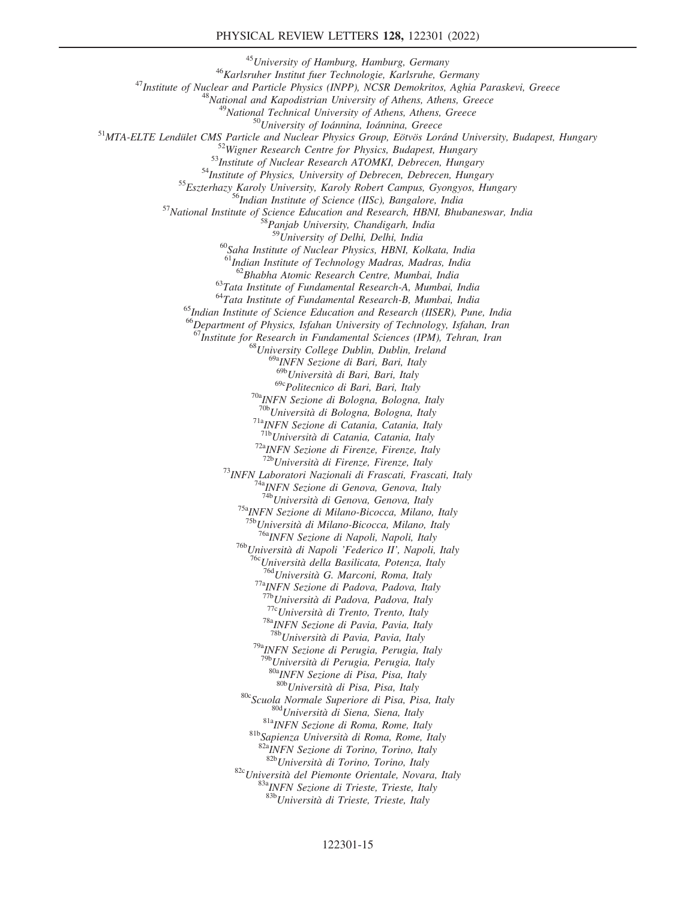$\begin{array}{c} \begin{array}{c} \text{45} \text{University of Hamburg, Hamburg, Germany} \\ \text{46} \text{Karlsruhe} \text{RarI Institute of Nuclear Institute, Hankung, Germany \\ \text{47} \text{Institute of Nuclear Institute of Nuclear Institute: Physical Mathematics, Aglia Paraskevi, Greece \\ \text{48} \text{National and Kapodistribution University of Athens, Athens, Greece \\ \text{49} \text{National Technical University of Adams, Athens, Greece \\ \text{49} \text{Uniformive} \text{stive} \text{S} \text{University of Ioánnina, Ioánnina, Greece \\ \text{40} \text{Stuiversity of Ioánnina, Ioánnina, Greece \\ \text{41} \text{Stuinger Research Centre$ </mark>  $^{59}$ University of Delhi, Delhi, India  $^{60}$ Saha Institute of Nuclear Physics, HBNI, Kolkata, India <sup>61</sup>Indian Institute of Technology Madras, Madras, India<br><sup>62</sup>Bhabha Atomic Research Centre, Mumbai, India  $\frac{63}{4}$ Tata Institute of Fundamental Research-A, Mumbai, India  $\frac{64}{4}$ Tata Institute of Fundamental Research-B, Mumbai, India  $^{65}$ Indian Institute of Science Education and Research (IISER), Pune, India <sup>66</sup>Department of Physics, Isfahan University of Technology, Isfahan, Iran  $^{67}$ *Institute for Research in Fundamental Sciences (IPM), Tehran, Iran*  $^{68}$ *University College Dublin, Dublin, Ireland* <sup>69a</sup>INFN Sezione di Bari, Bari, Italy <sup>69b</sup>Università di Bari, Bari, Italy<br><sup>69c</sup>Politecnico di Bari, Bari, Italy <sup>70a</sup>INFN Sezione di Bologna, Bologna, Italy<br><sup>70b</sup>Università di Bologna, Bologna, Italy <sup>71a</sup>INFN Sezione di Catania, Catania, Italy <sup>71b</sup>Università di Catania, Catania, Italy <sup>72a</sup>INFN Sezione di Firenze, Firenze, Italy  $\frac{72b}{12b}$ Università di Firenze, Firenze, Italy <sup>73</sup>INFN Laboratori Nazionali di Frascati, Frascati, Italy <sup>74a</sup>INFN Sezione di Genova, Genova, Italy <sup>74b</sup>Università di Genova, Genova, Italy <sup>75a</sup>INFN Sezione di Milano-Bicocca, Milano, Italy<br><sup>75b</sup>Università di Milano-Bicocca, Milano, Italy <sup>76a</sup>INFN Sezione di Napoli, Napoli, Italy<br><sup>76b</sup>Università di Napoli 'Federico II', Napoli, Italy<br><sup>76</sup><sup>0</sup>Università della Basilicata, Potenza, Italy<br><sup>764</sup>Università G. Marconi, Roma, Italy<br><sup>77a</sup>INFN Sezione di Padova, Pad <sup>77c</sup>Università di Trento, Trento, Italy <sup>78a</sup>INFN Sezione di Pavia, Pavia, Italy <sup>78b</sup>Università di Pavia, Pavia, Italy <sup>79a</sup>INFN Sezione di Perugia, Perugia, Italy <sup>79b</sup>Università di Perugia, Perugia, Italy  $^{80a}$ INFN Sezione di Pisa, Pisa, Italy  $^{80b}$ Università di Pisa, Pisa, Italy <sup>80c</sup>Scuola Normale Superiore di Pisa, Pisa, Italy<br><sup>80d</sup>Università di Siena, Siena, Italy<br><sup>81a</sup>INFN Sezione di Roma, Rome, Italy<br><sup>81b</sup>Sapienza Università di Roma, Rome, Italy<br><sup>82b</sup>Università di Torino, Torino, Italy<br><sup>82b</sup>  $82c$ Università del Piemonte Orientale, Novara, Italy  $83a$ INFN Sezione di Trieste, Trieste, Italy 83b Università di Trieste, Trieste, Italy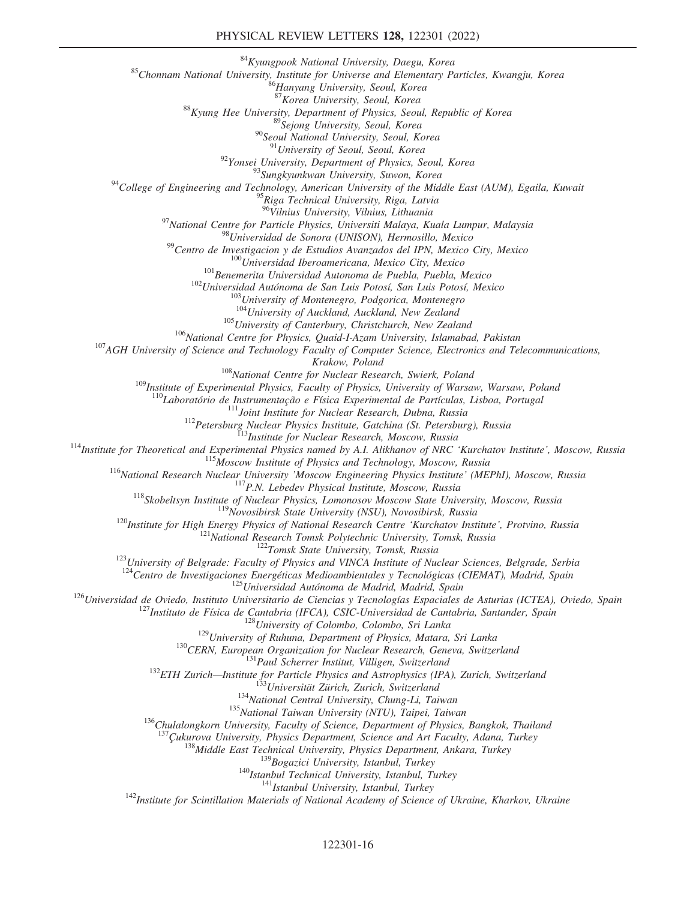#### PHYSICAL REVIEW LETTERS 128, 122301 (2022)

<sup>85</sup>Chonnam National University, Institute for University, Daegu, Korea<br><sup>85</sup>Chonnam National University, Institute for Universe and Elementary Particles, Kwangju, Korea<br><sup>86</sup>Hanyang University, Seoul, Korea <sup>87</sup>Korea Unive <sup>88</sup>Kyung Hee University, Department of Physics, Seoul, Republic of Korea<br><sup>89</sup>Sejong University, Seoul, Korea<br><sup>90</sup>Seoul National University, Seoul, Korea<br>University of Seoul, Seoul, Korea <sup>92</sup>Yonsei University, Department of Physics, Seoul, Korea<br><sup>93</sup>Sungkyunkwan University, Suwon, Korea<br><sup>94</sup>College of Engineering and Technology, American University of the Middle East (AUM), Egaila, Kuwait<sup>94</sup> <sup>95</sup>Riga Technical University, Riga, Latvia<br><sup>96</sup>Vilnius University, Vilnius, Lithuania <sup>97</sup>National Centre for Particle Physics, Universiti Malaya, Kuala Lumpur, Malaysia<br><sup>98</sup>Universidad de Sonora (UNISON), Hermosillo, Mexico<br><sup>99</sup>Centro de Investigacion y de Estudios Avanzados del IPN, Mexico City, Mexico<br><sup></sup> <sup>105</sup>University of Canterbury, Christchurch, New Zealand<br><sup>107</sup>AGH University of Science and Technology Faculty of Computer Science, Electronics and Telecommunications,<br>Krakow, Poland <sup>108</sup>National Centre for Nuclear Research, Swierk, Poland<br><sup>109</sup>Institute of Experimental Physics, Faculty of Physics, University of Warsaw, Warsaw, Poland<br><sup>110</sup>Laboratório de Instrumentação e Física Experimental de Partíc <sup>110</sup>Laboratório de Instrumentação e Física Experimental de Partículas, Lisboa, Portugal<br><sup>111</sup>Loint Institute for Nuclear Research, Dubna, Russia<br><sup>112</sup>Petersburg Wuclear Physics Institute, Gachina (St. Petersburg), Russia <sup>123</sup>University of Belgrade: Faculty of Physics and VINCA Institute of Nuclear Sciences, Belgrade, Serbia<br><sup>124</sup>Centro de Investigaciones Energéticas Medioambientales y Tecnológicas (CIEMAT), Madrid, Spain<br><sup>125</sup>Universidad <sup>138</sup>Middle East Technical University, Physics Department, Ankara, Turkey<br><sup>139</sup>Bogazici University, Istanbul, Turkey<br><sup>140</sup>Istanbul Technical University, Istanbul, Turkey<br><sup>141</sup>Istanbul University, Istanbul, Turkey<br><sup>142</sup>Ins

#### 122301-16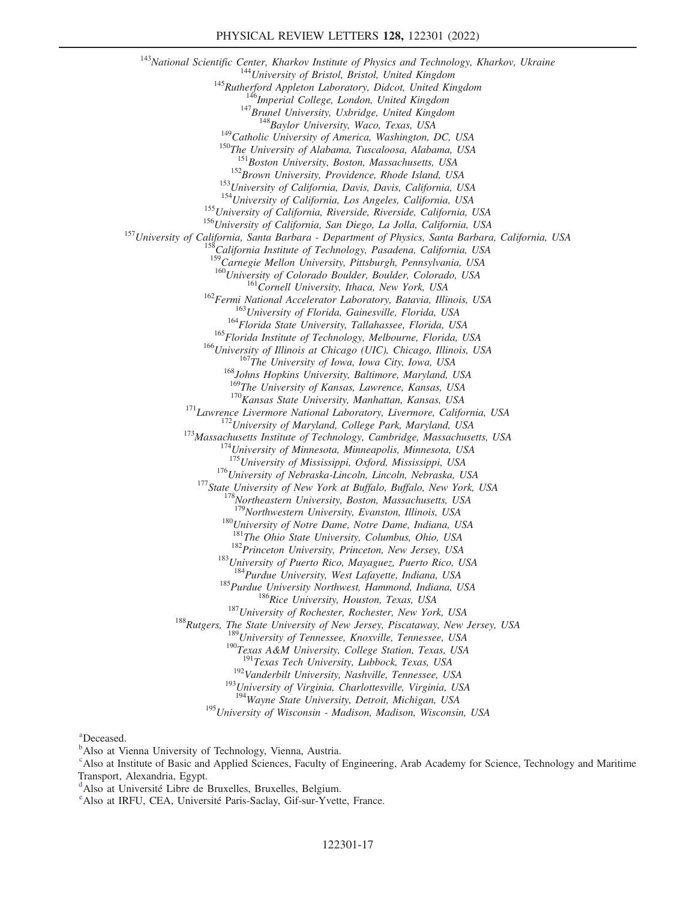<sup>143</sup>National Scientific Center, Kharkov Institute of Physics and Technology, Kharkov, Ukraine<br><sup>144</sup>University of Bristol, Bristol, United Kingdom<br><sup>145</sup>Rutherford Appleton Laboratory, Didcot, United Kingdom<br><sup>146</sup>Imperial <sup>152</sup>Brown University, Providence, Rhode Island, USA<br><sup>153</sup>University of California, Davis, Davis, California, USA<br><sup>154</sup>University of California, Los Angeles, California, USA<br><sup>155</sup>University of California, Riverside, River 159<br>Carnegie Mellon University, Pittsburgh, Pennsylvania, USA<br><sup>160</sup>University of Colorado Boulder, Boulder, Colorado, USA <sup>161</sup>Cornell University, Ithaca, New York, USA<br><sup>162</sup>Fermi National Accelerator Laboratory, Batavia, Illinois, USA<br><sup>163</sup>University of Florida, Gainesville, Florida, USA<br><sup>164</sup>Florida State University, Tallahassee, Florida, <sup>170</sup>Kansas State University, Manhattan, Kansas, USA<br><sup>171</sup>Lawrence Livermore National Laboratory, Livermore, California, USA<br><sup>172</sup>University of Maryland, College Park, Maryland, USA<br><sup>173</sup>Massachusetts Institute of Technol <sup>176</sup>University of Nebraska-Lincoln, Lincoln, Nebraska, USA<br><sup>177</sup>State University of New York at Buffalo, Buffalo, New York, USA<br><sup>178</sup>Northeastern University, Boston, Massachusetts, USA<br><sup>179</sup>Northwestern University, Evans <sup>180</sup>University of Notre Dame, Notre Dame, Indiana, USA <sup>181</sup>The Ohio State University, Columbus, Ohio, USA <sup>182</sup>Princeton University, Princeton, New Jersey, USA  $^{183}$ University of Puerto Rico, Mayaguez, Puerto Rico, USA  $^{184}$ Purdue University, West Lafayette, Indiana, USA <sup>185</sup>Purdue University Northwest, Hammond, Indiana, USA<br><sup>186</sup>Rice University, Houston, Texas, USA<br><sup>187</sup>University of Rochester, Rochester, New York, USA<br><sup>188</sup>Rutgers, The State University of New Jersey, Piscataway, New Je  $192$ Vanderbilt University, Nashville, Tennessee, USA  $193$ University of Virginia, Charlottesville, Virginia, USA 194 Wayne State University, Detroit, Michigan, USA 195 University of Wisconsin - Madison, Madison, Wisconsin, USA

<span id="page-18-0"></span>[a](#page-8-27) Deceased.

<span id="page-18-1"></span><sup>&</sup>lt;sup>[b](#page-8-28)</sup>Also at Vienna University of Technology, Vienna, Austria.

<span id="page-18-2"></span><sup>&</sup>lt;sup>[c](#page-8-29)</sup>Also at Institute of Basic and Applied Sciences, Faculty of Engineering, Arab Academy for Science, Technology and Maritime Transport, Alexandria, Egypt.

<span id="page-18-3"></span><sup>&</sup>lt;sup>[d](#page-8-29)</sup>Also at Univ[e](#page-9-0)rsité Libre de Bruxelles, Bruxelles, Belgium.<br><sup>e</sup>Also et IBELL CEA, Université Peris Seeley, Gif sur Vuett

<span id="page-18-4"></span><sup>&</sup>lt;sup>e</sup> Also at IRFU, CEA, Université Paris-Saclay, Gif-sur-Yvette, France.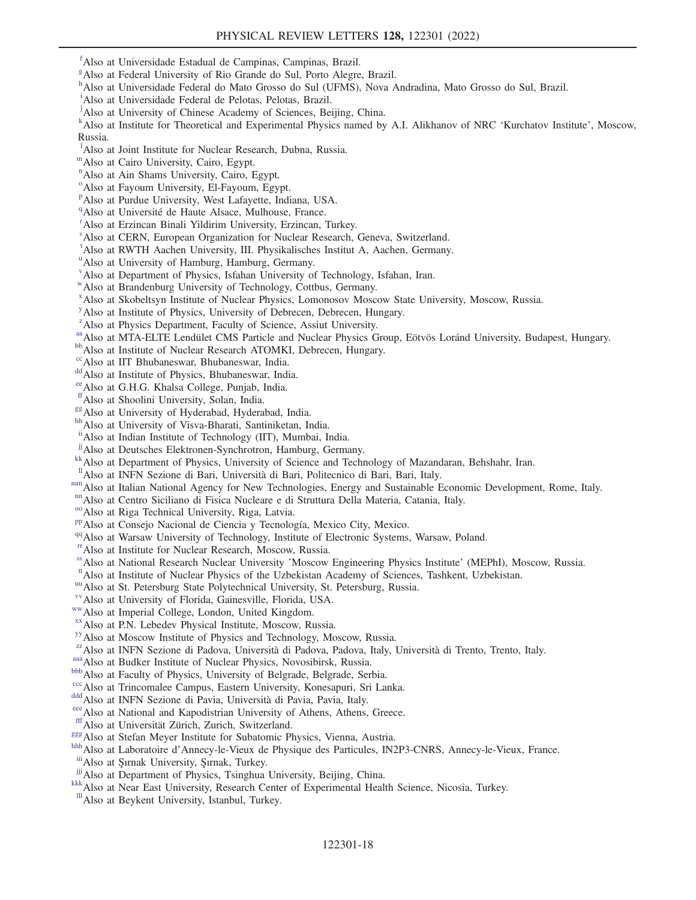- <span id="page-19-0"></span>[f](#page-9-1) Also at Universidade Estadual de Campinas, Campinas, Brazil.
- <span id="page-19-1"></span>[g](#page-9-2) Also at Federal University of Rio Grande do Sul, Porto Alegre, Brazil.
- <span id="page-19-2"></span>[h](#page-9-3) Also at Universidade Federal do Mato Grosso do Sul (UFMS), Nova Andradina, Mato Grosso do Sul, Brazil.
- <span id="page-19-3"></span>[i](#page-9-3) Also at Universidade Federal de Pelotas, Pelotas, Brazil.
- <span id="page-19-4"></span><sup>[j](#page-9-4)</sup>Also at University of Chinese Academy of Sciences, Beijing, China.

<span id="page-19-5"></span>[k](#page-9-5) Also at Institute for Theoretical and Experimental Physics named by A.I. Alikhanov of NRC 'Kurchatov Institute', Moscow, Russia.

- <span id="page-19-6"></span><sup>1</sup>A[l](#page-9-6)so at Joint Institute for Nuclear Research, Dubna, Russia.
- <span id="page-19-7"></span>[m](#page-9-7)Also at Cairo University, Cairo, Egypt.
- <span id="page-19-8"></span>[n](#page-9-8) Also at Ain Shams University, Cairo, Egypt.
- <span id="page-19-9"></span><sup>[o](#page-9-7)</sup>Also at Fayoum University, El-Fayoum, Egypt.
- <span id="page-19-10"></span><su[p](#page-9-9)>p</sup>Also at Purdue University, West Lafayette, Indiana, USA.
- <span id="page-19-11"></span><sup>[q](#page-9-10)</sup>Also at Unive[r](#page-9-11)sité de Haute Alsace, Mulhouse, France.
- <span id="page-19-12"></span>Also at Erzincan Binali Yildirim University, Erzincan, Turkey.
- <span id="page-19-13"></span>[s](#page-9-12) Also at CERN, European Organization for Nuclear Research, Geneva, Switzerland.
- <span id="page-19-14"></span>[t](#page-9-13) Also at RWTH Aachen University, III. Physikalisches Institut A, Aachen, Germany.
- <span id="page-19-15"></span><s[u](#page-9-14)p>u</sup>Also at University of Hamburg, Hamburg, Germany.
- <span id="page-19-16"></span>[v](#page-9-14) Also at Department of Physics, Isfahan University of Technology, Isfahan, Iran.
- <span id="page-19-17"></span>[w](#page-9-15)Also at Brandenburg University of Technology, Cottbus, Germany.
- <span id="page-19-18"></span>[x](#page-10-0) Also at Skobeltsyn Institute of Nuclear Physics, Lomonosov Moscow State University, Moscow, Russia.
- <span id="page-19-19"></span><sup>[y](#page-10-1)</sup> Also at Institute of Physics, University of Debrecen, Debrecen, Hungary.
- <span id="page-19-20"></span><sup>[z](#page-10-2)</sup>Also at Physics Department, Faculty of Science, Assiut University.
- <span id="page-19-21"></span><sup>[aa](#page-10-2)</sup>Also at MTA-ELTE Lendület CMS Particle and Nuclear Physics Group, Eötvös Loránd University, Budapest, Hungary.<br><sup>[bb](#page-10-3)</sup>Also at Institute of Nuclear Research ATOMKI, Debrecen, Hungary.<br><sup>cc</sup>Also at IIT Bhubaneswar, Bhubanesw
- <span id="page-19-23"></span><span id="page-19-22"></span>
- 
- <span id="page-19-24"></span><sup>[dd](#page-10-4)</sup>Also at Institute of Physics, Bhubaneswar, India.
- <span id="page-19-25"></span>[ee](#page-10-5) Also at G.H.G. Khalsa College, Punjab, India. f<sup>f</sup> Also at Shoolini University, Solan, India.
- <span id="page-19-26"></span>
- <span id="page-19-28"></span>
- <span id="page-19-27"></span><sup>[gg](#page-10-7)</sup>Also at University of Hyderabad, Hyderabad, India. [hh](#page-10-7)<br>hhAlso at University of Visva-Bharati, Santiniketan, India.
- <span id="page-19-29"></span>[ii](#page-10-8) Also at Indian Institute of Technology (IIT), Mumbai, India.<br>
<sup>ji</sup> Also at Deutsches Elektronen-Synchrotron, Hamburg, Germany.
- <span id="page-19-30"></span>
- <span id="page-19-31"></span><sup>1</sup>Also at Department of Physics, University of Science and Technology of Mazandaran, Behshahr, Iran.<br><sup>11</sup>Also at INFN Sezione di Bari, Università di Bari, Politecnico di Bari, Bari, Italy.
- <span id="page-19-32"></span>
- <span id="page-19-34"></span><span id="page-19-33"></span>mm Also at Italian National Agency for New Technologies, Energy and Sustainable Economic Development, Rome, Italy.<br>
<sup>nn</sup> Also at Centro Siciliano di Fisica Nucleare e di Struttura De[ll](#page-10-10)a Materia, Catania, Italy.<br>
<sup>[oo](#page-11-0)</sup> Also
- 
- <span id="page-19-36"></span><span id="page-19-35"></span>
- 
- <span id="page-19-37"></span>
- <span id="page-19-38"></span>[rr](#page-11-3)Also at Institute for Nuclear Research, Moscow, Russia.
- <span id="page-19-39"></span><sup>ss</sup>Also at National Research Nuclear University 'Moscow Engineering Physics Institute' (MEPhI), Moscow, Russia.<br>
<sup>[tt](#page-11-4)</sup>Also at Institute of Nuclear Physics of the Uzbekistan Academy of Sciences, Tashkent, Uzbekistan.<br>
<sup>[uu](#page-11-4)</sup>
- 
- <span id="page-19-40"></span>
- <span id="page-19-41"></span>
- <span id="page-19-42"></span>
- <span id="page-19-43"></span>
- <span id="page-19-44"></span>
- <span id="page-19-45"></span><sup>[zz](#page-12-1)</sup> Also at INFN Sezione di Padova, Università di Padova, Padova, Italy, Università di Trento, Trento, Italy.<br>
<sup>[aaa](#page-12-2)</sup> Also at Budker Institute of Nuclear Physics, Novosibirsk, Russia.<br>
<sup>[bbb](#page-12-3)</sup> Also at Faculty of Physics, Un
- <span id="page-19-46"></span>
- <span id="page-19-47"></span>
- <span id="page-19-49"></span><span id="page-19-48"></span>
- 
- <span id="page-19-51"></span><span id="page-19-50"></span>
- 
- <span id="page-19-53"></span>
- <span id="page-19-52"></span><sup>[ggg](#page-12-8)</sup>Also at Stefan Meyer Institute for Subatomic Physics, Vienna, Austria.<br>[hhh](#page-12-9) Also at Laboratoire d'Annecy-le-Vieux de Physique des Particules, IN2P3-CNRS, Annecy-le-Vieux, France.<br>[iii](#page-12-10) Also at Şırnak University, Şırnak,
- <span id="page-19-54"></span>
- <span id="page-19-55"></span>
- <span id="page-19-56"></span>[kkk](#page-12-11) Also at Near East University, Research Center of Experimental Health Science, Nicosia, Turkey.
- <span id="page-19-57"></span><sup>III</sup>Also at Beykent University, Istanbul, Turkey.